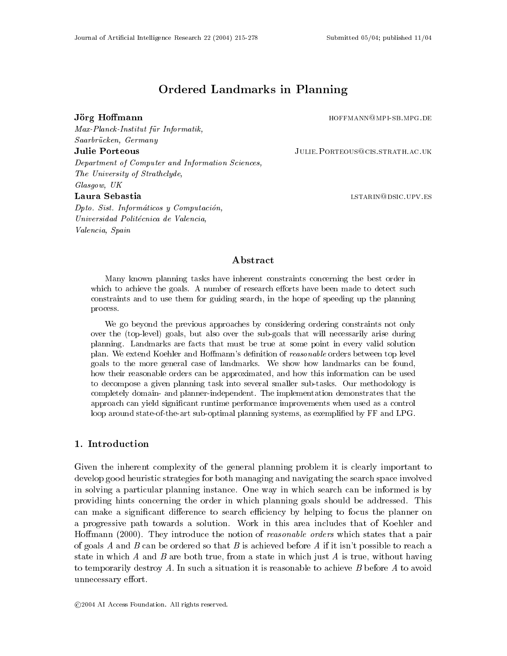Max-Planck-Institut für Informatik,

# Ordered Landmarks in Planning

Jörg Hoffmann hoffmann hoffmann hoffmann hoffmann hoffmann hoffmann hoffmann hoffmann hoffmann hoffmann hoffmann hoffmann hoffmann hoffmann hoffmann hoffmann hoffmann hoffmann hoffmann hoffmann hoffmann hoffmann hoffmann h

Saarbrücken, Germany **Julie Porteous JULIE.PORTEOUS@CIS.STRATH.AC.UK** Department of Computer and Information Sciences,The University of Strathclyde,Glasgow, UKLaura Sebastia laura istarina laura laura laura laura laura laura laura laura laura laura laura laura laura l  $Dp\omega$ ,  $Dis\iota$ , Informaticos y Computacion, Universidad Politécnica de Valencia, Valencia, Spain

#### ${\bf Abstract}$

Many known planning tasks have inherent constraints concerning the best order in which to achieve the goals. A number of research efforts have been made to detect such constraints and to use them for guiding search, in the hope of speeding up the planning process.

We go beyond the previous approaches by considering ordering constraints not only over the (top-level) goals, but also over the sub-goals that will necessarily arise during planning. Landmarks are facts that must be true at some point in every valid solution plan. We extend Koehler and Homann's denition of reasonable orders between top level goals to the more general case of landmarks. We show how landmarks can be found, how their reasonable orders can be approximated, and how this information can be used to decompose a given planning task into several smaller sub-tasks. Our methodology is completely domain- and planner-independent. The implementation demonstrates that the approach can yield signicant runtime performance improvements when used as a control loop around state-of-the-art sub-optimal planning systems, as exemplified by FF and LPG.

### 1. Introduction

Given the inherent complexity of the general planning problem it is clearly important to develop good heuristic strategies for both managing and navigating the search space involved in solving a particular planning instance. One way in which search can be informed is by providing hints concerning the order in which planning goals should be addressed. This can make a significant difference to search efficiency by helping to focus the planner on a progressive path towards a solution. Work in this area includes that of Koehler and Hoffmann (2000). They introduce the notion of *reasonable orders* which states that a pair of goals A and B can be ordered so that B is achieved before A if it isn't possible to reach a state in which A and B are both true, from a state in which just A is true, without having to temporarily destroy A. In such a situation it is reasonable to achieve  $B$  before  $A$  to avoid unnecessary effort.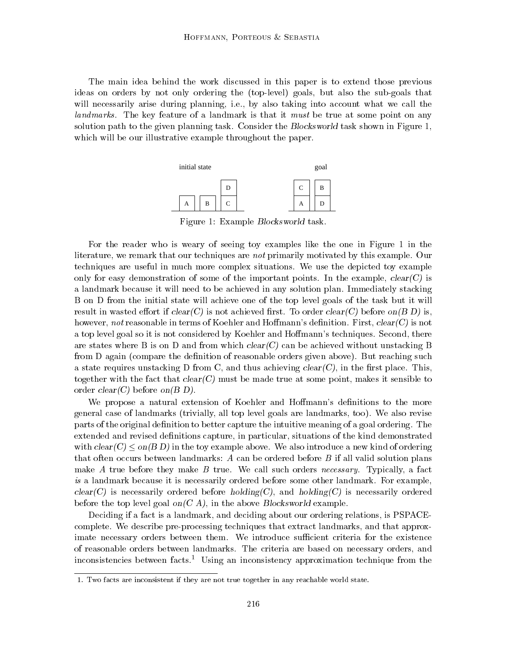The main idea behind the work discussed in this paper is to extend those previous ideas on orders by not only ordering the (top-level) goals, but also the sub-goals that will necessarily arise during planning, i.e., by also taking into account what we call the landmarks. The key feature of a landmark is that it must be true at some point on any solution path to the given planning task. Consider the Blocksworld task shown in Figure 1, which will be our illustrative example throughout the paper.



Figure 1: Example Blocksworld task.

For the reader who is weary of seeing toy examples like the one in Figure 1 in the literature, we remark that our techniques are not primarily motivated by this example. Our techniques are useful in much more complex situations. We use the depicted toy example only for easy demonstration of some of the important points. In the example,  $clear(C)$  is a landmark because it will need to be achieved in any solution plan. Immediately stacking B on D from the initial state will achieve one of the top level goals of the task but it will result in wasted effort if  $clear(C)$  is not achieved first. To order  $clear(C)$  before on  $(B\ D)$  is, however, not reasonable in terms of Koehler and Hoffmann's definition. First,  $clear(C)$  is not a top level goal so it is not considered by Koehler and Hoffmann's techniques. Second, there are states where B is on D and from which  $clear(C)$  can be achieved without unstacking B from D again (compare the definition of reasonable orders given above). But reaching such a state requires unstacking D from C, and thus achieving  $clear(C)$ , in the first place. This, together with the fact that  $clear(C)$  must be made true at some point, makes it sensible to order  $clear(C)$  before on  $(B D)$ .

We propose a natural extension of Koehler and Hoffmann's definitions to the more general case of landmarks (trivially, all top level goals are landmarks, too). We also revise parts of the original definition to better capture the intuitive meaning of a goal ordering. The extended and revised definitions capture, in particular, situations of the kind demonstrated with  $clear(C) \leq on(B D)$  in the toy example above. We also introduce a new kind of ordering that often occurs between landmarks: A can be ordered before B if all valid solution plans make A true before they make B true. We call such orders *necessary*. Typically, a fact is a landmark because it is necessarily ordered before some other landmark. For example,  $clear(C)$  is necessarily ordered before holding(C), and holding(C) is necessarily ordered before the top level goal on  $(C A)$ , in the above Blocksworld example.

Deciding if a fact is a landmark, and deciding about our ordering relations, is PSPACEcomplete. We describe pre-processing techniques that extract landmarks, and that approximate necessary orders between them. We introduce sufficient criteria for the existence of reasonable orders between landmarks. The criteria are based on necessary orders, and inconsistencies between facts.<sup>1</sup> Using an inconsistency approximation technique from the

<sup>1.</sup> Two facts are inconsistent if they are not true together in any reachable world state.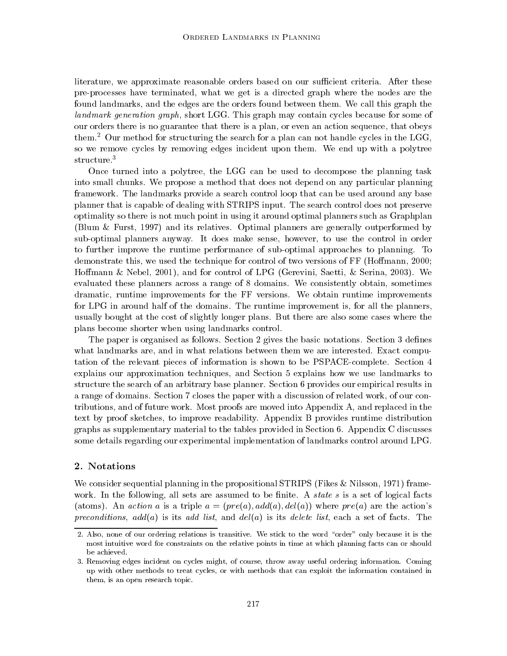literature, we approximate reasonable orders based on our sufficient criteria. After these pre-processes have terminated, what we get is a directed graph where the nodes are the found landmarks, and the edges are the orders found between them. We call this graph the landmark generation graph, short LGG. This graph may contain cycles because for some of our orders there is no guarantee that there is a plan, or even an action sequence, that obeys them.<sup>2</sup> Our method for structuring the search for a plan can not handle cycles in the LGG, so we remove cycles by removing edges incident upon them. We end up with a polytree structure.<sup>3</sup>

Once turned into a polytree, the LGG can be used to decompose the planning task into small chunks. We propose a method that does not depend on any particular planning framework. The landmarks provide a search control loop that can be used around any base planner that is capable of dealing with STRIPS input. The search control does not preserve optimality so there is not much point in using it around optimal planners such as Graphplan (Blum & Furst,1997) and its relatives. Optimal planners are generally outperformed by sub-optimal planners anyway. It does make sense, however, to use the control in order to further improve the runtime performance of sub-optimal approaches to planning. To demonstrate this, we used the technique for control of two versions of FF (Homann, 2000; Hoffmann & Nebel, 2001), and for control of LPG (Gerevini, Saetti, & Serina, 2003). We evaluated these planners across a range of 8 domains. We consistently obtain, sometimes dramatic, runtime improvements for the FF versions. We obtain runtime improvements for LPG in around half of the domains. The runtime improvement is, for all the planners, usually bought at the cost of slightly longer plans. But there are also some cases where the plans become shorter when using landmarks control.

The paper is organised as follows. Section 2 gives the basic notations. Section 3 defines what landmarks are, and in what relations between them we are interested. Exact computation of the relevant pieces of information is shown to be PSPACE-complete. Section 4 explains our approximation techniques, and Section 5 explains how we use landmarks to structure the search of an arbitrary base planner. Section 6 provides our empirical results in a range of domains. Section 7 closes the paper with a discussion of related work, of our contributions, and of future work. Most proofs are moved into Appendix A, and replaced in the text by proof sketches, to improve readability. Appendix B provides runtime distribution graphs as supplementary material to the tables provided in Section 6. Appendix C discusses some details regarding our experimental implementation of landmarks control around LPG.

### 2. Notations

We consider sequential planning in the propositional STRIPS (Fikes & Nilsson, 1971) framework. In the following, all sets are assumed to be finite. A *state s* is a set of logical facts (atoms). An action a is a triple  $a = (pre(a), add(a), del(a))$  where  $pre(a)$  are the action's preconditions,  $add(a)$  is its add list, and  $del(a)$  is its delete list, each a set of facts. The

<sup>2.</sup> Also, none of our ordering relations is transitive. We stick to the word "order" only because it is the most intuitive word for constraints on the relative points in time at which planning facts can or should be achieved.

<sup>3.</sup> Removing edges incident on cycles might, of course, throw away useful ordering information. Coming up with other methods to treat cycles, or with methods that can exploit the information contained in them, is an open research topic.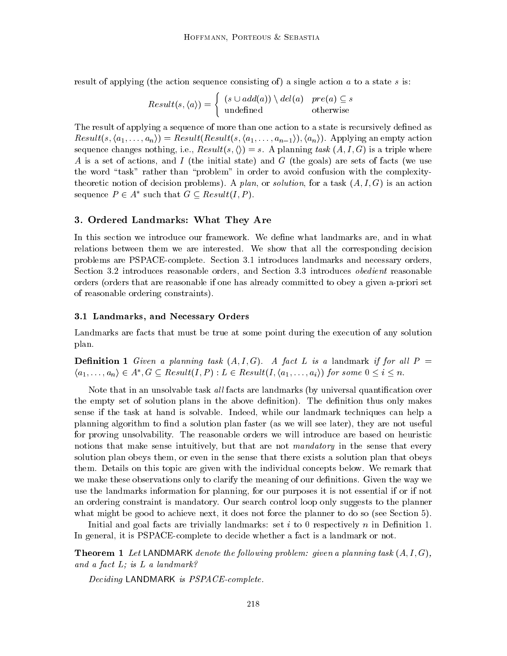result of applying (the action sequence consisting of) a single action  $a$  to a state  $s$  is:

$$
Result(s, \langle a \rangle) = \begin{cases} (s \cup add(a)) \setminus del(a) & pre(a) \subseteq s \\ \text{undefined} & \text{otherwise} \end{cases}
$$

The result of applying a sequence of more than one action to a state is recursively defined as  $Result(s, \langle a_1, \ldots, a_n \rangle) = Result(Result(s, \langle a_1, \ldots, a_{n-1} \rangle), \langle a_n \rangle).$  Applying an empty action sequence changes nothing, i.e.,  $Result(s, \langle \rangle) = s$ . A planning task  $(A, I, G)$  is a triple where A is a set of actions, and I (the initial state) and G (the goals) are sets of facts (we use the word "task" rather than "problem" in order to avoid confusion with the complexitytheoretic notion of decision problems). A plan, or solution, for a task  $(A, I, G)$  is an action sequence  $P \in A^*$  such that  $G \subseteq Result(I, P)$ .

#### 3. Ordered Landmarks: What They Are

In this section we introduce our framework. We define what landmarks are, and in what relations between them we are interested. We show that all the corresponding decision problems are PSPACE-complete. Section 3.1 introduces landmarks and necessary orders, Section 3.2 introduces reasonable orders, and Section 3.3 introduces obedient reasonable orders (orders that are reasonable if one has already committed to obey a given a-priori set of reasonable ordering constraints).

#### 3.1 Landmarks, and Necessary Orders

Landmarks are facts that must be true at some point during the execution of any solution plan.

**Definition 1** Given a planning task  $(A, I, G)$ . A fact L is a landmark if for all P = **Definition 1** Given a planning task  $(A, I, G)$ . A fact L is a landmark if for all  $P = \langle a_1, \ldots, a_n \rangle \in A^*, G \subseteq Result(I, P) : L \in Result(I, \langle a_1, \ldots, a_i \rangle)$  for some  $0 \le i \le n$ .

Note that in an unsolvable task *all* facts are landmarks (by universal quantification over the empty set of solution plans in the above definition). The definition thus only makes sense ifthe task at hand is solvable. Indeed, while our landmark techniques can help a planning algorithm to find a solution plan faster (as we will see later), they are not useful for proving unsolvability. The reasonable orders we will introduce are based on heuristic notions that make sense intuitively, but that are not *mandatory* in the sense that every solution plan obeys them, or even in the sense that there exists a solution plan that obeys them. Details on this topic are given with the individual concepts below. We remark that we make these observations only to clarify the meaning of our definitions. Given the way we use the landmarks information for planning, for our purposes it is not essential if or if not an ordering constraint is mandatory. Our search control loop only suggests to the planner what might be good to achieve next, it does not force the planner to do so (see Section 5).

Initial and goal facts are trivially landmarks: set i to 0 respectively n in Definition 1. In general, it is PSPACE-complete to decide whether a fact is a landmark or not.

**Theorem 1** Let LANDMARK denote the following problem: given a planning task  $(A, I, G)$ , and a fact  $L$ ; is  $L$  a landmark?

Deciding LANDMARK is PSPACE-complete.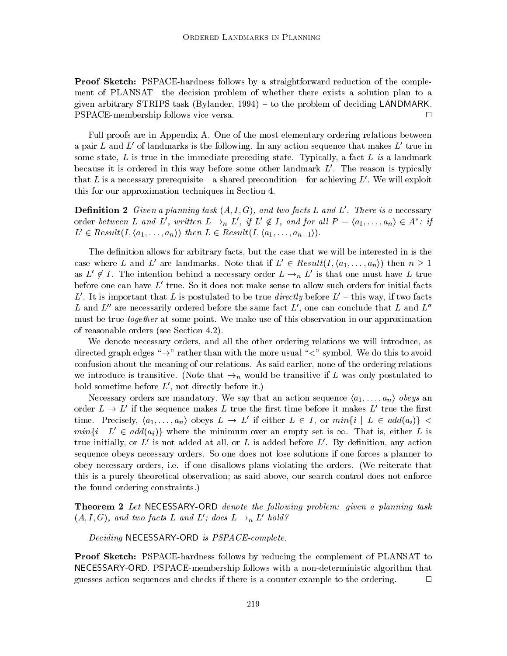Proof Sketch: PSPACE-hardness follows by a straightforward reduction of the complement of PLANSAT – the decision problem of whether there exists a solution plan to a given arbitrary STRIPS task (Bylander,  $1994$ ) – to the problem of deciding LANDMARK. PSPACE-membership follows vice versa. <sup>2</sup>  $\Box$ 

Full proofs are in Appendix A. One of the most elementary ordering relations between a pair L and L' of landmarks is the following. In any action sequence that makes  $L'$  true in some state, L is true in the immediate preceding state. Typically, a fact L is a landmark because it is ordered in this way before some other landmark  $L'$ . The reason is typically that L is a necessary prerequisite  $-$  a shared precondition  $-$  for achieving L'. We will exploit this for our approximation techniques in Section 4.

**Definition 2** Given a planning task  $(A, I, G)$ , and two facts L and L'. There is a necessary **Definition 2** Given a planning task  $(A, I, G)$ , and two facts L and L'. There is a necessary<br>order between L and L', written  $L \to_n L'$ , if L'  $\notin I$ , and for all  $P = \langle a_1, \ldots, a_n \rangle \in A^*$ : if  $L' \in Result(I, \langle a_1, \ldots, a_n \rangle)$  then  $L \in Result(I, \langle a_1, \ldots, a_{n-1} \rangle).$ 

The definition allows for arbitrary facts, but the case that we will be interested in is the case where L and L' are landmarks. Note that if  $L' \in Result(I, \langle a_1, \ldots, a_n \rangle)$  then  $n \geq 1$ as  $L' \notin I$ . The intention behind a necessary order  $L \rightarrow n L'$  is that one must have L true before one can have  $L'$  true. So it does not make sense to allow such orders for initial facts L'. It is important that L is postulated to be true directly before  $L'-$  this way, if two facts L and  $L''$  are necessarily ordered before the same fact  $L'$ , one can conclude that L and  $L''$ must be true *together* at some point. We make use of this observation in our approximation of reasonable orders (see Section 4.2).

We denote necessary orders, and all the other ordering relations we will introduce, as directed graph edges " $\rightarrow$ " rather than with the more usual " $\lt$ " symbol. We do this to avoid confusion about the meaning of our relations. As said earlier, none of the ordering relations we introduce is transitive. (Note that  $\rightarrow_n$  would be transitive if L was only postulated to hold sometime before  $L'$ , not directly before it.)

Necessary orders are mandatory. We say that an action sequence  $\langle a_1, \ldots, a_n \rangle$  obeys an order  $L \to L'$  if the sequence makes L true the first time before it makes L' true the first time. Precisely,  $\langle a_1,...,a_n \rangle$  obeys  $L \to L'$  if either  $L \in I$ , or  $min\{i \mid L \in add(a_i)\}$  $min\{i \mid L' \in add(a_i)\}\$  where the minimum over an empty set is  $\infty$ . That is, either L is true initially, or  $L'$  is not added at all, or L is added before  $L'$ . By definition, any action sequence obeys necessary orders. So one does not lose solutions if one forces a planner to obey necessary orders, i.e. if one disallows plans violating the orders. (We reiterate that this is a purely theoretical observation; as said above, our search control does not enforce the found ordering constraints.)

**Theorem 2** Let NECESSARY-ORD denote the following problem: given a planning task  $(A, I, G)$ , and two facts L and L'; does  $L \rightarrow_n L'$  hold?

Deciding NECESSARY-ORD is PSPACE-complete.

Proof Sketch: PSPACE-hardness follows by reducing the complement of PLANSAT to NECESSARY-ORD. PSPACE-membership follows with a non-deterministic algorithm that guesses action sequences and checks if there is a counter example to the ordering. <sup>2</sup>  $\Box$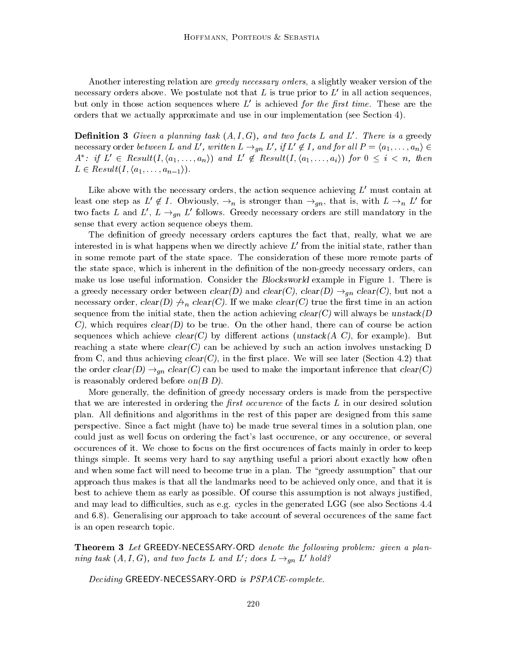Another interesting relation are *greedy necessary orders*, a slightly weaker version of the necessary orders above. We postulate not that L is true prior to  $L'$  in all action sequences, but only in those action sequences where  $L'$  is achieved for the first time. These are the orders that we actually approximate and use in our implementation (see Section 4).

**Definition 3** Given a planning task  $(A, I, G)$ , and two facts L and L'. There is a greedy **Definition 3** Given a planning task  $(A, I, G)$ , and two facts L and L'. There is a greedy necessary order between L and L', written  $L \rightarrow_{an} L'$ , if  $L' \notin I$ , and for all  $P = \langle a_1, \ldots, a_n \rangle \in I$  $A^*$ : if  $L' \in Result(I, \langle a_1, \ldots, a_n \rangle)$  and  $L' \notin Result(I, \langle a_1, \ldots, a_i \rangle)$  for  $0 \leq i \leq n$ , then  $L \in Result(I, \langle a_1, \ldots, a_{n-1} \rangle).$ 

Like above with the necessary orders, the action sequence achieving  $L'$  must contain at least one step as  $L' \notin I$ . Obviously,  $\rightarrow_n$  is stronger than  $\rightarrow_{qn}$ , that is, with  $L \rightarrow_n L'$  for two facts L and L',  $L \rightarrow_{qn} L'$  follows. Greedy necessary orders are still mandatory in the sense that every action sequence obeys them.

The definition of greedy necessary orders captures the fact that, really, what we are interested in is what happens when we directly achieve  $L'$  from the initial state, rather than in some remote part of the state space. The consideration of these more remote parts of the state space, which is inherent in the definition of the non-greedy necessary orders, can make us lose useful information. Consider the *Blocksworld* example in Figure 1. There is a greedy necessary order between  $clear(D)$  and  $clear(C)$ ,  $clear(D) \rightarrow_{qn} clear(C)$ , but not a necessary order, clear(D)  $\forall n$  clear(C). If we make clear(C) true the first time in an action sequence from the initial state, then the action achieving  $clear(C)$  will always be unstack(D) C), which requires  $clear(D)$  to be true. On the other hand, there can of course be action sequences which achieve  $clear(C)$  by different actions (unstack(A C), for example). But reaching a state where  $clear(C)$  can be achieved by such an action involves unstacking D from C, and thus achieving  $clear(C)$ , in the first place. We will see later (Section 4.2) that the order  $clear(D) \rightarrow_{qn} clear(C)$  can be used to make the important inference that  $clear(C)$ is reasonably ordered before on  $(B D)$ .

More generally, the definition of greedy necessary orders is made from the perspective that we are interested in ordering the *first occurence* of the facts  $L$  in our desired solution plan. All definitions and algorithms in the rest of this paper are designed from this same perspective. Since a fact might (have to) be made true several times in a solution plan, one could just as well focus on ordering the fact's last occurence, or any occurence, or several occurences of it. We chose to focus on the first occurences of facts mainly in order to keep things simple. It seems very hard to say anything useful a priori about exactly how often and when some fact will need to become true in a plan. The "greedy assumption" that our approach thus makes is that all the landmarks need to be achieved only once, and that it is best to achieve them as early as possible. Of course this assumption is not always justied, and may lead to difficulties, such as e.g. cycles in the generated LGG (see also Sections  $4.4$ and 6.8). Generalising our approach to take account of several occurences of the same fact is an open research topic.

**Theorem 3** Let GREEDY-NECESSARY-ORD denote the following problem: given a planning task  $(A, I, G)$ , and two facts L and L'; does  $L \rightarrow_{qn} L'$  hold?

Deciding GREEDY-NECESSARY-ORD is PSPACE-complete.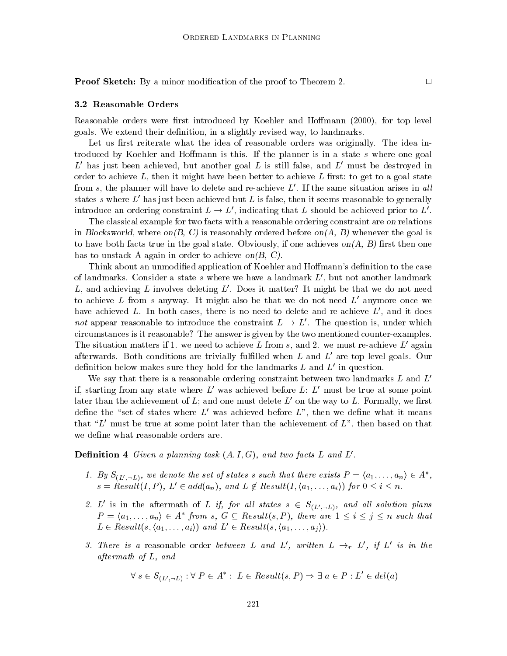**Proof Sketch:** By a minor modification of the proof to Theorem 2.  $\Box$ 

#### 3.2 Reasonable Orders

Reasonable orders were first introduced by Koehler and Hoffmann (2000), for top level goals. We extend their definition, in a slightly revised way, to landmarks.

Let us first reiterate what the idea of reasonable orders was originally. The idea introduced by Koehler and Hoffmann is this. If the planner is in a state  $s$  where one goal  $L<sup>'</sup>$  has just been achieved, but another goal L is still false, and  $L<sup>'</sup>$  must be destroyed in order to achieve  $L$ , then it might have been better to achieve  $L$  first: to get to a goal state from s, the planner will have to delete and re-achieve  $L'$ . If the same situation arises in all states s where L<sup>'</sup> has just been achieved but L is false, then it seems reasonable to generally

introduce an ordering constraint  $L \to L'$ , indicating that L should be achieved prior to  $L'$ .<br>The classical example for two facts with a reasonable ordering constraint are on relations in Blocksworld, where on(B, C) is reasonably ordered before on(A, B) whenever the goal is to have both facts true in the goal state. Obviously, if one achieves  $on(A, B)$  first then one has to unstack A again in order to achieve on $(B, C)$ .

Think about an unmodified application of Koehler and Hoffmann's definition to the case of landmarks. Consider a state s where we have a landmark  $L'$ , but not another landmark L, and achieving L involves deleting  $L'$ . Does it matter? It might be that we do not need to achieve L from s anyway. It might also be that we do not need  $L'$  anymore once we have achieved L. In both cases, there is no need to delete and re-achieve  $L'$ , and it does not appear reasonable to introduce the constraint  $L \to L'$ . The question is, under which circumstances is it reasonable? The answer is given by the two mentioned counter-examples. The situation matters if 1. we need to achieve L from s, and 2. we must re-achieve L' again afterwards. Both conditions are trivially fulfilled when  $L$  and  $L'$  are top level goals. Our definition below makes sure they hold for the landmarks  $L$  and  $L'$  in question.

We say that there is a reasonable ordering constraint between two landmarks L and  $L<sup>1</sup>$ if, starting from any state where  $L'$  was achieved before L:  $L'$  must be true at some point later than the achievement of L; and one must delete  $L'$  on the way to L. Formally, we first define the "set of states where  $L'$  was achieved before  $L''$ , then we define what it means that " $L'$  must be true at some point later than the achievement of  $L$ ", then based on that we define what reasonable orders are.

**Definition 4** Given a planning task  $(A, I, G)$ , and two facts L and L'.

- **Example 1.** By  $S_{(L', -L)}$ , we denote the set of states s such that there exists  $P = \langle a_1, \ldots, a_n \rangle \in A^*$ ,  $s = Result(I, P), L' \in add(a_n), and L \notin Result(I, \langle a_1, \ldots, a_i \rangle)$  for  $0 \leq i \leq n$ .
- 2. L' is in the aftermath of L if, for all states  $s \in S_{(L', -L)}$ , and all solution plans L' is in the aftermath of L if,<br> $P = \langle a_1, \ldots, a_n \rangle \in A^*$  from s, C  $P = \langle a_1, \ldots, a_n \rangle \in A^*$  from s,  $G \subseteq Result(s, P)$ , there are  $1 \leq i \leq j \leq n$  such that  $L \in Result(s, \langle a_1, \ldots, a_i \rangle)$  and  $L' \in Result(s, \langle a_1, \ldots, a_i \rangle).$
- 3. There is a reasonable order between L and L', written  $L \rightarrow_r L'$ , if L' is in the aftermath of L, and :  $L \in Result(s, P) \Rightarrow \exists a \in P : L' \in del(a)$

$$
\forall s \in S_{(L', \neg L)} : \forall P \in A^* : L \in Result(s, P) \Rightarrow \exists a \in P : L' \in del(a)
$$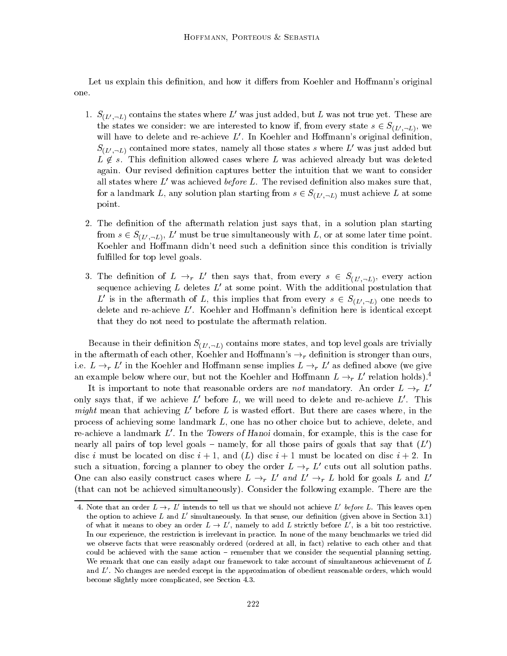Let us explain this definition, and how it differs from Koehler and Hoffmann's original one.

- 1.  $S_{(L', -L)}$  contains the states where L' was just added, but L was not true yet. These are the states we consider: we are interested to know if, from every state  $s \in S_{(L', \neg L)}$ , we will have to delete and re-achieve  $L'$ . In Koehler and Hoffmann's original definition.  $S_{(L', \neg L)}$  contained more states, namely all those states s where L' was just added but  $L \notin s$ . This definition allowed cases where L was achieved already but was deleted again. Our revised definition captures better the intuition that we want to consider all states where  $L'$  was achieved *before L*. The revised definition also makes sure that, for a landmark L, any solution plan starting from  $s \in S_{(L',-L)}$  must achieve L at some point.
- 2. The definition of the aftermath relation just says that, in a solution plan starting from  $s \in S_{(L', \neg L)}, L'$  must be true simultaneously with L, or at some later time point. Koehler and Hoffmann didn't need such a definition since this condition is trivially fulfilled for top level goals.
- 3. The definition of  $L \rightarrow_r L'$  then says that, from every  $s \in S_{(L',\neg L)}$ , every action sequence achieving  $L$  deletes  $L'$  at some point. With the additional postulation that L' is in the aftermath of L, this implies that from every  $s \in S_{(L',\neg L)}$  one needs to delete and re-achieve  $L'$ . Koehler and Hoffmann's definition here is identical except that they do not need to postulate the aftermath relation.

Because in their definition  $S_{(L',\neg L)}$  contains more states, and top level goals are trivially in the aftermath of each other, Koehler and Hoffmann's  $\rightarrow_r$  definition is stronger than ours, i.e.  $L \rightarrow r L'$  in the Koehler and Hoffmann sense implies  $L \rightarrow r L'$  as defined above (we give an example below where our, but not the Koehler and Hoffmann  $L \rightarrow r L'$  relation holds).<sup>4</sup>

It is important to note that reasonable orders are not mandatory. An order  $L \rightarrow_r L'$ only says that, if we achieve  $L'$  before  $L$ , we will need to delete and re-achieve  $L'$ . This might mean that achieving  $L'$  before L is wasted effort. But there are cases where, in the process of achieving some landmark L, one has no other choice but to achieve, delete, and re-achieve a landmark  $L'$ . In the Towers of Hanoi domain, for example, this is the case for nearly all pairs of top level goals – namely, for all those pairs of goals that say that  $(L')$ disc i must be located on disc  $i+1$ , and  $(L)$  disc  $i+1$  must be located on disc  $i+2$ . In such a situation, forcing a planner to obey the order  $L \rightarrow r L'$  cuts out all solution paths. One can also easily construct cases where  $L \rightarrow_r L'$  and  $L' \rightarrow_r L$  hold for goals L and L' (that can not be achieved simultaneously). Consider the following example. There are the

<sup>4.</sup> Note that an order  $L \rightarrow r L'$  intends to tell us that we should not achieve L' before L. This leaves open the option to achieve L and  $L'$  simultaneously. In that sense, our definition (given above in Section 3.1) of what it means to obey an order  $L \to L'$ , namely to add L strictly before  $L'$ , is a bit too restrictive. In our experience, the restriction is irrelevant in practice. In none of the many benchmarks we tried did we observe facts that were reasonably ordered (ordered at all, in fact) relative to each other and that could be achieved with the same action – remember that we consider the sequential planning setting. We remark that one can easily adapt our framework to take account of simultaneous achievement of L and  $L'$ . No changes are needed except in the approximation of obedient reasonable orders, which would become slightly more complicated, see Section 4.3.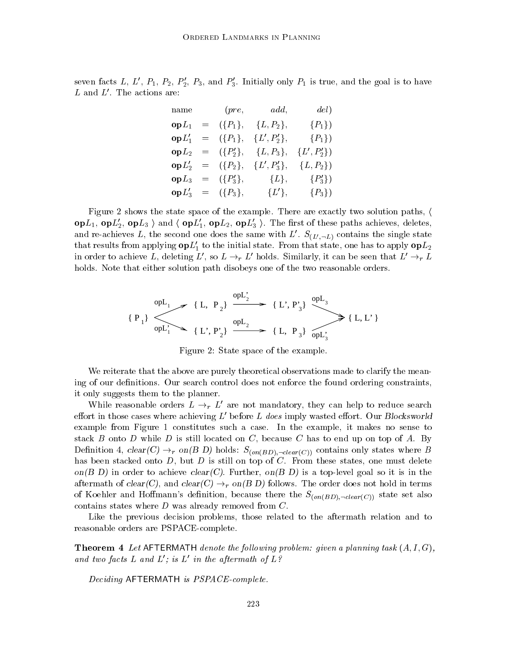seven facts L, L',  $P_1$ ,  $P_2$ ,  $P'_2$ ,  $P_3$ , and  $P'_3$ . Initially only  $P_1$  is true, and the goal is to have L and  $L'$ . The actions are:

| name                   |                       | $(\text{pre}, \text{add}, \text{add})$ | del)            |  |
|------------------------|-----------------------|----------------------------------------|-----------------|--|
| ${\bf o} {\bf p} L_1$  | $= \quad (\{P_1\},\$  | ${L, P_2},$                            | $\{P_1\}$       |  |
| ${\bf o} {\bf p} L_1'$ |                       | $= \{ \{P_1\}, \{L', P_2'\},\}$        | $\{P_1\}$       |  |
|                        |                       | $opL_2 = (\{P'_2\}, \{L, P_3\},$       | $\{L', P_2'\}\$ |  |
|                        |                       | $op L'_2 = (\{P_2\}, \{L', P'_3\},$    | $\{L, P_2\}\$   |  |
| ${\bf o} {\bf p} L_3$  | $=$ $({P'_3},$        | $\{L\},\$                              | $\{P_3'\}\$     |  |
|                        | $op L'_3 = (\{P_3\},$ | $\{L'\},\$                             | $\{P_3\}$       |  |

Figure 2 shows the state space of the example. There are exactly two solution paths,  $\langle$  $\textbf{op}L_1$ ,  $\textbf{op}L_2'$ ,  $\textbf{op}L_3$  and  $\langle \textbf{op}L_1', \textbf{op}L_2, \textbf{op}L_3' \rangle$ . The first of these paths achieves, deletes, and re-achieves L, the second one does the same with L'.  $S_{(L',-L)}$  contains the single state that results from applying  $opL'_{1}$  to the initial state. From that state, one has to apply  $opL_{2}$ in order to achieve L, deleting  $L'$ , so  $L \rightarrow r L'$  holds. Similarly, it can be seen that  $L' \rightarrow r L$ holds. Note that either solution path disobeys one of the two reasonable orders.

$$
\{P_1\} \xrightarrow{\text{opt}_1} \{L, P_2\} \xrightarrow{\text{opt}_2} \{L', P'_3\} \xrightarrow{\text{opt}_3} \{L, L'\}
$$
  

$$
\{P_1\} \xrightarrow{\text{opt}_1} \{L', P'_2\} \xrightarrow{\text{opt}_2} \{L, P_3\} \xrightarrow{\text{opt}_3} \{L, L'\}
$$

Figure 2: State space of the example.

We reiterate that the above are purely theoretical observations made to clarify the meaning of our definitions. Our search control does not enforce the found ordering constraints, it only suggests them to the planner.

While reasonable orders  $L \rightarrow r L'$  are not mandatory, they can help to reduce search effort in those cases where achieving  $L'$  before L does imply wasted effort. Our Blocksworld example from Figure 1 constitutes such a case. In the example, it makes no sense to stack B onto D while D is still located on C, because C has to end up on top of A. By Definition 4,  $clear(C) \rightarrow_r on(B D)$  holds:  $S_{(on(BD),\neg clear(C))}$  contains only states where B has been stacked onto  $D$ , but  $D$  is still on top of  $C$ . From these states, one must delete on(B D) in order to achieve clear(C). Further, on(B D) is a top-level goal so it is in the aftermath of  $clear(C)$ , and  $clear(C) \rightarrow_r on(B D)$  follows. The order does not hold in terms of Koehler and Hoffmann's definition, because there the  $S_{(on(BD),\neg clear(C))}$  state set also contains states where  $D$  was already removed from  $C$ .

Like the previous decision problems, those related to the aftermath relation and to reasonable orders are PSPACE-complete.

**Theorem 4** Let AFTERMATH denote the following problem: given a planning task  $(A, I, G)$ , and two facts L and  $L'$ ; is  $L'$  in the aftermath of  $L$ ?

Deciding AFTERMATH is PSPACE-complete.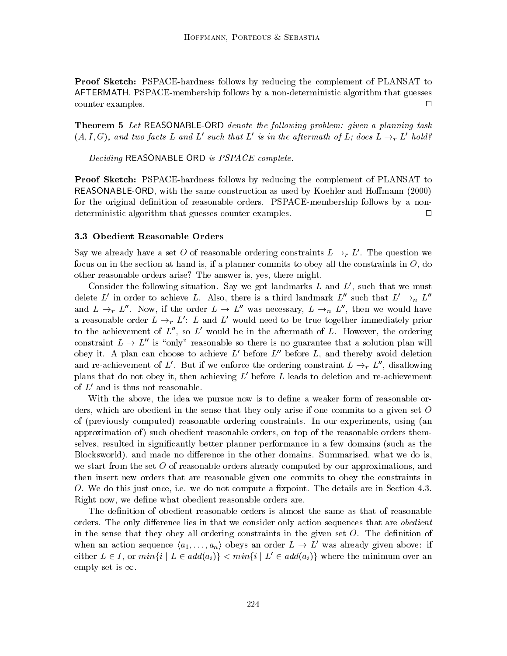Proof Sketch: PSPACE-hardness follows by reducing the complement of PLANSAT to AFTERMATH. PSPACE-membership follows by a non-deterministic algorithm that guesses  $\Box$ counter examples.  $\Box$ 

Theorem 5 Let REASONABLE-ORD denote the following problem: given a planning task  $(A, I, G)$ , and two facts L and L' such that L' is in the aftermath of L; does L  $\rightarrow_r L'$  hold?

Deciding REASONABLE-ORD is PSPACE-complete.

Proof Sketch: PSPACE-hardness follows by reducing the complement of PLANSAT to REASONABLE-ORD, with the same construction as used by Koehler and Homann (2000) for the original definition of reasonable orders. PSPACE-membership follows by a nondeterministic algorithm that guesses counter examples.  $\Box$ 

#### 3.3 Obedient Reasonable Orders

Say we already have a set O of reasonable ordering constraints  $L \rightarrow_r L'$ . The question we focus on in the section at hand is, if a planner commits to obey all the constraints in  $O$ , do other reasonable orders arise? The answer is, yes, there might.

Consider the following situation. Say we got landmarks  $L$  and  $L'$ , such that we must delete L' in order to achieve L. Also, there is a third landmark  $L''$  such that  $L' \rightarrow_n L''$ and  $L \rightarrow_r L''$ . Now, if the order  $L \rightarrow L''$  was necessary,  $L \rightarrow_n L''$ , then we would have a reasonable order  $L \rightarrow r L'$ : L and L' would need to be true together immediately prior to the achievement of  $L''$ , so  $L'$  would be in the aftermath of L. However, the ordering constraint  $L \to L''$  is "only" reasonable so there is no guarantee that a solution plan will obey it. A plan can choose to achieve  $L'$  before  $L''$  before L, and thereby avoid deletion and re-achievement of L'. But if we enforce the ordering constraint  $L \rightarrow r L''$ , disallowing plans that do not obey it, then achieving  $L'$  before L leads to deletion and re-achievement of  $L'$  and is thus not reasonable.

With the above, the idea we pursue now is to define a weaker form of reasonable orders, which are obedient in the sense that they only arise if one commits to a given set O of (previously computed) reasonable ordering constraints. In our experiments, using (an approximation of) such obedient reasonable orders, on top of the reasonable orders themselves, resulted in signicantly better planner performance in a few domains (such asthe Blocksworld), and made no difference in the other domains. Summarised, what we do is, we start from the set O of reasonable orders already computed by our approximations, and then insert new orders that are reasonable given one commits to obey the constraints in O. We do this just once, i.e. we do not compute a fixpoint. The details are in Section 4.3. Right now, we define what obedient reasonable orders are.

The definition of obedient reasonable orders is almost the same as that of reasonable orders. The only difference lies in that we consider only action sequences that are *obedient* in the sense that they obey all ordering constraints in the given set  $O$ . The definition of when an action sequence  $\langle a_1,\ldots,a_n \rangle$  obeys an order  $L \to L'$  was already given above: if either  $L \in I$ , or  $min\{i \mid L \in add(a_i)\} \le min\{i \mid L' \in add(a_i)\}$  where the minimum over an empty set is  $\infty$ .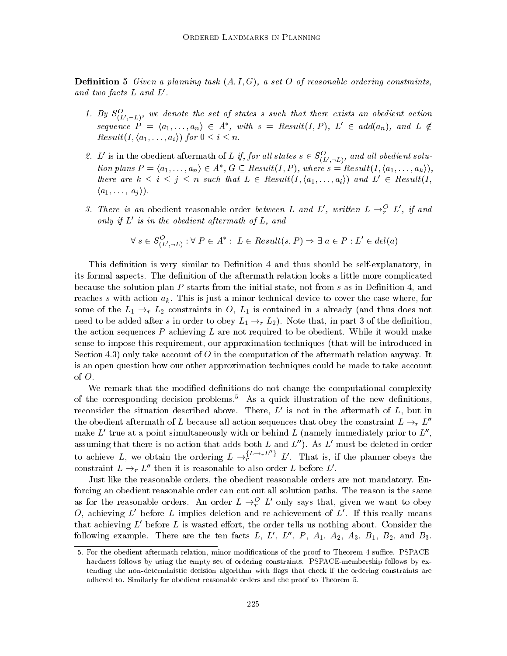**Definition 5** Given a planning task  $(A, I, G)$ , a set O of reasonable ordering constraints, and two facts  $L$  and  $L'$ .

- 1. By  $\mathcal{S}_{(L',-L)},$  we aenote the set of states s such that there exists an obeaient action sequence  $P = \langle a_1, \ldots, a_n \rangle \in A^*$ , with  $s = Result(I, P)$ ,  $L' \in add(a_n)$ , and  $L \notin$  $Result(I, \langle a_1, \ldots, a_i \rangle)$  for  $0 \leq i \leq n$ .
- 2. L' is in the obedient aftermath of L if, for all states  $s \in S^{\mathcal{O}}_{(L', \neg L)}$ , and all obedient solu-L' is in the obedient aftermath of L if, for<br>tion plans  $P = \langle a_1, \ldots, a_n \rangle \in A^*$ ,  $G \subseteq Res$ tion plans  $P = \langle a_1, \ldots, a_n \rangle \in A^*, G \subseteq Result(I, P),$  where  $s = Result(I, \langle a_1, \ldots, a_k \rangle),$ there are  $k \le i \le j \le n$  such that  $L \in Result(I, \langle a_1,...,a_i \rangle)$  and  $L' \in Result(I,$  $\langle a_1,\ldots,a_j \rangle$ .
- 3. There is an obedient reasonable order between L and L', written  $L \rightarrow_r^O L'$ , if and only if  $L'$  is in the obedient aftermath of  $L$ , and nath of L, and<br>
: L  $\in$  Result(s, P)  $\Rightarrow$   $\exists a \in P : L' \in del(a)$

$$
\forall s \in S_{(L', \neg L)}^{O} : \forall P \in A^* : L \in Result(s, P) \Rightarrow \exists a \in P : L' \in del(a)
$$

This definition is very similar to Definition 4 and thus should be self-explanatory, in its formal aspects. The definition of the aftermath relation looks a little more complicated because the solution plan  $P$  starts from the initial state, not from  $s$  as in Definition 4, and reaches s with action  $a_k$ . This is just a minor technical device to cover the case where, for some of the  $L_1 \rightarrow_r L_2$  constraints in O,  $L_1$  is contained in s already (and thus does not need to be added after s in order to obey  $L_1 \rightarrow r L_2$ ). Note that, in part 3 of the definition. the action sequences  $P$  achieving  $L$  are not required to be obedient. While it would make sense to impose this requirement, our approximation techniques (that will be introduced in Section 4.3) only take account of  $O$  in the computation of the aftermath relation anyway. It is an open question how our other approximation techniques could be made to take account of  $O$ .<br>We remark that the modified definitions do not change the computational complexity

of the corresponding decision problems.<sup>5</sup> As a quick illustration of the new definitions, reconsider the situation described above. There,  $L'$  is not in the aftermath of  $L$ , but in the obedient aftermath of L because all action sequences that obey the constraint  $L \rightarrow r L''$ make  $L'$  true at a point simultaneously with or behind L (namely immediately prior to  $L''$ , assuming that there is no action that adds both  $L$  and  $L'$ ). As  $L'$  must be deleted in order to achieve L, we obtain the ordering  $L \to_{r}^{\{L \to rL''\}} L'$ . That is, if the planner obeys the constraint  $L \rightarrow_r L''$  then it is reasonable to also order L before L'.

Just like the reasonable orders, the obedient reasonable orders are not mandatory. Enforcing an obedient reasonable order can cut out all solution paths. The reason is the same as for the reasonable orders. An order  $L \rightarrow_r^O L'$  only says that, given we want to obey O, achieving  $L'$  before L implies deletion and re-achievement of  $L'$ . If this really means that achieving  $L'$  before L is wasted effort, the order tells us nothing about. Consider the following example. There are the ten facts L, L', L'', P,  $A_1$ ,  $A_2$ ,  $A_3$ ,  $B_1$ ,  $B_2$ , and  $B_3$ .

<sup>5.</sup> For the obedient aftermath relation, minor modifications of the proof to Theorem 4 suffice. PSPACEhardness follows by using the empty set of ordering constraints. PSPACE-membership follows by extending the non-deterministic decision algorithm with ags that check if the ordering constraints are adhered to. Similarly for obedient reasonable orders and the proof to Theorem 5.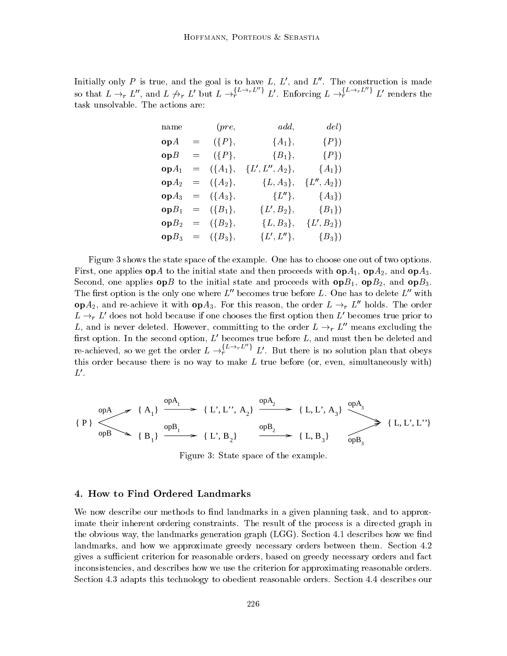Initially only P is true, and the goal is to have  $L, L'$ , and  $L''$ . The construction is made so that  $L \to_r L''$ , and  $L \not\to_r L'$  but  $L \to_r^{L \to_r L''} L'$ . Enforcing  $L \to_r^{L \to_r L''} L'$  renders the task unsolvable. The actions are:

| name                | (pre,                       | add,                               | del)                    |  |
|---------------------|-----------------------------|------------------------------------|-------------------------|--|
| $\mathbf{op} A$     | $=$ $({P},$                 | $\{A_1\},\$                        | $\{P\}$                 |  |
|                     | $opB = (\lbrace P \rbrace,$ | ${B_1},$                           | $\{P\}$                 |  |
| $opA_1$             |                             | $= \{ \{A_1\}, \{L', L'', A_2\},\$ | ${A_1}$                 |  |
| $opA_2$             | $=$ $({A_2},$               |                                    | ${L, A_3}, {L'', A_2}$  |  |
|                     | $op A_3 = (\{A_3\},$        | $\{L''\},\$                        | ${A_3}$                 |  |
| $opB_1$             | $= \{B_1\},\$               | ${L', B_2},$                       | $\{B_1\}$               |  |
| ${\bf o}{\bf p}B_2$ | $= \{B_2\},\$               |                                    | ${L, B_3}, \{L', B_2\}$ |  |
|                     | $opB_3 = (\{B_3\},$         | $\{L',L''\},\$                     | $\{B_3\}$               |  |

Figure 3 shows the state space of the example. One has to choose one out of two options. First, one applies  $\mathbf{op} A$  to the initial state and then proceeds with  $\mathbf{op} A_1$ ,  $\mathbf{op} A_2$ , and  $\mathbf{op} A_3$ . Second, one applies  $\mathbf{op}B$  to the initial state and proceeds with  $\mathbf{op}B_1$ ,  $\mathbf{op}B_2$ , and  $\mathbf{op}B_3$ . The first option is the only one where  $L''$  becomes true before L. One has to delete  $L''$  with op $A_2$ , and re-achieve it with op $A_3$ . For this reason, the order  $L \rightarrow r L''$  holds. The order  $L \rightarrow r L'$  does not hold because if one chooses the first option then L' becomes true prior to L, and is never deleted. However, committing to the order  $L \rightarrow_r L^{\prime\prime}$  means excluding the first option. In the second option,  $L'$  becomes true before  $L$ , and must then be deleted and re-achieved, so we get the order  $L \rightarrow_t^{\{L \rightarrow_r L''\}} L'$ . But there is no solution plan that obeys this order because there is no way to make  $L$  true before (or, even, simultaneously with)  $L'.$ 

$$
\{P\} \longrightarrow \{A_1\} \xrightarrow{\text{op } A_1} \{L', L'', A_2\} \xrightarrow{\text{op } A_2} \{L, L', A_3\} \xrightarrow{\text{op } A_3} \{L, L', L''\}
$$

$$
\{P\} \longrightarrow \{B_1\} \xrightarrow{\text{op } B_1} \{L', B_2\} \xrightarrow{\text{op } B_2} \{L, B_3\} \xrightarrow{\text{op } B_3} \{L, L', L''\}
$$

Figure 3: State space of the example.

#### 4. How to Find Ordered Landmarks

We now describe our methods to find landmarks in a given planning task, and to approximate their inherent ordering constraints. The result of the process is a directed graph in the obvious way, the landmarks generation graph  $(LGG)$ . Section 4.1 describes how we find landmarks, and how we approximate greedy necessary orders between them. Section 4.2 gives a sufficient criterion for reasonable orders, based on greedy necessary orders and fact inconsistencies, and describes how we use the criterion for approximating reasonable orders. Section 4.3 adapts this technology to obedient reasonable orders. Section 4.4 describes our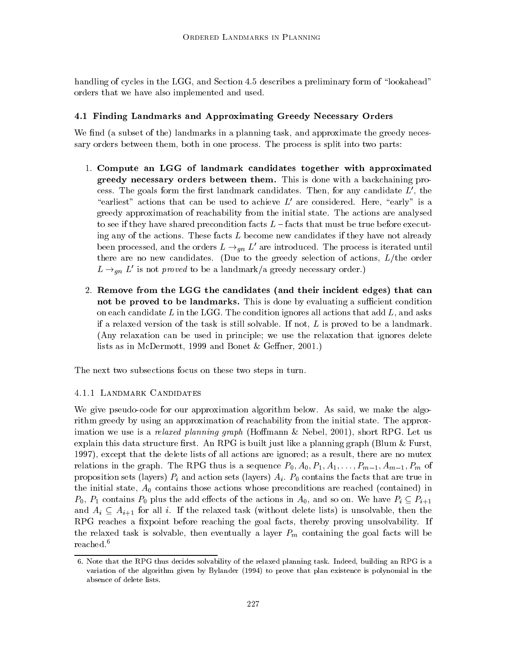handling of cycles in the LGG, and Section 4.5 describes a preliminary form of "lookahead" orders that we have also implemented and used.

## 4.1 Finding Landmarks and Approximating Greedy Necessary Orders

We find (a subset of the) landmarks in a planning task, and approximate the greedy necessary orders between them, both in one process. The process is split into two parts:

- 1. Compute an LGG of landmark candidates together with approximated greedy necessary orders between them. This is done with a backchaining process. The goals form the first landmark candidates. Then, for any candidate  $L'$ , the "earliest" actions that can be used to achieve  $L'$  are considered. Here, "early" is a greedy approximation of reachability from the initial state. The actions are analysed to see if they have shared precondition facts  $L -$  facts that must be true before executing any of the actions. These facts  $L$  become new candidates if they have not already been processed, and the orders  $L \rightarrow_{qn} L'$  are introduced. The process is iterated until there are no new candidates. (Due to the greedy selection of actions,  $L/\text{the order}$ )  $L \rightarrow_{an} L'$  is not proved to be a landmark/a greedy necessary order.)
- 2. Remove from the LGG the candidates (and their incident edges) that can not be proved to be landmarks. This is done by evaluating a sufficient condition on each candidate L in the LGG. The condition ignores all actions that add  $L$ , and asks if a relaxed version of the task is still solvable. If not,  $L$  is proved to be a landmark. (Any relaxation can be used in principle; we use the relaxation that ignores delete lists as in McDermott, 1999 and Bonet & Geffner, 2001.)

The next two subsections focus on these two steps in turn.

## 4.1.1 LANDMARK CANDIDATES

We give pseudo-code for our approximation algorithm below. As said, we make the algorithm greedy by using an approximation of reachability from the initial state. The approximation we use is a *relaxed planning graph* (Hoffmann  $\&$  Nebel, 2001), short RPG. Let us explain this data structure first. An RPG is built just like a planning graph (Blum  $\&$  Furst, 1997), except that the delete lists of all actions are ignored; as a result, there are no mutex relations in the graph. The RPG thus is a sequence  $P_0$ ,  $A_0$ ,  $P_1$ ,  $A_1$ ,  $\ldots$ ,  $P_{m-1}$ ,  $A_{m-1}$ ,  $P_m$  of proposition sets (layers)  $P_i$  and action sets (layers)  $A_i$ .  $P_0$  contains the facts that are true in the initial state,  $A_0$  contains those actions whose preconditions are reached (contained) in  $P_0$ ,  $P_1$  contains  $P_0$  plus the add effects of the actions in  $A_0$ , and so on. We have  $P_i \subseteq P_{i+1}$ and  $A_i \subseteq A_{i+1}$  for all i. If the relaxed task (without delete lists) is unsolvable, then the RPG reaches a fixpoint before reaching the goal facts, thereby proving unsolvability. If the relaxed task is solvable, then eventually a layer  $P_m$  containing the goal facts will be reached.6

<sup>6.</sup> Note that the RPG thus decides solvability of the relaxed planning task. Indeed, building an RPG is a variation of the algorithm given by Bylander (1994) to prove that plan existence is polynomial in the absence of delete lists.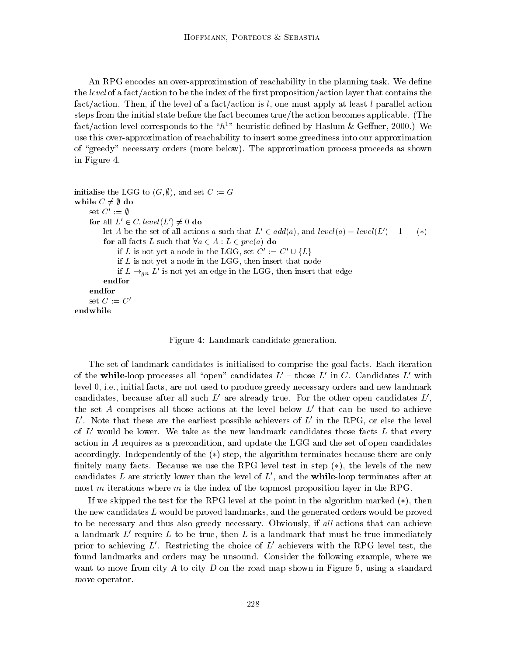An RPG encodes an over-approximation of reachability in the planning task. We define the level of a fact/action to be the index of the first proposition/action layer that contains the fact/action. Then, if the level of a fact/action is l, one must apply at least l parallel action steps from the initial state before the fact becomes true/the action becomes applicable. (The fact/action level corresponds to the " $h^{1}$ " heuristic defined by Haslum & Geffner, 2000.) We use this over-approximation of reachability to insert some greediness into our approximation of "greedy" necessary orders (more below). The approximation process proceeds as shown in Figure 4.

```
initialise the LGG to (G, \emptyset), and set C := Gwhile C \neq \emptyset do
     set C' := \emptysetfor all L' \in C, level(L') \neq 0 do
           let A be the set of all actions a such that L' \in add(a), and level(a) = level(L') - 1 (*)<br>
for all facts L such that \forall a \in A : L \in pre(a) do<br>
if L is not yet a node in the LGG, set C' := C' \cup \{L\}for all facts L such that \forall a \in A : L \in pre(a) do
                if L is not yet a node in the LGG, then insert that node
                 if L \rightarrow_{\textit{an}} L is not yet an edge in the LGG, then insert that edge
           endfor
     endfor
     set C := C'endwhile
```
Figure 4: Landmark candidate generation.

The set of landmark candidates is initialised to comprise the goal facts. Each iteration of the while-loop processes all "open" candidates  $L'$  - those  $L'$  in C. Candidates  $L'$  with level 0, i.e., initial facts, are not used to produce greedy necessary orders and new landmark candidates, because after all such  $L'$  are already true. For the other open candidates  $L'$ . the set A comprises all those actions at the level below  $L'$  that can be used to achieve  $L^{\prime}$ . Note that these are the earliest possible achievers of  $L^{\prime}$  in the RPG, or else the level of  $L'$  would be lower. We take as the new landmark candidates those facts  $L$  that every action in A requires as a precondition, and update the LGG and the set of open candidates accordingly. Independently of the  $(*)$  step, the algorithm terminates because there are only finitely many facts. Because we use the RPG level test in step  $(*)$ , the levels of the new candidates L are strictly lower than the level of  $L'$ , and the while-loop terminates after at most m iterations where m is the index of the topmost proposition layer in the RPG.

If we skipped the test for the RPG level at the point in the algorithm marked  $(*)$ , then the new candidates  $L$  would be proved landmarks, and the generated orders would be proved to be necessary and thus also greedy necessary. Obviously, if all actions that can achieve a landmark  $L'$  require L to be true, then L is a landmark that must be true immediately prior to achieving  $L'$ . Restricting the choice of  $L'$  achievers with the RPG level test, the found landmarks and orders may be unsound. Consider the following example, where we want to move from city A to city D on the road map shown in Figure 5, using a standard move operator.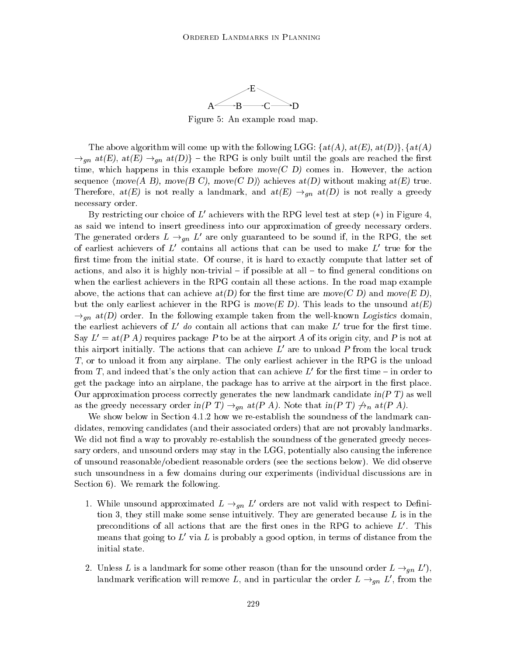

Figure 5: An example road map.

The above algorithm will come up with the following LGG:  $\{at(A), at(E), at(D)\}, \{at(A)$  $\rightarrow_{gn}$  at(E), at(E)  $\rightarrow_{gn}$  at(D)} – the RPG is only built until the goals are reached the first time, which happens in this example before move  $(C D)$  comes in. However, the action sequence  $\langle \text{move}(A \ B), \text{move}(B \ C), \text{move}(C \ D) \rangle$  achieves  $at(D)$  without making  $at(E)$  true. Therefore,  $at(E)$  is not really a landmark, and  $at(E) \rightarrow_{qn} at(D)$  is not really a greedy necessary order.

By restricting our choice of  $L'$  achievers with the RPG level test at step  $(*)$  in Figure 4. as said we intend to insert greediness into our approximation of greedy necessary orders. The generated orders  $L \rightarrow_{qn} L'$  are only guaranteed to be sound if, in the RPG, the set of earliest achievers of  $L'$  contains all actions that can be used to make  $L'$  true for the first time from the initial state. Of course, it is hard to exactly compute that latter set of actions, and also it is highly non-trivial  $-$  if possible at all  $-$  to find general conditions on when the earliest achievers in the RPG contain all these actions. In the road map example above, the actions that can achieve  $at(D)$  for the first time are move  $(C D)$  and move  $(E D)$ , but the only earliest achiever in the RPG is move  $(E D)$ . This leads to the unsound  $at(E)$  $\rightarrow_{\text{an}}$  at(D) order. In the following example taken from the well-known Logistics domain, the earliest achievers of  $L^{\prime}$  do contain all actions that can make  $L^{\prime}$  true for the first time. Say  $L' = at(P A)$  requires package P to be at the airport A of its origin city, and P is not at this airport initially. The actions that can achieve  $L'$  are to unload P from the local truck T, or to unload it from any airplane. The only earliest achiever in the RPG is the unload from T, and indeed that's the only action that can achieve  $L'$  for the first time – in order to get the package into an airplane, the package has to arrive at the airport in the first place. Our approximation process correctly generates the new landmark candidate  $\text{in}(P \, T)$  as well as the greedy necessary order in(P T)  $\rightarrow_{gn}$  at(P A). Note that in(P T)  $\nrightarrow_n$  at(P A).

We show below in Section 4.1.2 how we re-establish the soundness of the landmark candidates, removing candidates (and their associated orders) that are not provably landmarks. We did not find a way to provably re-establish the soundness of the generated greedy necessary orders, and unsound orders may stay in the LGG, potentially also causing the inference of unsound reasonable/obedient reasonable orders (see the sections below). We did observe such unsoundness in a few domains during our experiments (individual discussions are in Section 6). We remark the following.

- 1. While unsound approximated  $L \rightarrow_{gn} L'$  orders are not valid with respect to Definition 3, they still make some sense intuitively. They are generated because  $L$  is in the preconditions of all actions that are the first ones in the RPG to achieve  $L'$ . This means that going to  $L'$  via  $L$  is probably a good option, in terms of distance from the initial state.
- 2. Unless L is a landmark for some other reason (than for the unsound order  $L \rightarrow_{qn} L'$ ), landmark verification will remove L, and in particular the order  $L \rightarrow_{qn} L'$ , from the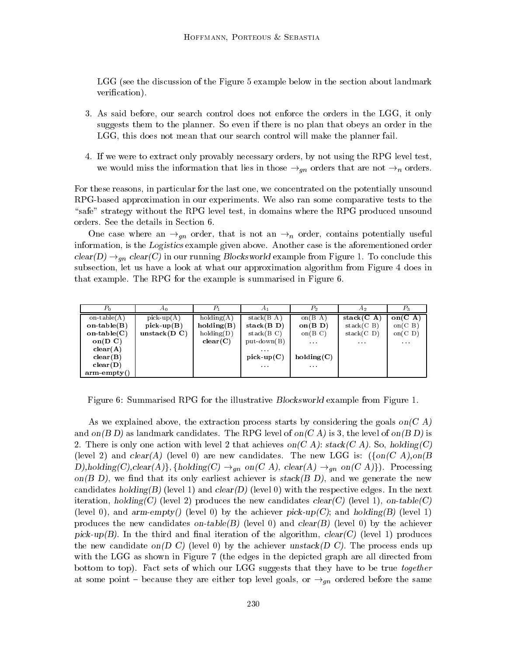LGG (see the discussion of the Figure 5 example below in the section about landmark verification).

- 3. As said before, our search control does not enforce the orders in the LGG, it only suggests them to the planner. So even if there is no plan that obeys an order in the LGG, this does not mean that our search control will make the planner fail.
- 4. If we were to extract only provably necessary orders, by not using the RPG level test, we would miss the information that lies in those  $\rightarrow_{qn}$  orders that are not  $\rightarrow_{n}$  orders.

For these reasons, in particular for the last one, we concentrated on the potentially unsound RPG-based approximation in our experiments. We also ran some comparative tests to the "safe" strategy without the RPG level test, in domains where the RPG produced unsound orders. See the details in Section 6.

One case where an  $\rightarrow_{qn}$  order, that is not an  $\rightarrow_{n}$  order, contains potentially useful information, is the Logistics example given above. Another case is the aforementioned order  $clear(D) \rightarrow_{qn} clear(C)$  in our running Blocksworld example from Figure 1. To conclude this subsection, let us have a look at what our approximation algorithm from Figure 4 does in that example. The RPG for the example is summarised in Figure 6.

| $P_0$                | Αn              | $P_1$      | A1                                             | $P_2$                                | A <sub>2</sub>   | $P_3$                |
|----------------------|-----------------|------------|------------------------------------------------|--------------------------------------|------------------|----------------------|
| on-table $(A)$       | $pick-up(A)$    | holding(A) | stack(B A)                                     | on $(B \ A)$                         | stack $(C \ A)$  | on $(C \; A)$        |
| on-table $(B)$       | pick-up $(B)$   | holding(B) | stack(B D)                                     | on $(B\ D)$                          | stack(C B)       | on(C B)              |
| on-table $(C)$       | unstack $(D C)$ | holding(D) | stack(B C)                                     | on $(B \ C)$                         | stack(C D)       | on(C, D)             |
| $on(D \nC)$          |                 | clear(C)   | $put-down(B)$                                  | $\sim$ $\sim$ $\sim$                 | $\sim$ 10 $\sim$ | $\sim$ $\sim$ $\sim$ |
| clear(A)             |                 |            | $\mathbf{a} \cdot \mathbf{a} \cdot \mathbf{a}$ |                                      |                  |                      |
| clear(B)             |                 |            | pick-up $(C)$                                  | holding(C)                           |                  |                      |
| clear(D)             |                 |            | $\mathbf{r} \rightarrow \mathbf{r}$            | $\mathbf{a}=\mathbf{a}+\mathbf{a}$ . |                  |                      |
| $arm\text{-}empty()$ |                 |            |                                                |                                      |                  |                      |

Figure 6: Summarised RPG for the illustrative Blocksworld example from Figure 1.

As we explained above, the extraction process starts by considering the goals on  $(C \Lambda)$ and on(B D) as landmark candidates. The RPG level of on(C A) is 3, the level of on(B D) is 2. There is only one action with level 2 that achieves on  $(C \ A)$ : stack  $(C \ A)$ . So, holding  $(C)$ (level 2) and  $clear(A)$  (level 0) are new candidates. The new LGG is:  $({on(C A),on(B A))}$ D),holding(C),clear(A)}, {holding(C)  $\rightarrow_{gn}$  on(C A), clear(A)  $\rightarrow_{gn}$  on(C A)}). Processing on  $(B\,D)$ , we find that its only earliest achiever is stack  $(B\,D)$ , and we generate the new candidates holding(B) (level 1) and clear(D) (level 0) with the respective edges. In the next iteration, holding(C) (level 2) produces the new candidates  $clear(C)$  (level 1), on-table(C) (level 0), and arm-empty() (level 0) by the achiever pick-up(C); and holding(B) (level 1) produces the new candidates on-table(B) (level 0) and clear(B) (level 0) by the achiever pick-up(B). In the third and final iteration of the algorithm, clear(C) (level 1) produces the new candidate on(D C) (level 0) by the achiever unstack(D C). The process ends up with the LGG as shown in Figure 7 (the edges in the depicted graph are all directed from bottom to top). Fact sets of which our LGG suggests that they have to be true together at some point – because they are either top level goals, or  $\rightarrow_{qn}$  ordered before the same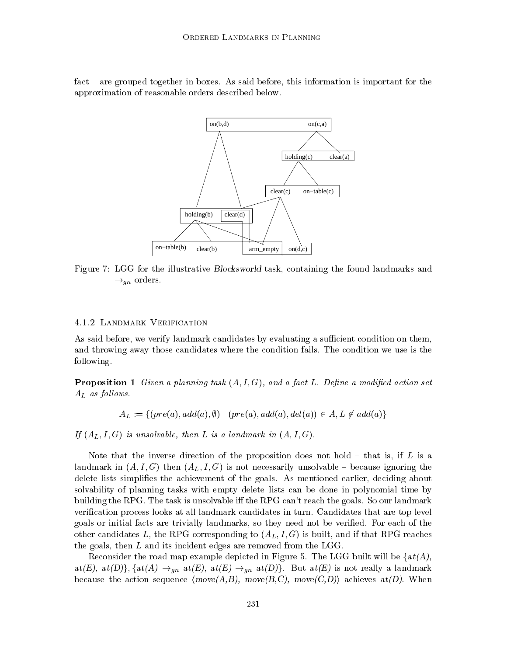fact – are grouped together in boxes. As said before, this information is important for the approximation of reasonable orders described below.



Figure 7: LGG for the illustrative Blocksworld task, containing the found landmarks and  $\rightarrow_{gn}$  orders.

#### 4.1.2 Landmark Verification

As said before, we verify landmark candidates by evaluating a sufficient condition on them, and throwing away those candidates where the condition fails. The condition we use is the following.

**Proposition 1** Given a planning task  $(A, I, G)$ , and a fact L. Define a modified action set  $A_L$  as follows.

$$
A_L := \{ (pre(a), add(a), \emptyset) \mid (pre(a), add(a), del(a)) \in A, L \notin add(a) \}
$$

If  $(A_L, I, G)$  is unsolvable, then L is a landmark in  $(A, I, G)$ .

Note that the inverse direction of the proposition does not hold  $-$  that is, if L is a landmark in  $(A, I, G)$  then  $(A<sub>L</sub>, I, G)$  is not necessarily unsolvable – because ignoring the delete lists simplifies the achievement of the goals. As mentioned earlier, deciding about solvability of planning tasks with empty delete lists can be done in polynomial time by building the RPG. The task is unsolvable iff the RPG can't reach the goals. So our landmark verification process looks at all landmark candidates in turn. Candidates that are top level goals or initial facts are trivially landmarks, so they need not be veried. For each of the other candidates L, the RPG corresponding to  $(A_L, I, G)$  is built, and if that RPG reaches the goals, then  $L$  and its incident edges are removed from the LGG.

Reconsider the road map example depicted in Figure 5. The LGG built will be  $\{at(A),$  $at(E), at(D)$ },  $\{at(A) \rightarrow_{gn} at(E), at(E) \rightarrow_{gn} at(D)\}$ . But  $at(E)$  is not really a landmark because the action sequence  $(move(A,B), move(B,C), move(C,D))$  achieves  $at(D)$ . When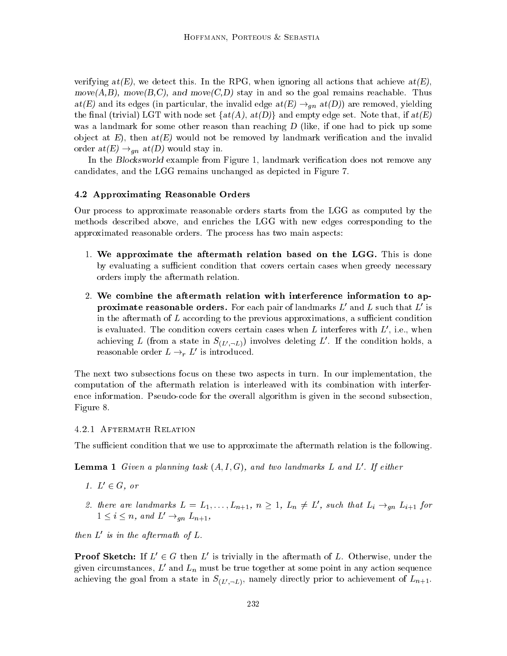verifying  $at(E)$ , we detect this. In the RPG, when ignoring all actions that achieve  $at(E)$ , move $(A,B)$ , move $(B,C)$ , and move $(C,D)$  stay in and so the goal remains reachable. Thus  $at(E)$  and its edges (in particular, the invalid edge  $at(E) \rightarrow_{qn} at(D)$ ) are removed, yielding the final (trivial) LGT with node set  $\{at(A), at(D)\}\$ and empty edge set. Note that, if  $at(E)$ was a landmark for some other reason than reaching D (like, if one had to pick up some object at  $E$ ), then  $at(E)$  would not be removed by landmark verification and the invalid order  $at(E) \rightarrow_{gn} at(D)$  would stay in.

In the Blocksworld example from Figure 1, landmark verification does not remove any candidates, and the LGG remains unchanged as depicted in Figure 7.

#### 4.2 Approximating Reasonable Orders

Our process to approximate reasonable orders starts from the LGG as computed by the methods described above, and enriches the LGG with new edges corresponding to the approximated reasonable orders. The process has two main aspects:

- 1. We approximate the aftermath relation based on the LGG. This is done by evaluating a sufficient condition that covers certain cases when greedy necessary orders imply the aftermath relation.
- 2. We combine the aftermath relation with interference information to ap**proximate reasonable orders.** For each pair of landmarks  $L'$  and  $L$  such that  $L'$  is in the aftermath of  $L$  according to the previous approximations, a sufficient condition is evaluated. The condition covers certain cases when L interferes with  $L'$ , i.e., when achieving L (from a state in  $S_{(L',-L)}$ ) involves deleting L'. If the condition holds, a reasonable order  $L \rightarrow_r L'$  is introduced.

The next two subsections focus on these two aspects in turn. In our implementation, the computation of the aftermath relation is interleaved with its combination with interference information. Pseudo-code for the overall algorithm is given in the second subsection, Figure 8.

#### 4.2.1 Aftermath Relation

The sufficient condition that we use to approximate the aftermath relation is the following.

**Lemma 1** Given a planning task  $(A, I, G)$ , and two landmarks L and L'. If either

- 1.  $L' \in G$ , or
- 2. there are landmarks  $L = L_1, \ldots, L_{n+1}, n \geq 1, L_n \neq L'$ , such that  $L_i \rightarrow_{qn} L_{i+1}$  for  $1 \leq i \leq n$ , and  $L' \rightarrow_{\text{an}} L_{n+1}$ ,

then  $L'$  is in the aftermath of  $L$ .

**Proof Sketch:** If  $L' \in G$  then L' is trivially in the aftermath of L. Otherwise, under the given circumstances,  $L'$  and  $L_n$  must be true together at some point in any action sequence achieving the goal from a state in  $S_{(L',-L)}$ , namely directly prior to achievement of  $L_{n+1}$ .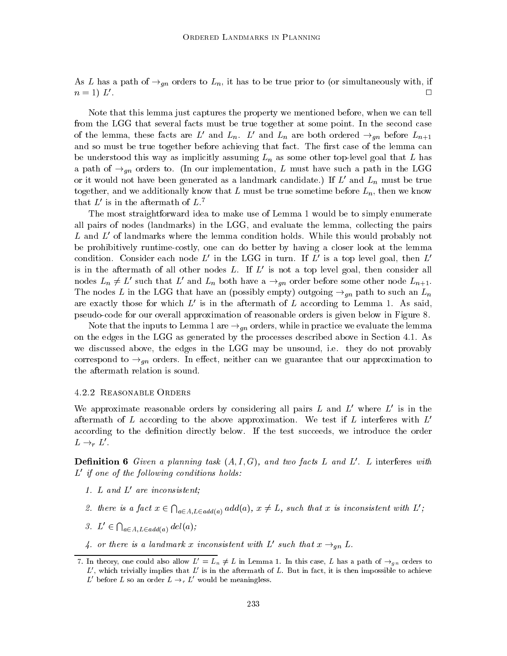As L has a path of  $\rightarrow_{qn}$  orders to L<sub>n</sub>, it has to be true prior to (or simultaneously with, if  $n = 1)$   $L'$ .

Note that this lemma just captures the property we mentioned before, when we can tell from the LGG that several facts must be true together at some point. In the second case of the lemma, these facts are L' and  $L_n$ . L' and  $L_n$  are both ordered  $\rightarrow_{qn}$  before  $L_{n+1}$ and so must be true together before achieving that fact. The first case of the lemma can be understood this way as implicitly assuming  $L_n$  as some other top-level goal that L has a path of  $\rightarrow_{qn}$  orders to. (In our implementation, L must have such a path in the LGG or it would not have been generated as a landmark candidate.) If  $L'$  and  $L_n$  must be true together, and we additionally know that  $L$  must be true sometime before  $L_n$ , then we know that  $L'$  is in the aftermath of  $L^7$ .

The most straightforward idea to make use of Lemma 1 would be to simply enumerate all pairs of nodes (landmarks) in the LGG, and evaluate the lemma, collecting the pairs  $L$  and  $L'$  of landmarks where the lemma condition holds. While this would probably not be prohibitively runtime-costly, one can do better by having a closer look at the lemma condition. Consider each node L' in the LGG in turn. If L' is a top level goal, then  $L'$ is in the aftermath of all other nodes L. If  $L'$  is not a top level goal, then consider all nodes  $L_n \neq L'$  such that  $L'$  and  $L_n$  both have a  $\rightarrow_{gn}$  order before some other node  $L_{n+1}$ . The nodes L in the LGG that have an (possibly empty) outgoing  $\rightarrow_{gn}$  path to such an  $L_n$ are exactly those for which  $L'$  is in the aftermath of  $L$  according to Lemma 1. As said, pseudo-code for our overall approximation of reasonable orders is given below in Figure 8.

Note that the inputs to Lemma 1 are  $\rightarrow_{gn}$  orders, while in practice we evaluate the lemma on the edges in the LGG as generated by the processes described above in Section 4.1. As we discussed above, the edges in the LGG may be unsound, i.e. they do not provably correspond to  $\rightarrow_{qn}$  orders. In effect, neither can we guarantee that our approximation to the aftermath relation is sound.

#### 4.2.2 Reasonable Orders

We approximate reasonable orders by considering all pairs  $L$  and  $L'$  where  $L'$  is in the aftermath of L according to the above approximation. We test if L interferes with  $L<sup>1</sup>$ according to the definition directly below. If the test succeeds, we introduce the order  $L \rightarrow_r L'.$ 

**Definition 6** Given a planning task  $(A, I, G)$ , and two facts L and L'. L interferes with  $L'$  if one of the following conditions holds:

- 1. L and  $L'$  are inconsistent;
- 2. there is a fact  $x \in \bigcap_{a \in A, L \in add(a)} add(a), x \neq L$ , such that x is inconsistent with  $L'$ ;
- 3.  $L' \in \bigcap_{a \in A, L \in add(a)} del(a);$
- 4. or there is a landmark x inconsistent with L' such that  $x \rightarrow_{qn} L$ .

<sup>7.</sup> In theory, one could also allow  $L' = L_n \neq L$  in Lemma 1. In this case, L has a path of  $\rightarrow_{gn}$  orders to  $L'$ , which trivially implies that  $L'$  is in the aftermath of L. But in fact, it is then impossible to achieve  $L'$  before L so an order  $L \rightarrow r L'$  would be meaningless.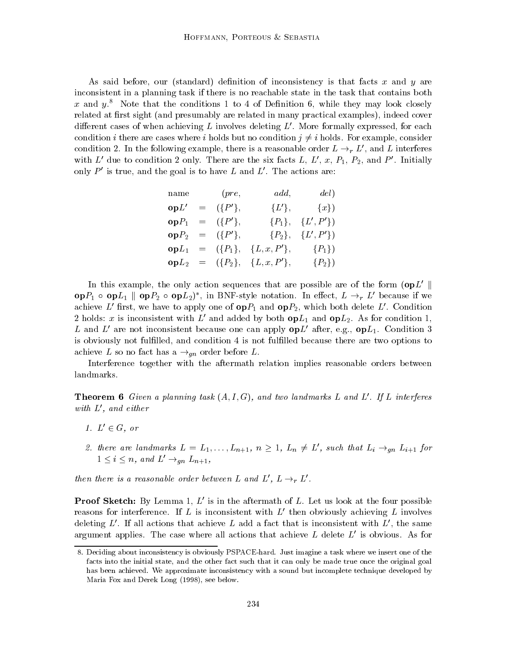As said before, our (standard) definition of inconsistency is that facts  $x$  and  $y$  are inconsistent in a planning task if there is no reachable state in the task that contains both x and  $y$ <sup>8</sup>. Note that the conditions 1 to 4 of Definition 6, while they may look closely related at first sight (and presumably are related in many practical examples), indeed cover different cases of when achieving L involves deleting  $L'$ . More formally expressed, for each condition i there are cases where i holds but no condition  $i \neq i$  holds. For example, consider condition 2. In the following example, there is a reasonable order  $L \rightarrow r L'$ , and L interferes with  $L'$  due to condition 2 only. There are the six facts L, L', x, P<sub>1</sub>, P<sub>2</sub>, and P'. Initially only  $P'$  is true, and the goal is to have L and L'. The actions are:

| name | (pre,               | add,                                               | del)           |  |
|------|---------------------|----------------------------------------------------|----------------|--|
|      | $opL' = (\{P'\},$   |                                                    | ${L'}$ , ${x}$ |  |
|      | $opP_1 = (\{P'\},\$ | $\{P_1\}, \{L', P'\}\$                             |                |  |
|      |                     | $opP_2 = (\{P'\}, \{P_2\}, \{L', P'\})$            |                |  |
|      |                     | $opL_1 = (\{P_1\}, \{L, x, P'\}, \{P_1\})$         |                |  |
|      |                     | <b>op</b> $L_2 = (\{P_2\}, \{L, x, P'\}, \{P_2\})$ |                |  |

In this example, the only action sequences that are possible are of the form  $(\mathbf{op}L' \parallel$ op $P_1 \circ \textbf{op} L_1 \parallel \textbf{op} P_2 \circ \textbf{op} L_2)^*$ , in BNF-style notation. In effect,  $L \rightarrow_r L'$  because if we achieve L' first, we have to apply one of  $opP_1$  and  $opP_2$ , which both delete L'. Condition 2 holds: x is inconsistent with L' and added by both  $opL_1$  and  $opL_2$ . As for condition 1, L and L' are not inconsistent because one can apply  $opL'$  after, e.g.,  $opL_1$ . Condition 3 is obviously not fulfilled, and condition 4 is not fulfilled because there are two options to achieve L so no fact has a  $\rightarrow_{qn}$  order before L.

Interference together with the aftermath relation implies reasonable orders between landmarks.

**Theorem 6** Given a planning task  $(A, I, G)$ , and two landmarks L and L'. If L interferes with  $L'$ , and either

- 1.  $L' \in G$ , or
- 2. there are landmarks  $L = L_1, \ldots, L_{n+1}, n \geq 1, L_n \neq L'$ , such that  $L_i \rightarrow_{gn} L_{i+1}$  for  $1 \leq i \leq n$ , and  $L' \rightarrow_{qn} L_{n+1}$ ,

then there is a reasonable order between L and  $L', L \rightarrow_r L'$ .

**Proof Sketch:** By Lemma 1,  $L'$  is in the aftermath of L. Let us look at the four possible reasons for interference. If L is inconsistent with  $L'$  then obviously achieving L involves deleting  $L'$ . If all actions that achieve L add a fact that is inconsistent with  $L'$ , the same argument applies. The case where all actions that achieve L delete  $L'$  is obvious. As for

<sup>8.</sup> Deciding about inconsistency is obviously PSPACE-hard. Just imagine a task where we insert one of the facts into the initial state, and the other fact such that it can only be made true once the original goal has been achieved. We approximate inconsistency with a sound but incomplete technique developed by Maria Fox and Derek Long (1998), see below.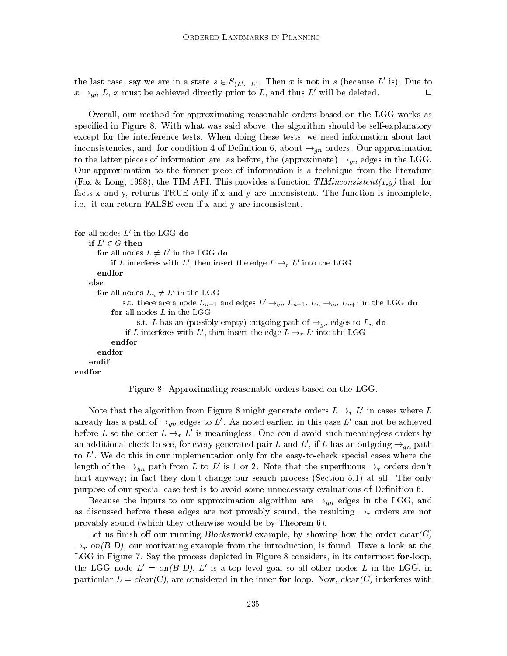the last case, say we are in a state  $s \in S_{(L',-L)}$ . Then x is not in s (because L' is). Due to  $x \rightarrow_{gn} L$ , x must be achieved directly prior to L, and thus L' will be deleted.

Overall, our method for approximating reasonable orders based on the LGG works as specied in Figure 8. With what was said above, the algorithm should be self-explanatory except for the interference tests. When doing these tests, we need information about fact inconsistencies, and, for condition 4 of Definition 6, about  $\rightarrow_{gn}$  orders. Our approximation to the latter pieces of information are, as before, the (approximate)  $\rightarrow_{qn}$  edges in the LGG. Our approximation to the former piece of information is a technique from the literature (Fox & Long, 1998), the TIM API. This provides a function  $\mathit{TIM} \mathit{inconsistent}(x,y)$  that, for facts x and y, returns TRUE only if x and y are inconsistent. The function is incomplete, i.e., it can return FALSE even if x and y are inconsistent.

```
for all nodes L' in the LGG do
   if L' \in G then
      for all nodes L \neq L' in the LGG do
          if L interferes with L , then insert the edge L \rightarrow_r L into the LGG
      endfor
   else
      for all nodes L_n \neq L_0 in the LGG
             s.t. there are a node L_{n+1} and edges L' \rightarrow_{gn} L_{n+1}, L_n \rightarrow_{gn} L_{n+1} in the LGG do
          for all nodes L in the LGG
                  s.t. L has an (possibly empty) outgoing path of \rightarrow_{an} edges to L_n do
               if L interferes with L , then insert the edge L \rightarrow_{r} L -filto the LGG
          endfor
      endfor
endfor
```


Note that the algorithm from Figure 8 might generate orders  $L \rightarrow_r L'$  in cases where L already has a path of  $\rightarrow_{qn}$  edges to L'. As noted earlier, in this case L' can not be achieved before L so the order  $L \rightarrow r L'$  is meaningless. One could avoid such meaningless orders by an additional check to see, for every generated pair L and L', if L has an outgoing  $\rightarrow_{qn}$  path to  $L'$ . We do this in our implementation only for the easy-to-check special cases where the length of the  $\rightarrow_{qn}$  path from L to L' is 1 or 2. Note that the superfluous  $\rightarrow_r$  orders don't hurt anyway; in fact they don't change our search process (Section 5.1) at all. The only purpose of our special case test is to avoid some unnecessary evaluations of Denition 6.

Because the inputs to our approximation algorithm are  $\rightarrow_{gn}$  edges in the LGG, and as discussed before these edges are not provably sound, the resulting  $\rightarrow_r$  orders are not provably sound (which they otherwise would be by Theorem 6).

Let us finish off our running Blocksworld example, by showing how the order  $clear(C)$  $\rightarrow_r$  on(B D), our motivating example from the introduction, is found. Have a look at the LGG in Figure 7. Say the process depicted in Figure 8 considers, in its outermost for-loop, the LGG node  $L' = on(B D)$ . L' is a top level goal so all other nodes L in the LGG, in particular  $L = clear(C)$ , are considered in the inner for-loop. Now,  $clear(C)$  interferes with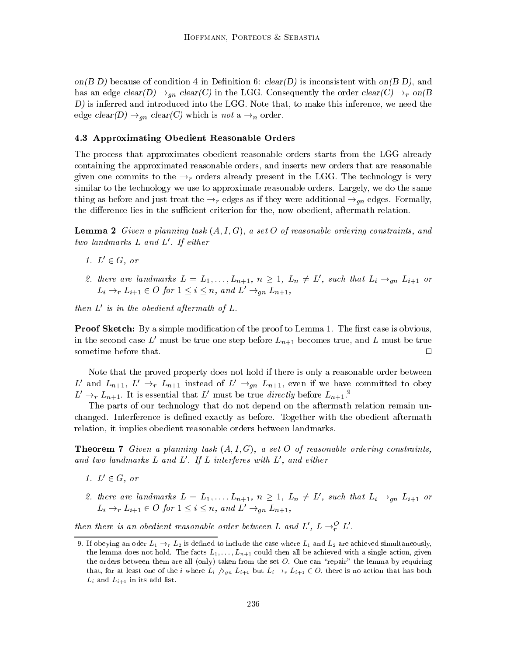on  $(B\,D)$  because of condition 4 in Definition 6:  $clear(D)$  is inconsistent with on  $(B\,D)$ , and has an edge clear(D)  $\rightarrow_{qn}$  clear(C) in the LGG. Consequently the order clear(C)  $\rightarrow_{r}$  on(B) D) is inferred and introduced into the LGG. Note that, to make this inference, we need the edge  $clear(D) \rightarrow_{qn} clear(C)$  which is not a  $\rightarrow_{n}$  order.

#### 4.3 Approximating Obedient Reasonable Orders

The process that approximates obedient reasonable orders starts from the LGG already containing the approximated reasonable orders, and inserts new orders that are reasonable given one commits to the  $\rightarrow_r$  orders already present in the LGG. The technology is very similar to the technology we use to approximate reasonable orders. Largely, we do the same thing as before and just treat the  $\rightarrow_r$  edges as if they were additional  $\rightarrow_{qn}$  edges. Formally, the difference lies in the sufficient criterion for the, now obedient, aftermath relation.

**Lemma 2** Given a planning task  $(A, I, G)$ , a set O of reasonable ordering constraints, and two landmarks  $L$  and  $L'$ . If either

- 1.  $L' \in G$ , or
- 2. there are landmarks  $L = L_1, \ldots, L_{n+1}, n \geq 1, L_n \neq L'$ , such that  $L_i \rightarrow_{gn} L_{i+1}$  or  $L_i \rightarrow_r L_{i+1} \in O$  for  $1 \leq i \leq n$ , and  $L' \rightarrow_{qn} L_{n+1}$ ,

then  $L'$  is in the obedient aftermath of  $L$ .

**Proof Sketch:** By a simple modification of the proof to Lemma 1. The first case is obvious, in the second case L' must be true one step before  $L_{n+1}$  becomes true, and L must be true sometime before that.  $\Box$ 

Note that the proved property does not hold if there is only a reasonable order between L' and  $L_{n+1}$ ,  $L' \rightarrow_r L_{n+1}$  instead of  $L' \rightarrow_{gn} L_{n+1}$ , even if we have committed to obey  $L' \rightarrow_r L_{n+1}$ . It is essential that L' must be true directly before  $L_{n+1}$ .

The parts of our technology that do not depend on the aftermath relation remain unchanged. Interference is defined exactly as before. Together with the obedient aftermath relation, it implies obedient reasonable orders between landmarks.

**Theorem 7** Given a planning task  $(A, I, G)$ , a set O of reasonable ordering constraints, and two landmarks  $L$  and  $L'$ . If  $L$  interferes with  $L'$ , and either

- 1.  $L' \in G$ , or
- 2. there are landmarks  $L = L_1, \ldots, L_{n+1}, n \geq 1, L_n \neq L'$ , such that  $L_i \rightarrow_{gn} L_{i+1}$  or  $L_i \rightarrow_r L_{i+1} \in O$  for  $1 \leq i \leq n$ , and  $L' \rightarrow_{\text{an}} L_{n+1}$ ,

then there is an obedient reasonable order between L and L',  $L \rightarrow_{r}^{O} L'$ .

<sup>9.</sup> If obeying an oder  $L_1 \rightarrow r L_2$  is defined to include the case where  $L_1$  and  $L_2$  are achieved simultaneously, the lemma does not hold. The facts  $L_1,\ldots,L_{n+1}$  could then all be achieved with a single action, given the orders between them are all (only) taken from the set  $O$ . One can "repair" the lemma by requiring that, for at least one of the *i* where  $L_i \nrightarrow_{gn} L_{i+1}$  but  $L_i \nrightarrow_r L_{i+1} \in O$ , there is no action that has both Li and Li+1 in its add list.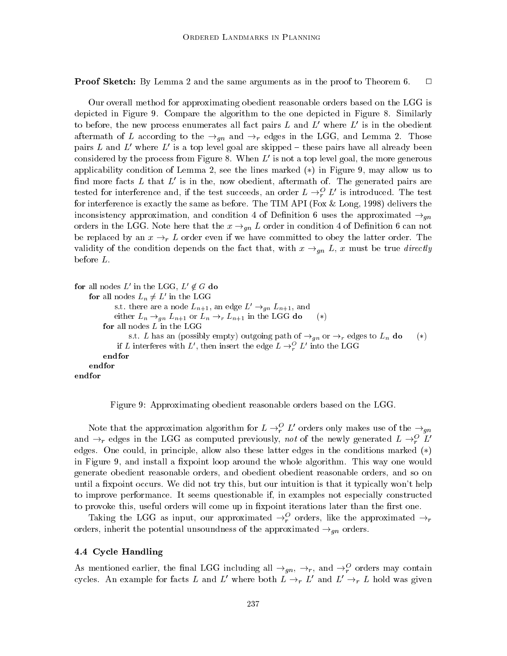**Proof Sketch:** By Lemma 2 and the same arguments as in the proof to Theorem 6.  $\Box$ 

Our overall method for approximating obedient reasonable orders based on the LGG is depicted in Figure 9. Compare the algorithm to the one depicted in Figure 8. Similarly to before, the new process enumerates all fact pairs L and  $L'$  where  $L'$  is in the obedient aftermath of L according to the  $\rightarrow_{qn}$  and  $\rightarrow_{r}$  edges in the LGG, and Lemma 2. Those pairs L and L' where L' is a top level goal are skipped  $-$  these pairs have all already been considered by the process from Figure 8. When  $L'$  is not a top level goal, the more generous applicability condition of Lemma 2, see the lines marked  $(*)$  in Figure 9, may allow us to find more facts L that  $L'$  is in the, now obedient, aftermath of. The generated pairs are tested for interference and, if the test succeeds, an order  $L \rightarrow^{\mathcal{O}}_r L'$  is introduced. The test for interference is exactly the same as before. The TIM API (Fox & Long, 1998) delivers the inconsistency approximation, and condition 4 of Definition 6 uses the approximated  $\rightarrow_{qn}$ orders in the LGG. Note here that the  $x \rightarrow_{gn} L$  order in condition 4 of Definition 6 can not be replaced by an  $x \rightarrow_r L$  order even if we have committed to obey the latter order. The validity of the condition depends on the fact that, with  $x \rightarrow_{qn} L$ , x must be true directly before L.

```
for all nodes L' in the LGG, L' \notin G do
    for all nodes L_n \neq L in the LGG
           s.t. there are a node L_{n+1}, an edge L' \rightarrow_{gn} L_{n+1}, and
            either L_n \rightarrow_{gn} L_{n+1} or L_n \rightarrow_r L_{n+1} in the LGG do (*)
        for all nodes L in the LGG
                s.t. L has an (possibly empty) outgoing path of \rightarrow_{an} or \rightarrow_r edges to L_n do (*)
             if L interferes with L, then insert the edge L \rightarrow_{r}^{\sim} L into the LGG
                                                                  rendfor
    endfor
endfor
```
Figure 9: Approximating obedient reasonable orders based on the LGG.

Note that the approximation algorithm for  $L \rightarrow_{r}^{O} L'$  orders only makes use of the  $\rightarrow_{qn}$ and  $\rightarrow_r$  edges in the LGG as computed previously, not of the newly generated  $L \rightarrow_r^O L'$ edges. One could, in principle, allow also these latter edges in the conditions marked  $(*)$ in Figure 9, and install a fixpoint loop around the whole algorithm. This way one would generate obedient reasonable orders, and obedient obedient reasonable orders, and so on until a fixpoint occurs. We did not try this, but our intuition is that it typically won't help to improve performance. It seems questionable if, in examples not especially constructed to provoke this, useful orders will come up in fixpoint iterations later than the first one.

Taking the LGG as input, our approximated  $\rightarrow_{\tilde{r}}$  orders, like the approximated  $\rightarrow_{r}$ orders, inherit the potential unsoundness of the approximated  $\rightarrow_{\text{an}}$  orders.

#### 4.4 Cycle Handling

As mentioned earlier, the final LGG including an  $\rightarrow_{qn}$ ,  $\rightarrow_{r}$ , and  $\rightarrow_{\tilde{r}}$  orders may contain cycles. An example for facts L and L' where both  $L \rightarrow r L'$  and  $L' \rightarrow r L$  hold was given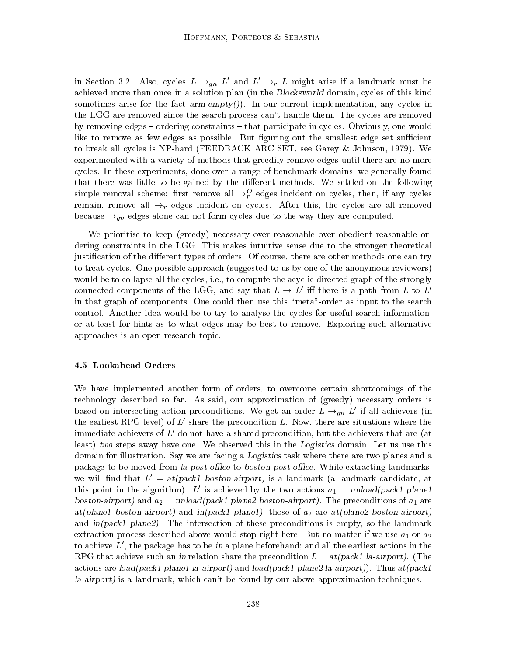in Section 3.2. Also, cycles  $L \rightarrow_{gn} L'$  and  $L' \rightarrow_r L$  might arise if a landmark must be achieved more than once in a solution plan (in the Blocksworld domain, cycles of this kind sometimes arise for the fact  $arm\text{-}empty()$ . In our current implementation, any cycles in the LGG are removed since the search process can't handle them. The cycles are removed by removing edges – ordering constraints – that participate in cycles. Obviously, one would like to remove as few edges as possible. But figuring out the smallest edge set sufficient to break all cycles is NP-hard (FEEDBACK ARC SET, see Garey & Johnson, 1979). We experimented with a variety of methods that greedily remove edges until there are no more cycles. In these experiments, done over a range of benchmark domains, we generally found that there was little to be gained by the different methods. We settled on the following simple removal scheme: first remove all  $\rightarrow_{r}^{\infty}$  edges incident on cycles, then, if any cycles remain, remove all  $\rightarrow_r$  edges incident on cycles. After this, the cycles are all removed because  $\rightarrow_{qn}$  edges alone can not form cycles due to the way they are computed.

We prioritise to keep (greedy) necessary over reasonable over obedient reasonable ordering constraints in the LGG. This makes intuitive sense due to the stronger theoretical justification of the different types of orders. Of course, there are other methods one can try to treat cycles. One possible approach (suggested to us by one of the anonymous reviewers) would be to collapse all the cycles, i.e., to compute the acyclic directed graph of the strongly connected components of the LGG, and say that  $L \to L'$  iff there is a path from L to L<sup>i</sup> in that graph of components. One could then use this \meta"-order as input to the search control. Another idea would be to try to analyse the cycles for useful search information, or at least for hints as to what edges may be best to remove. Exploring such alternative approaches is an open research topic.

#### 4.5 Lookahead Orders

We have implemented another form of orders, to overcome certain shortcomings of the technology described so far. As said, our approximation of (greedy) necessary orders is based on intersecting action preconditions. We get an order  $L \rightarrow_{qn} L'$  if all achievers (in the earliest RPG level) of  $L'$  share the precondition L. Now, there are situations where the immediate achievers of  $L'$  do not have a shared precondition, but the achievers that are (at least) two steps away have one. We observed this in the Logistics domain. Let us use this domain for illustration. Say we are facing a Logistics task where there are two planes and a package to be moved from la-post-office to boston-post-office. While extracting landmarks, we will find that  $L' = at(pack1$  boston-airport) is a landmark (a landmark candidate, at this point in the algorithm). L' is achieved by the two actions  $a_1 = \text{unload}(\text{pack1 planet})$ boston-airport) and  $a_2 = \text{unload}(\text{pack1 plane2} \text{ boston-airport})$ . The preconditions of  $a_1$  are at(plane1 boston-airport) and in(pack1 plane1), those of  $a_2$  are at(plane2 boston-airport) and  $in(pack1 plane2)$ . The intersection of these preconditions is empty, so the landmark extraction process described above would stop right here. But no matter if we use  $a_1$  or  $a_2$ to achieve  $L'$ , the package has to be in a plane beforehand; and all the earliest actions in the RPG that achieve such an in relation share the precondition  $L = \frac{at(pack1 \text{ la-airport})}{L}$ . (The actions are load(pack1 plane1 la-airport) and load(pack1 plane2 la-airport)). Thus at(pack1 la-airport) is a landmark, which can't be found by our above approximation techniques.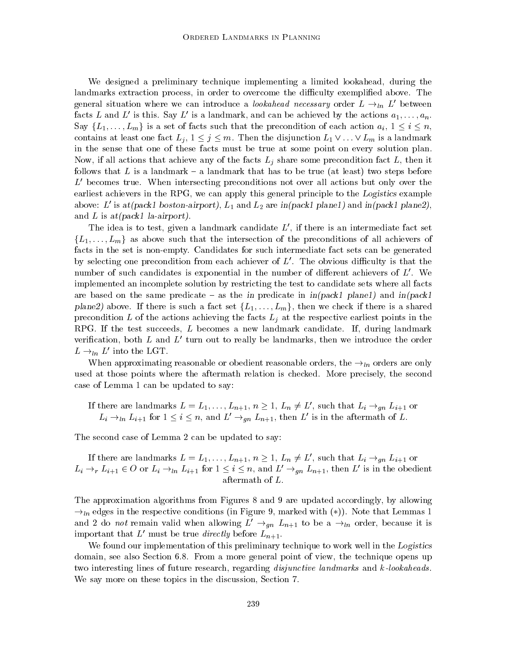We designed a preliminary technique implementing a limited lookahead, during the landmarks extraction process, in order to overcome the difficulty exemplified above. The general situation where we can introduce a *lookahead necessary* order  $L \rightarrow_{ln} L'$  between facts L and L' is this. Say L' is a landmark, and can be achieved by the actions  $a_1,\ldots,a_n$ . Say  $\{L_1,\ldots,L_m\}$  is a set of facts such that the precondition of each action  $a_i, 1 \leq i \leq n$ , contains at least one fact  $L_j$ ,  $1 \leq j \leq m$ . Then the disjunction  $L_1 \vee \ldots \vee L_m$  is a landmark in the sense that one of these facts must be true at some point on every solution plan. Now, if all actions that achieve any of the facts  $L_j$  share some precondition fact  $L$ , then it follows that L is a landmark  $-$  a landmark that has to be true (at least) two steps before  $L<sup>'</sup>$  becomes true. When intersecting preconditions not over all actions but only over the earliest achievers in the RPG, we can apply this general principle to the Logistics example above: L' is at(pack1 boston-airport),  $L_1$  and  $L_2$  are in(pack1 plane1) and in(pack1 plane2), and  $L$  is at (pack1 la-airport).

The idea is to test, given a landmark candidate  $L'$ , if there is an intermediate fact set  $\{L_1,\ldots,L_m\}$  as above such that the intersection of the preconditions of all achievers of facts in the set is non-empty. Candidates for such intermediate fact sets can be generated by selecting one precondition from each achiever of  $L'$ . The obvious difficulty is that the number of such candidates is exponential in the number of different achievers of  $L'$ . We implemented an incomplete solution by restricting the test to candidate sets where all facts are based on the same predicate – as the in predicate in  $in(pack1$  plane1) and  $in(pack1)$ plane2) above. If there is such a fact set  $\{L_1,\ldots,L_m\}$ , then we check if there is a shared precondition L of the actions achieving the facts  $L_j$  at the respective earliest points in the RPG. If the test succeeds, L becomes a new landmark candidate. If, during landmark verification, both  $L$  and  $L'$  turn out to really be landmarks, then we introduce the order  $L \rightarrow_{ln} L'$  into the LGT.

When approximating reasonable or obedient reasonable orders, the  $\rightarrow_{ln}$  orders are only used atthose points where the aftermath relation is checked. More precisely, the second case of Lemma 1 can be updated to say:

If there are landmarks  $L = L_1, \ldots, L_{n+1}, n \geq 1, L_n \neq L'$ , such that  $L_i \rightarrow_{gn} L_{i+1}$  or  $L_i \rightarrow_{ln} L_{i+1}$  for  $1 \leq i \leq n$ , and  $L' \rightarrow_{gn} L_{n+1}$ , then  $L'$  is in the aftermath of L.

The second case of Lemma 2 can be updated to say:

If there are landmarks  $L = L_1, \ldots, L_{n+1}, n \geq 1, L_n \neq L'$ , such that  $L_i \rightarrow_{gn} L_{i+1}$  or  $L_i \rightarrow_r L_{i+1} \in O$  or  $L_i \rightarrow_{ln} L_{i+1}$  for  $1 \leq i \leq n$ , and  $L' \rightarrow_{gn} L_{n+1}$ , then L' is in the obedient aftermath of L.

The approximation algorithms from Figures 8 and 9 are updated accordingly, by allowing  $\rightarrow_{ln}$  edges in the respective conditions (in Figure 9, marked with (\*)). Note that Lemmas 1 and 2 do not remain valid when allowing  $L' \rightarrow_{gn} L_{n+1}$  to be a  $\rightarrow_{ln}$  order, because it is important that  $L'$  must be true *directly* before  $L_{n+1}$ .

We found our implementation of this preliminary technique to work well in the Logistics domain, see also Section 6.8. From a more general point of view, the technique opens up two interesting lines of future research, regarding *disjunctive landmarks* and k-lookaheads. We say more on these topics in the discussion, Section 7.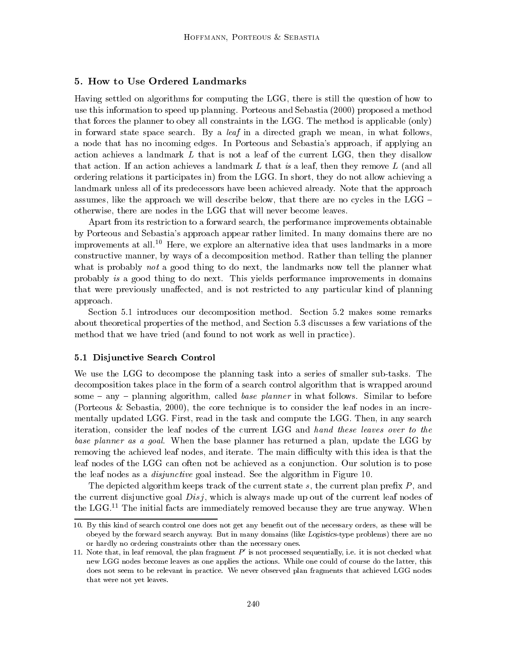#### 5. How to Use Ordered Landmarks

Having settled on algorithms for computing the LGG, there is still the question of how to use this information to speed up planning. Porteous and Sebastia (2000) proposed a method that forces the planner to obey all constraints in the LGG. The method is applicable (only) in forward state space search. By a leaf in a directed graph we mean, in what follows, a node that has no incoming edges. In Porteous and Sebastia's approach, if applying an action achieves a landmark  $L$  that is not a leaf of the current LGG, then they disallow that action. If an action achieves a landmark L that is a leaf, then they remove L (and all ordering relations it participates in) from the LGG. In short, they do not allow achieving a landmark unless all of its predecessors have been achieved already. Note that the approach assumes, like the approach we will describe below, that there are no cycles in the LGG  $$ otherwise, there are nodes in the LGG that will never become leaves.

Apart from its restriction to a forward search, the performance improvements obtainable by Porteous and Sebastia's approach appear rather limited. In many domains there are no improvements at all.<sup>10</sup> Here, we explore an alternative idea that uses landmarks in a more constructive manner, by ways of a decomposition method. Rather than telling the planner what is probably *not* a good thing to do next, the landmarks now tell the planner what probably is a good thing to do next. This yields performance improvements in domains that were previously unaffected, and is not restricted to any particular kind of planning approach.

Section 5.1 introduces our decomposition method. Section 5.2 makes some remarks about theoretical properties of the method, and Section 5.3 discusses a few variations of the method that we have tried (and found to not work as well in practice).

#### 5.1 Disjunctive Search Control

We use the LGG to decompose the planning task into a series of smaller sub-tasks. The decomposition takes place in the form of a search control algorithm that is wrapped around some  $-$  any  $-$  planning algorithm, called *base planner* in what follows. Similar to before (Porteous & Sebastia, 2000), the core technique is to consider the leaf nodes in an incrementally updated LGG. First, read in the task and compute the LGG. Then, in any search iteration, consider the leaf nodes of the current LGG and hand these leaves over to the base planner as a goal. When the base planner has returned a plan, update the LGG by removing the achieved leaf nodes, and iterate. The main difficulty with this idea is that the leaf nodes of the LGG can often not be achieved as a conjunction. Our solution is to pose the leaf nodes as a disjunctive goal instead. See the algorithm in Figure 10.

The depicted algorithm keeps track of the current state  $s$ , the current plan prefix  $P$ , and the current disjunctive goal  $Disj$ , which is always made up out of the current leaf nodes of the LGG.<sup>11</sup> The initial facts are immediately removed because they are true anyway. When

<sup>10.</sup> By this kind of search control one does not get any benet out of the necessary orders, as these will be obeyed by the forward search anyway. But in many domains (like Logistics-type problems) there are no or hardly no ordering constraints other than the necessary ones.

<sup>11.</sup> Note that, in leaf removal, the plan fragment  $P'$  is not processed sequentially, i.e. it is not checked what new LGG nodes become leaves as one applies the actions. While one could of course do the latter, this does not seem to be relevant in practice. We never observed plan fragments that achieved LGG nodes that were not yet leaves.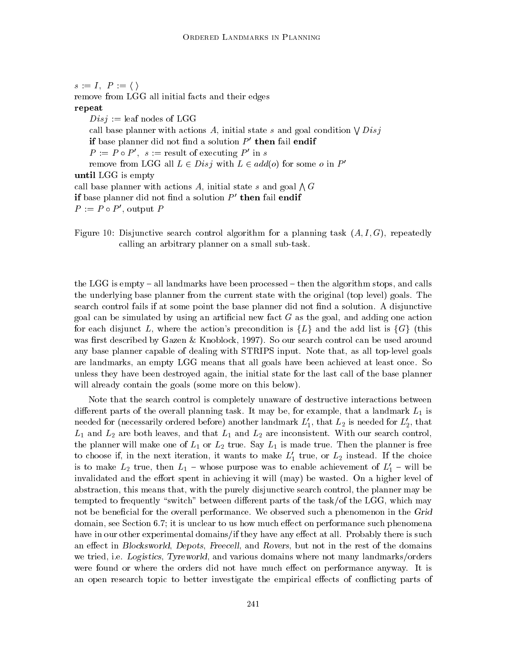$s := I, P := \langle \ \rangle$ 

remove from LGG all initial facts and their edges

repeat

 $Disj :=$  leaf nodes of LGG call base planner with actions A, initial state s and goal condition  $\bigvee Disj$ if base planner did not find a solution  $P'$  then fail endif  $P := P \circ P'$ ,  $s := \text{result of executing } P' \text{ in } s$ remove from LGG all  $L \in Disj$  with  $L \in add(o)$  for some o in P' until LGG is empty call base planner with actions A, initial state s and goal  $\bigwedge G$ if base planner did not find a solution  $P'$  then fail endif  $P := P \circ P'$ , output P

Figure 10: Disjunctive search control algorithm for a planning task  $(A, I, G)$ , repeatedly calling an arbitrary planner on a small sub-task.

the LGG is empty  $-$  all landmarks have been processed  $-$  then the algorithm stops, and calls the underlying base planner from the current state with the original (top level) goals. The search control fails if at some point the base planner did not find a solution. A disjunctive goal can be simulated by using an artificial new fact  $G$  as the goal, and adding one action for each disjunct L, where the action's precondition is  $\{L\}$  and the add list is  $\{G\}$  (this was first described by Gazen & Knoblock, 1997). So our search control can be used around any base planner capable of dealing with STRIPS input. Note that, as all top-level goals are landmarks, an empty LGG means that all goals have been achieved atleast once. So unless they have been destroyed again, the initial state for the last call of the base planner will already contain the goals (some more on this below).

Note that the search control is completely unaware of destructive interactions between different parts of the overall planning task. It may be, for example, that a landmark  $L_1$  is needed for (necessarily ordered before) another landmark  $L_1'$ , that  $L_2$  is needed for  $L_2'$ , that  $L_1$  and  $L_2$  are both leaves, and that  $L_1$  and  $L_2$  are inconsistent. With our search control, the planner will make one of  $L_1$  or  $L_2$  true. Say  $L_1$  is made true. Then the planner is free to choose if, in the next iteration, it wants to make  $L_1'$  true, or  $L_2$  instead. If the choice is to make  $L_2$  true, then  $L_1$  – whose purpose was to enable achievement of  $L_1'$  – will be invalidated and the effort spent in achieving it will (may) be wasted. On a higher level of abstraction, this means that, with the purely disjunctive search control, the planner may be tempted to frequently "switch" between different parts of the task/of the LGG, which may not be beneficial for the overall performance. We observed such a phenomenon in the Grid domain, see Section 6.7; it is unclear to us how much effect on performance such phenomena have in our other experimental domains/if they have any effect at all. Probably there is such an effect in Blocksworld, Depots, Freecell, and Rovers, but not in the rest of the domains we tried, i.e. Logistics, Tyreworld, and various domains where not many landmarks/orders were found or where the orders did not have much effect on performance anyway. It is an open research topic to better investigate the empirical effects of conflicting parts of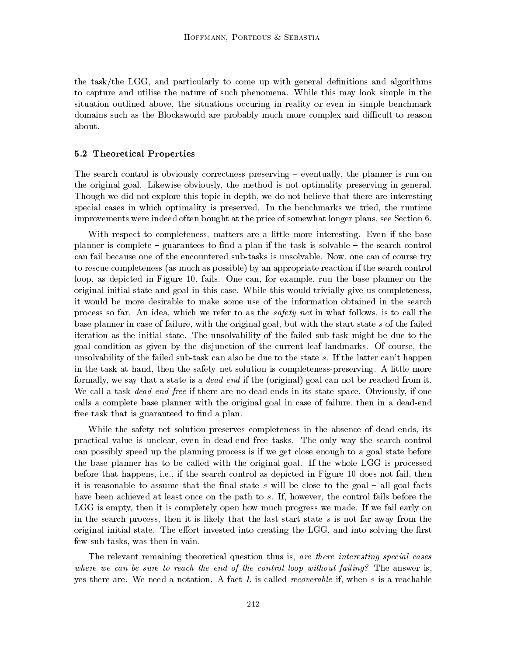the task/the LGG, and particularly to come up with general definitions and algorithms to capture and utilise the nature of such phenomena. While this may look simple in the situation outlined above, the situations occuring in reality or even in simple benchmark domains such as the Blocksworld are probably much more complex and difficult to reason about.

#### 5.2 Theoretical Properties

The search control is obviously correctness preserving  $-$  eventually, the planner is run on the original goal. Likewise obviously, the method is not optimality preserving in general. Though we did not explore this topic in depth, we do not believe that there are interesting special cases in which optimality is preserved. In the benchmarks we tried, the runtime improvements were indeed often bought at the price of somewhat longer plans, see Section 6.

With respect to completeness, matters are a little more interesting. Even if the base planner is complete  $-$  guarantees to find a plan if the task is solvable  $-$  the search control can fail because one of the encountered sub-tasks is unsolvable. Now, one can of course try to rescue completeness (as much as possible) by an appropriate reaction if the search control loop, as depicted in Figure 10, fails. One can, for example, run the base planner on the original initial state and goal in this case. While this would trivially give us completeness, it would be more desirable to make some use of the information obtained in the search process so far. An idea, which we refer to as the safety net in what follows, is to call the base planner in case of failure, with the original goal, but with the start state s of the failed iteration asthe initial state. The unsolvability of the failed sub-task might be due to the goal condition as given by the disjunction of the current leaf landmarks. Of course, the unsolvability of the failed sub-task can also be due to the state s. If the latter can't happen in the task at hand, then the safety net solution is completeness-preserving. A little more formally, we say that a state is a dead end if the (original) goal can not be reached from it. We call a task *dead-end free* if there are no dead ends in its state space. Obviously, if one calls a complete base planner with the original goal in case of failure, then in a dead-end free task that is guaranteed to find a plan.

While the safety net solution preserves completeness in the absence of dead ends, its practical value is unclear, even in dead-end free tasks. The only way the search control can possibly speed up the planning process is if we get close enough to a goal state before the base planner has to be called with the original goal. If the whole LGG is processed before that happens, i.e., if the search control as depicted in Figure 10 does not fail, then it is reasonable to assume that the final state  $s$  will be close to the goal  $-$  all goal facts have been achieved at least once on the path to s. If, however, the control fails before the LGG is empty, then it is completely open how much progress we made. If we fail early on in the search process, then it is likely that the last start state  $s$  is not far away from the original initial state. The effort invested into creating the LGG, and into solving the first few sub-tasks, was then in vain.

The relevant remaining theoretical question thus is, are there interesting special cases where we can be sure to reach the end of the control loop without failing? The answer is, yes there are. We need a notation. A fact  $L$  is called *recoverable* if, when  $s$  is a reachable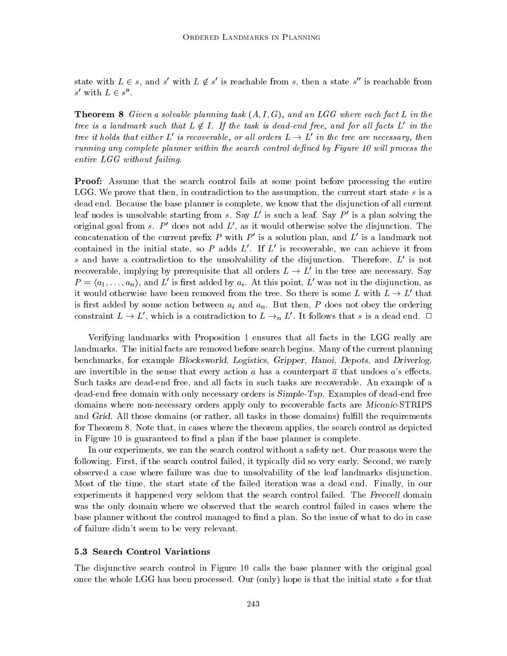state with  $L \in s$ , and s' with  $L \notin s'$  is reachable from s, then a state s'' is reachable from s' with  $L \in s''$ .

**Theorem 8** Given a solvable planning task  $(A, I, G)$ , and an LGG where each fact L in the tree is a landmark such that  $L \notin I$ . If the task is dead-end free, and for all facts L' in the tree it holds that either L' is recoverable, or all orders  $L \to L'$  in the tree are necessary, then running any complete planner within the search control defined by Figure 10 will process the entire LGG without failing.

Proof: Assume that the search control fails at some point before processing the entire LGG. We prove that then, in contradiction to the assumption, the current start state s is a dead end. Because the base planner is complete, we know that the disjunction of all current leaf nodes is unsolvable starting from s. Say  $L'$  is such a leaf. Say  $P'$  is a plan solving the original goal from s.  $P'$  does not add  $L'$ , as it would otherwise solve the disjunction. The concatenation of the current prefix P with  $P'$  is a solution plan, and L' is a landmark not contained in the initial state, so P adds  $L'$ . If  $L'$  is recoverable, we can achieve it from s and have a contradiction to the unsolvability of the disjunction. Therefore,  $L'$  is not recoverable, implying by prerequisite that all orders  $L \to L'$  in the tree are necessary. Say  $P = \langle a_1, \ldots, a_n \rangle$ , and L' is first added by  $a_i$ . At this point, L' was not in the disjunction, as it would otherwise have been removed from the tree. So there is some L with  $L \to L'$  that is first added by some action between  $a_i$  and  $a_n$ . But then, P does not obey the ordering constraint  $L \to L'$ , which is a contradiction to  $L \to_n L'$ . It follows that s is a dead end.  $\Box$ 

Verifying landmarks with Proposition 1 ensures that all facts in the LGG really are landmarks. The initial facts are removed before search begins. Many of the current planning benchmarks, for example Blocksworld, Logistics, Gripper, Hanoi, Depots, and Driverlog, are invertible in the sense that every action a has a counterpart  $\overline{a}$  that undoes a's effects. Such tasks are dead-end free, and all facts in such tasks are recoverable. An example of a dead-end free domain with only necessary orders is Simple-Tsp. Examples of dead-end free domains where non-necessary orders apply only to recoverable facts are Miconic-STRIPS and Grid. All those domains (or rather, all tasks in those domains) fulfill the requirements for Theorem 8. Note that, in cases where the theorem applies, the search control as depicted in Figure 10 is guaranteed to find a plan if the base planner is complete.

In our experiments, we ran the search control without a safety net. Our reasons were the following. First, if the search control failed, it typically did so very early. Second, we rarely observed a case where failure was due to unsolvability of the leaf landmarks disjunction. Most of the time, the start state of the failed iteration was a dead end. Finally, in our experiments it happened very seldom that the search control failed. The Freecell domain was the only domain where we observed that the search control failed in cases where the base planner without the control managed to find a plan. So the issue of what to do in case of failure didn't seem to be very relevant.

#### 5.3 Search Control Variations

The disjunctive search control in Figure 10 calls the base planner with the original goal once the whole LGG has been processed. Our (only) hope is that the initial state s for that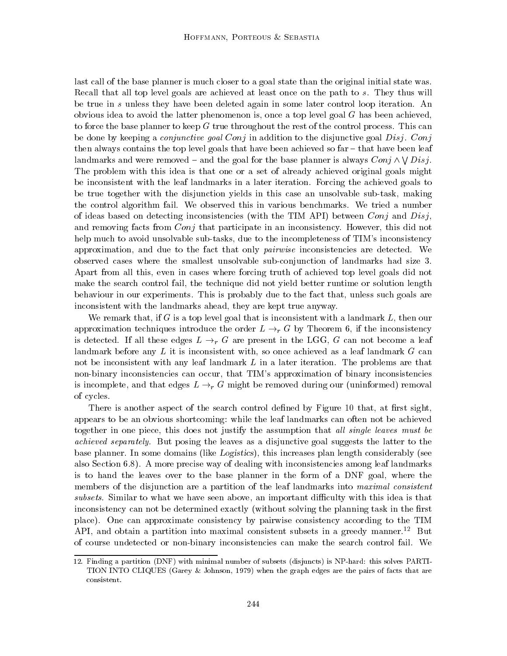last call of the base planner is much closer to a goal state than the original initial state was. Recall that all top level goals are achieved atleast once on the path to s. They thus will be true in s unless they have been deleted again in some later control loop iteration. An obvious idea to avoid the latter phenomenon is, once a top level goal  $G$  has been achieved. to force the base planner to keep G true throughout the rest of the control process. This can be done by keeping a *conjunctive goal Conj* in addition to the disjunctive goal Disj. Conj then always contains the top level goals that have been achieved so  $far$  – that have been leaf landmarks and were removed – and the goal for the base planner is always  $Conj \wedge V Disj$ . The problem with this idea is that one or a set of already achieved original goals might be inconsistent with the leaf landmarks in a later iteration. Forcing the achieved goals to be true together with the disjunction yields in this case an unsolvable sub-task, making the control algorithm fail. We observed this in various benchmarks. We tried a number of ideas based on detecting inconsistencies (with the TIM API) between  $Conj$  and  $Disj$ , and removing facts from *Conj* that participate in an inconsistency. However, this did not help much to avoid unsolvable sub-tasks, due to the incompleteness of TIM's inconsistency approximation, and due to the fact that only *pairwise* inconsistencies are detected. We observed cases where the smallest unsolvable sub-conjunction of landmarks had size 3. Apart from all this, even in cases where forcing truth of achieved top level goals did not make the search control fail, the technique did not yield better runtime or solution length behaviour in our experiments. This is probably due to the fact that, unless such goals are inconsistent with the landmarks ahead, they are kept true anyway.

We remark that, if  $G$  is a top level goal that is inconsistent with a landmark  $L$ , then our approximation techniques introduce the order  $L \rightarrow_r G$  by Theorem 6, if the inconsistency is detected. If all these edges  $L \rightarrow_r G$  are present in the LGG, G can not become a leaf landmark before any  $L$  it is inconsistent with, so once achieved as a leaf landmark  $G$  can not be inconsistent with any leaf landmark  $L$  in a later iteration. The problems are that non-binary inconsistencies can occur, that TIM's approximation of binary inconsistencies is incomplete, and that edges  $L \rightarrow r G$  might be removed during our (uninformed) removal of cycles.

There is another aspect of the search control defined by Figure 10 that, at first sight. appears to be an obvious shortcoming: while the leaf landmarks can often not be achieved together in one piece, this does not justify the assumption that *all single leaves must be* achieved separately. But posing the leaves as a disjunctive goal suggests the latter to the base planner. In some domains (like Logistics), this increases plan length considerably (see also Section 6.8). A more precise way of dealing with inconsistencies among leaf landmarks is to hand the leaves over to the base planner in the form of a DNF goal, where the members of the disjunction are a partition of the leaf landmarks into maximal consistent subsets. Similar to what we have seen above, an important difficulty with this idea is that inconsistency can not be determined exactly (without solving the planning task in the first place). One can approximate consistency by pairwise consistency according to the TIM API, and obtain a partition into maximal consistent subsets in a greedy manner.<sup>12</sup> But of course undetected or non-binary inconsistencies can make the search control fail. We

<sup>12.</sup> Finding a partition (DNF) with minimal number of subsets (disjuncts) is NP-hard: this solves PARTI-TION INTO CLIQUES (Garey & Johnson, 1979) when the graph edges are the pairs of facts that are consistent.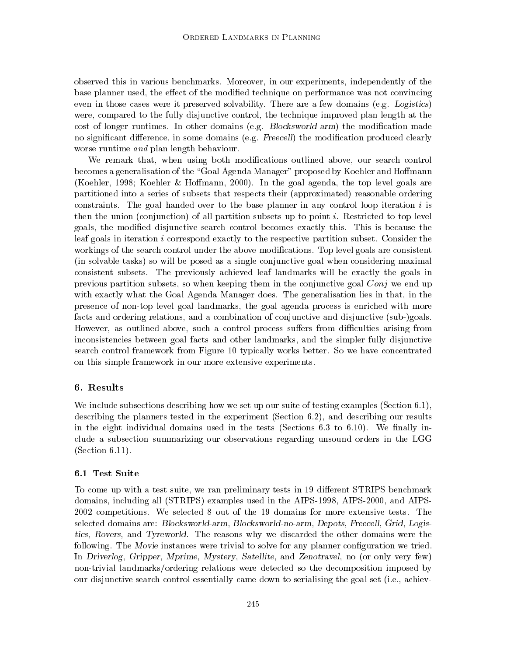observed this in various benchmarks. Moreover, in our experiments, independently of the base planner used, the effect of the modified technique on performance was not convincing even in those cases were it preserved solvability. There are a few domains (e.g. Logistics) were, compared to the fully disjunctive control, the technique improved plan length at the cost of longer runtimes. In other domains (e.g.  $Blocksworld-arm$ ) the modification made no significant difference, in some domains (e.g. Freecell) the modification produced clearly worse runtime *and* plan length behaviour.

We remark that, when using both modications outlined above, our search control becomes a generalisation of the \Goal Agenda Manager" proposed by Koehler and Homann (Koehler, 1998; Koehler  $&$  Hoffmann, 2000). In the goal agenda, the top level goals are partitioned into a series of subsets that respects their (approximated) reasonable ordering constraints. The goal handed over to the base planner in any control loop iteration  $i$  is then the union (conjunction) of all partition subsets up to point i. Restricted to top level goals, the modied disjunctive search control becomes exactly this. This is because the leaf goals in iteration i correspond exactly to the respective partition subset. Consider the workings of the search control under the above modications. Top level goals are consistent (in solvable tasks) so will be posed as a single conjunctive goal when considering maximal consistent subsets. The previously achieved leaf landmarks will be exactly the goals in previous partition subsets, so when keeping them in the conjunctive goal  $Conj$  we end up with exactly what the Goal Agenda Manager does. The generalisation lies in that, in the presence of non-top level goal landmarks, the goal agenda process is enriched with more facts and ordering relations, and a combination of conjunctive and disjunctive (sub-)goals. However, as outlined above, such a control process suffers from difficulties arising from inconsistencies between goal facts and other landmarks, and the simpler fully disjunctive search control framework from Figure 10 typically works better. So we have concentrated on this simple framework in our more extensive experiments.

### 6. Results

We include subsections describing how we set up our suite of testing examples (Section 6.1), describing the planners tested in the experiment (Section 6.2), and describing our results in the eight individual domains used in the tests (Sections  $6.3$  to  $6.10$ ). We finally include a subsection summarizing our observations regarding unsound orders in the LGG (Section 6.11).

### 6.1 Test Suite

To come up with a test suite, we ran preliminary tests in 19 different STRIPS benchmark domains, including all (STRIPS) examples used in the AIPS-1998, AIPS-2000, and AIPS-2002 competitions. We selected 8 out of the 19 domains for more extensive tests. The selected domains are: Blocksworld-arm, Blocksworld-no-arm, Depots, Freecell, Grid, Logistics, Rovers, and Tyreworld. The reasons why we discarded the other domains were the following. The Movie instances were trivial to solve for any planner configuration we tried. In Driverlog, Gripper, Mprime, Mystery, Satellite, and Zenotravel, no (or only very few) non-trivial landmarks/ordering relations were detected so the decomposition imposed by our disjunctive search control essentially came down to serialising the goal set (i.e., achiev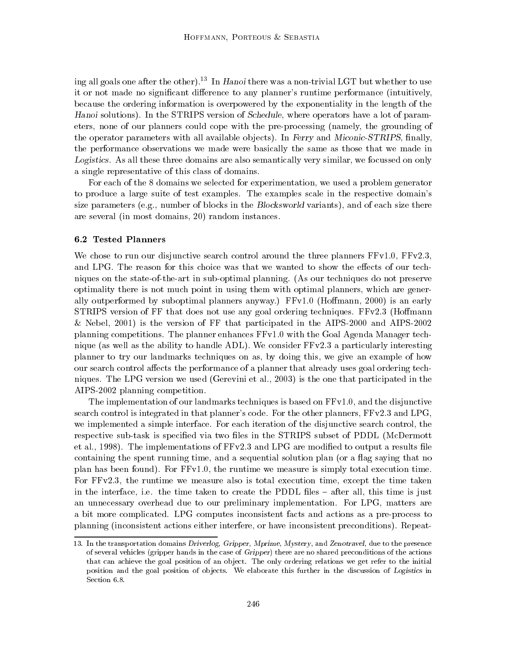ing all goals one after the other).<sup>13</sup> In Hanoi there was a non-trivial LGT but whether to use it or not made no significant difference to any planner's runtime performance (intuitively, because the ordering information is overpowered by the exponentiality in the length of the Hanoi solutions). In the STRIPS version of Schedule, where operators have a lot of parameters, none of our planners could cope with the pre-processing (namely, the grounding of the operator parameters with all available objects). In Ferry and Miconic-STRIPS, finally, the performance observations we made were basically the same as those that we made in Logistics. As all these three domains are also semantically very similar, we focussed on only a single representative of this class of domains.

For each of the 8 domains we selected for experimentation, we used a problem generator to produce a large suite of test examples. The examples scale in the respective domain's size parameters (e.g., number of blocks in the Blocksworld variants), and of each size there are several (in most domains, 20) random instances.

#### 6.2 Tested Planners

We chose to run our disjunctive search control around the three planners  $FFv1.0$ ,  $FFv2.3$ , and LPG. The reason for this choice was that we wanted to show the effects of our techniques on the state-of-the-art in sub-optimal planning. (As our techniques do not preserve optimality there is not much point in using them with optimal planners, which are generally outperformed by suboptimal planners anyway.) FFv1.0 (Homann, 2000) is an early STRIPS version of FF that does not use any goal ordering techniques. FFv2.3 (Homann & Nebel, 2001) is the version of FF that participated in the AIPS-2000 and AIPS-2002 planning competitions. The planner enhances FFv1.0 with the Goal Agenda Manager technique (as well as the ability to handle ADL). We consider FFv2.3 a particularly interesting planner to try our landmarks techniques on as, by doing this, we give an example of how our search control affects the performance of a planner that already uses goal ordering techniques. The LPG version we used (Gerevini et al., 2003) is the one that participated in the AIPS-2002 planning competition.

The implementation of our landmarks techniques is based on FFv1.0, and the disjunctive search control is integrated in that planner's code. For the other planners, FFv2.3 and LPG, we implemented a simple interface. For each iteration of the disjunctive search control, the respective sub-task is specified via two files in the STRIPS subset of PDDL (McDermott et al., 1998). The implementations of  $FFv2.3$  and LPG are modified to output a results file containing the spent running time, and a sequential solution plan (or a flag saying that no plan has been found). For FFv1.0, the runtime we measure is simply total execution time. For FFv2.3, the runtime we measure also is total execution time, except the time taken in the interface, i.e. the time taken to create the PDDL files – after all, this time is just an unnecessary overhead due to our preliminary implementation. For LPG, matters are a bit more complicated. LPG computes inconsistent facts and actions as a pre-process to planning (inconsistent actions either interfere, or have inconsistent preconditions). Repeat-

<sup>13.</sup> In the transportation domains Driverlog, Gripper, Mprime, Mystery, and Zenotravel, due to the presence of several vehicles (gripper hands in the case of Gripper) there are no shared preconditions of the actions that can achieve the goal position of an ob ject. The only ordering relations we get refer to the initial position and the goal position of objects. We elaborate this further in the discussion of Logistics in Section 6.8.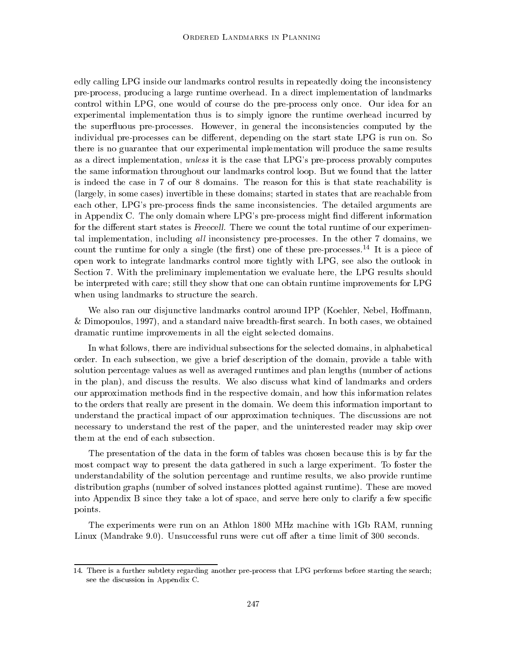edly calling LPG inside our landmarks control results in repeatedly doing the inconsistency pre-process, producing a large runtime overhead. In a direct implementation of landmarks control within LPG, one would of course do the pre-process only once. Our idea for an experimental implementation thus is to simply ignore the runtime overhead incurred by the superfluous pre-processes. However, in general the inconsistencies computed by the individual pre-processes can be different, depending on the start state LPG is run on. So there is no guarantee that our experimental implementation will produce the same results as a direct implementation, unless it is the case that LPG's pre-process provably computes the same information throughout our landmarks control loop. But we found that the latter is indeed the case in 7 of our 8 domains. The reason for this is that state reachability is (largely, in some cases) invertible in these domains; started in states that are reachable from each other, LPG's pre-process finds the same inconsistencies. The detailed arguments are in Appendix C. The only domain where LPG's pre-process might find different information for the different start states is Freecell. There we count the total runtime of our experimental implementation, including all inconsistency pre-processes. In the other 7 domains, we count the runtime for only a single (the first) one of these pre-processes.<sup>14</sup> It is a piece of open work to integrate landmarks control more tightly with LPG, see also the outlook in Section 7. With the preliminary implementation we evaluate here, the LPG results should be interpreted with care; still they show that one can obtain runtime improvements for LPG when using landmarks to structure the search.

We also ran our disjunctive landmarks control around IPP (Koehler, Nebel, Hoffmann,  $\&$  Dimopoulos, 1997), and a standard naive breadth-first search. In both cases, we obtained dramatic runtime improvements in all the eight selected domains.

In what follows, there are individual subsections for the selected domains, in alphabetical order. In each subsection, we give a brief description of the domain, provide a table with solution percentage values as well as averaged runtimes and plan lengths (number of actions in the plan), and discuss the results. We also discuss what kind of landmarks and orders our approximation methods find in the respective domain, and how this information relates to the orders that really are present in the domain. We deem this information important to understand the practical impact of our approximation techniques. The discussions are not necessary to understand the rest of the paper, and the uninterested reader may skip over them at the end of each subsection.

The presentation of the data in the form of tables was chosen because this is by far the most compact way to present the data gathered in such a large experiment. To foster the understandability of the solution percentage and runtime results, we also provide runtime distribution graphs (number of solved instances plotted against runtime). These are moved into Appendix B since they take a lot of space, and serve here only to clarify a few specific points.

The experiments were run on an Athlon 1800 MHz machine with 1Gb RAM, running Linux (Mandrake 9.0). Unsuccessful runs were cut off after a time limit of 300 seconds.

<sup>14.</sup> There is a further subtlety regarding another pre-process that LPG performs before starting the search; see the discussion in Appendix C.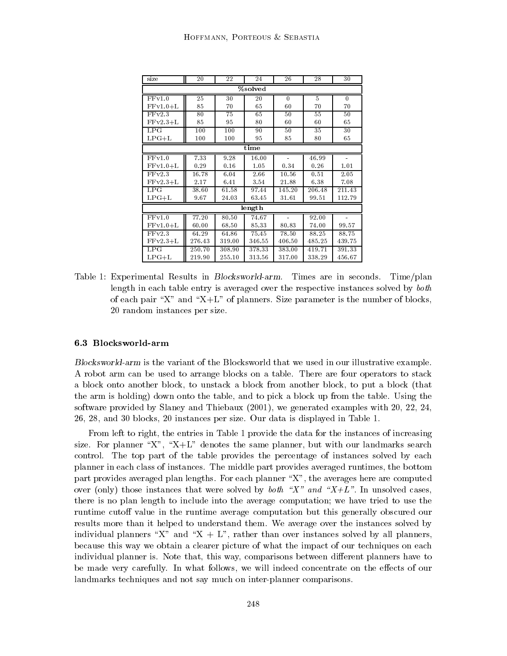| size       | 20     | 22     | 24     | 26       | 28     | 30       |  |  |  |  |
|------------|--------|--------|--------|----------|--------|----------|--|--|--|--|
| %solved    |        |        |        |          |        |          |  |  |  |  |
| FFv1.0     | 25     | 30     | 20     | $\theta$ | 5      | $\theta$ |  |  |  |  |
| $FFv1.0+L$ | 85     | 70     | 65     | 60       | 70     | 70       |  |  |  |  |
| FFv2.3     | 80     | 75     | 65     | 50       | 55     | 50       |  |  |  |  |
| $FFv2.3+L$ | 85     | 95     | 80     | 60       | 60     | 65       |  |  |  |  |
| LPG        | 100    | 100    | 90     | 50       | 35     | 30       |  |  |  |  |
| $LPG+L$    | 100    | 100    | 95     | 85       | 80     | 65       |  |  |  |  |
|            |        |        | time   |          |        |          |  |  |  |  |
| FFv1.0     | 7.33   | 9.28   | 16.00  |          | 46.99  |          |  |  |  |  |
| $FFv1.0+L$ | 0.29   | 0.16   | 1.05   | 0.34     | 0.26   | 1.01     |  |  |  |  |
| FFv2.3     | 16.78  | 6.04   | 2.66   | 10.56    | 0.51   | 2.05     |  |  |  |  |
| $FFv2.3+L$ | 2.17   | 6.41   | 3.54   | 21.88    | 6.38   | 7.08     |  |  |  |  |
| LPG        | 38.60  | 61.58  | 97.44  | 145.20   | 206.48 | 211.43   |  |  |  |  |
| $LPG+L$    | 9.67   | 24.03  | 63.45  | 31.61    | 99.51  | 112.79   |  |  |  |  |
|            |        |        | length |          |        |          |  |  |  |  |
| FFv1.0     | 77.20  | 80.50  | 74.67  |          | 92.00  |          |  |  |  |  |
| $FFv1.0+L$ | 60.00  | 68.50  | 85.33  | 80.83    | 74.00  | 99.57    |  |  |  |  |
| FFv2.3     | 64.29  | 64.86  | 75.45  | 78.50    | 88.25  | 88.75    |  |  |  |  |
| $FFv2.3+L$ | 276.43 | 319.00 | 346.55 | 406.50   | 485.25 | 439.75   |  |  |  |  |
| LPG        | 250.70 | 308.90 | 378.33 | 383.00   | 419.71 | 391.33   |  |  |  |  |
| $LPG+L$    | 219.90 | 255.10 | 313.56 | 317.00   | 338.29 | 456.67   |  |  |  |  |

Table 1: Experimental Results in Blocksworld-arm. Times are in seconds. Time/plan length in each table entry is averaged over the respective instances solved by both of each pair "X" and "X+L" of planners. Size parameter is the number of blocks, 20 random instances per size.

Blocksworld-arm is the variant of the Blocksworld that we used in our illustrative example. A robot arm can be used to arrange blocks on a table. There are four operators to stack a block onto another block, to unstack a block from another block, to put a block (that the arm is holding) down onto the table, and to pick a block up from the table. Using the software provided by Slaney and Thiebaux (2001), we generated examples with 20, 22, 24, 26, 28, and 30 blocks, 20 instances per size. Our data is displayed in Table 1.

From left to right, the entries in Table 1 provide the data for the instances of increasing size. For planner "X", "X+L" denotes the same planner, but with our landmarks search control. The top part of the table provides the percentage of instances solved by each planner in each class of instances. The middle part provides averaged runtimes, the bottom part provides averaged plan lengths. For each planner  $\mathbb{X}^n$ , the averages here are computed over (only) those instances that were solved by *both* "X" and "X+L". In unsolved cases, there is no plan length to include into the average computation; we have tried to use the runtime cutoff value in the runtime average computation but this generally obscured our results more than it helped to understand them. We average over the instances solved by individual planners "X" and "X + L", rather than over instances solved by all planners, because this way we obtain a clearer picture of what the impact of our techniques on each individual planner is. Note that, this way, comparisons between different planners have to be made very carefully. In what follows, we will indeed concentrate on the effects of our landmarks techniques and not say much on inter-planner comparisons.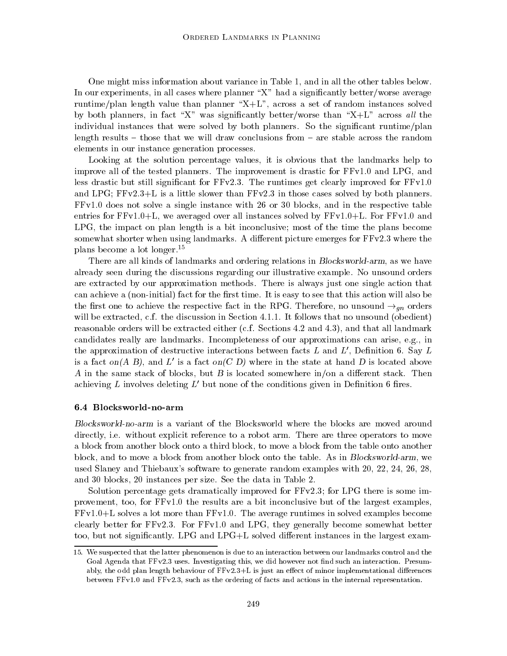One might miss information about variance in Table 1, and in all the other tables below. In our experiments, in all cases where planner " $X$ " had a significantly better/worse average runtime/plan length value than planner " $X+L$ ", across a set of random instances solved by both planners, in fact "X" was significantly better/worse than "X+L" across all the individual instances that were solved by both planners. So the significant runtime/plan length results  $-$  those that we will draw conclusions from  $-$  are stable across the random elements in our instance generation processes.

Looking at the solution percentage values, it is obvious that the landmarks help to improve all of the tested planners. The improvement is drastic for FFv1.0 and LPG, and less drastic but still significant for  $FFv2.3$ . The runtimes get clearly improved for  $FFv1.0$ and LPG; FFv2.3+L is a little slower than FFv2.3 in those cases solved by both planners. FFv1.0 does not solve a single instance with 26 or 30 blocks, and in the respective table entries for FFv1.0+L, we averaged over all instances solved by FFv1.0+L. For FFv1.0 and LPG, the impact on plan length is a bit inconclusive; most of the time the plans become somewhat shorter when using landmarks. A different picture emerges for FFv2.3 where the plans become a lot longer.<sup>15</sup>

There are all kinds of landmarks and ordering relations in Blocksworld-arm, as we have already seen during the discussions regarding our illustrative example. No unsound orders are extracted by our approximation methods. There is always just one single action that can achieve a (non-initial) fact for the first time. It is easy to see that this action will also be the first one to achieve the respective fact in the RPG. Therefore, no unsound  $\rightarrow_{\text{an}}$  orders will be extracted, c.f. the discussion in Section 4.1.1. It follows that no unsound (obedient) reasonable orders will be extracted either (c.f. Sections 4.2 and 4.3), and that all landmark candidates really are landmarks. Incompleteness of our approximations can arise, e.g., in the approximation of destructive interactions between facts  $L$  and  $L'$ , Definition 6. Say  $L$ is a fact on  $(A \ B)$ , and  $L'$  is a fact on  $(C \ D)$  where in the state at hand  $D$  is located above A in the same stack of blocks, but  $B$  is located somewhere in/on a different stack. Then achieving L involves deleting  $L'$  but none of the conditions given in Definition 6 fires.

#### 6.4 Blocksworld-no-arm

Blocksworld-no-arm is a variant of the Blocksworld where the blocks are moved around directly, i.e. without explicit reference to a robot arm. There are three operators to move a block from another block onto a third block, to move a block from the table onto another block, and to move a block from another block onto the table. As in Blocksworld-arm, we used Slaney and Thiebaux's software to generate random examples with 20, 22, 24, 26, 28, and 30 blocks, 20 instances per size. See the data in Table 2.

Solution percentage gets dramatically improved for FFv2.3; for LPG there is some improvement, too, for FFv1.0 the results are a bit inconclusive but of the largest examples, FFv1.0+L solves a lot more than FFv1.0. The average runtimes in solved examples become clearly better for FFv2.3. For FFv1.0 and LPG, they generally become somewhat better too, but not significantly. LPG and LPG+L solved different instances in the largest exam-

<sup>15.</sup> We suspected that the latter phenomenon is due to an interaction between our landmarks control and the Goal Agenda that  $FFv2.3$  uses. Investigating this, we did however not find such an interaction. Presumably, the odd plan length behaviour of  $FFv2.3+L$  is just an effect of minor implementational differences between FFv1.0 and FFv2.3, such as the ordering of facts and actions in the internal representation.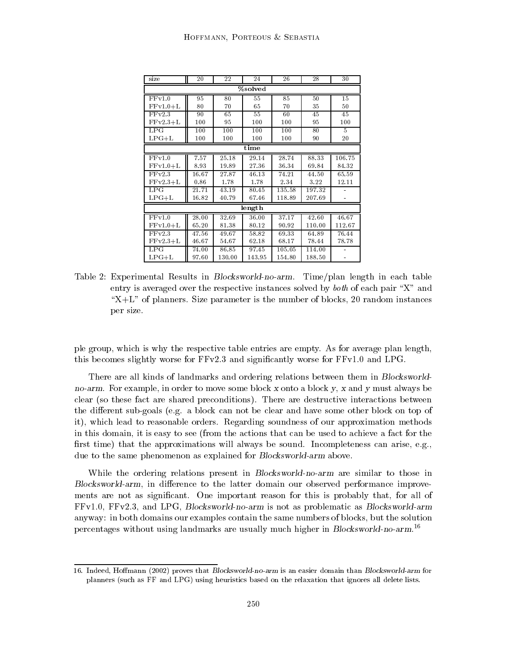| size       | 20    | 22     | 24     | 26     | 28     | 30     |  |  |  |  |
|------------|-------|--------|--------|--------|--------|--------|--|--|--|--|
| %solved    |       |        |        |        |        |        |  |  |  |  |
| FFv1.0     | 95    | 80     | 55     | 85     | 50     | 15     |  |  |  |  |
| $FFv1.0+L$ | 80    | 70     | 65     | 70     | 35     | 50     |  |  |  |  |
| FFv2.3     | 90    | 65     | 55     | 60     | 45     | 45     |  |  |  |  |
| $FFv2.3+L$ | 100   | 95     | 100    | 100    | 95     | 100    |  |  |  |  |
| LPG        | 100   | 100    | 100    | 100    | 80     | 5      |  |  |  |  |
| $LPG+L$    | 100   | 100    | 100    | 100    | 90     | 20     |  |  |  |  |
|            |       |        | time   |        |        |        |  |  |  |  |
| FFv1.0     | 7.57  | 25.18  | 29.14  | 28.74  | 88.33  | 106.75 |  |  |  |  |
| $FFv1.0+L$ | 8.93  | 19.89  | 27.36  | 36.34  | 69.84  | 84.32  |  |  |  |  |
| FFv2.3     | 16.67 | 27.87  | 46.13  | 74.21  | 44.50  | 65.59  |  |  |  |  |
| $FFv2.3+L$ | 0.86  | 1.78   | 1.78   | 2.34   | 3.22   | 12.11  |  |  |  |  |
| LPG        | 21.71 | 43.19  | 80.45  | 135.58 | 197.32 |        |  |  |  |  |
| $LPG+L$    | 16.82 | 40.79  | 67.46  | 118.89 | 207.69 |        |  |  |  |  |
|            |       |        | length |        |        |        |  |  |  |  |
| FFv1.0     | 28.00 | 32.69  | 36.00  | 37.17  | 42.60  | 46.67  |  |  |  |  |
| $FFv1.0+L$ | 65.20 | 81.38  | 80.12  | 90.92  | 110.00 | 112.67 |  |  |  |  |
| FFv2.3     | 47.56 | 49.67  | 58.82  | 69.33  | 64.89  | 76.44  |  |  |  |  |
| $FFv2.3+L$ | 46.67 | 54.67  | 62.18  | 68.17  | 78.44  | 78.78  |  |  |  |  |
| LPG        | 74.00 | 86.85  | 97.45  | 105.05 | 114.00 |        |  |  |  |  |
| $LPG+L$    | 97.60 | 130.00 | 143.95 | 154.80 | 188.50 |        |  |  |  |  |

Table 2: Experimental Results in Blocksworld-no-arm. Time/plan length in each table entry is averaged over the respective instances solved by *both* of each pair "X" and  $X+L$ " of planners. Size parameter is the number of blocks, 20 random instances per size.

ple group, which is why the respective table entries are empty. As for average plan length, this becomes slightly worse for FFv2.3 and signicantly worse for FFv1.0 and LPG.

There are all kinds of landmarks and ordering relations between them in Blocksworldno-arm. For example, in order to move some block x onto a block y, x and y must always be clear (so these fact are shared preconditions). There are destructive interactions between the different sub-goals (e.g. a block can not be clear and have some other block on top of it), which lead to reasonable orders. Regarding soundness of our approximation methods in this domain, it is easy to see (from the actions that can be used to achieve a fact for the first time) that the approximations will always be sound. Incompleteness can arise, e.g., due to the same phenomenon as explained for Blocksworld-arm above.

While the ordering relations present in Blocksworld-no-arm are similar to those in Blocksworld-arm, in difference to the latter domain our observed performance improvements are not as significant. One important reason for this is probably that, for all of FFv1.0, FFv2.3, and LPG, Blocksworld-no-arm is not as problematic as Blocksworld-arm anyway: in both domains our examples contain the same numbers of blocks, but the solution percentages without using landmarks are usually much higher in Blocksworld-no-arm.16

<sup>16.</sup> Indeed, Hoffmann (2002) proves that Blocksworld-no-arm is an easier domain than Blocksworld-arm for planners (such as FF and LPG) using heuristics based on the relaxation that ignores all delete lists.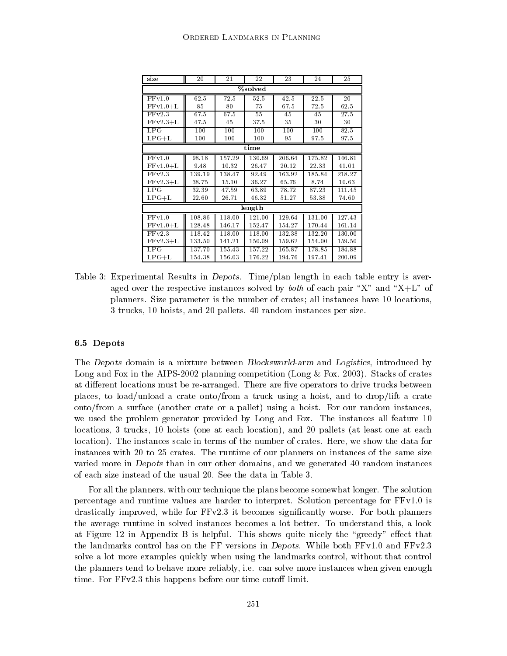| size       | 20     | 21     | 22     | 23     | 24     | 25     |  |  |  |  |
|------------|--------|--------|--------|--------|--------|--------|--|--|--|--|
| %solved    |        |        |        |        |        |        |  |  |  |  |
| FFv1.0     | 62.5   | 72.5   | 52.5   | 42.5   | 22.5   | 20     |  |  |  |  |
| $FFv1.0+L$ | 85     | 80     | 75     | 67.5   | 72.5   | 62.5   |  |  |  |  |
| FFv2.3     | 67.5   | 67.5   | 55     | 45     | 45     | 27.5   |  |  |  |  |
| $FFv2.3+L$ | 47.5   | 45     | 37.5   | 35     | 30     | 30     |  |  |  |  |
| LPG        | 100    | 100    | 100    | 100    | 100    | 82.5   |  |  |  |  |
| $LPG+L$    | 100    | 100    | 100    | 95     | 97.5   | 97.5   |  |  |  |  |
|            |        |        | time   |        |        |        |  |  |  |  |
| FFv1.0     | 98.18  | 157.29 | 130.69 | 206.64 | 175.82 | 146.81 |  |  |  |  |
| $FFv1.0+L$ | 9.48   | 10.32  | 26.47  | 20.12  | 22.33  | 41.01  |  |  |  |  |
| FFv2.3     | 139.19 | 138.47 | 92.49  | 163.92 | 185.84 | 218.27 |  |  |  |  |
| $FFv2.3+L$ | 38.75  | 15.10  | 36.27  | 65.76  | 8.74   | 10.63  |  |  |  |  |
| LPG        | 32.39  | 47.59  | 63.89  | 78.72  | 87.23  | 111.45 |  |  |  |  |
| $LPG+L$    | 22.60  | 26.71  | 46.32  | 51.27  | 53.38  | 74.60  |  |  |  |  |
|            |        |        | length |        |        |        |  |  |  |  |
| FFv1.0     | 108.86 | 118.00 | 121.00 | 129.64 | 131.00 | 127.43 |  |  |  |  |
| $FFv1.0+L$ | 128.48 | 146.17 | 152.47 | 154.27 | 170.44 | 161.14 |  |  |  |  |
| FFv2.3     | 118.42 | 118.00 | 118.00 | 132.38 | 132.20 | 130.00 |  |  |  |  |
| $FFv2.3+L$ | 133.50 | 141.21 | 150.09 | 159.62 | 154.00 | 159.50 |  |  |  |  |
| LPG        | 137.70 | 155.43 | 157.22 | 165.87 | 178.85 | 184.88 |  |  |  |  |
| $LPG+L$    | 154.38 | 156.03 | 176.22 | 194.76 | 197.41 | 200.09 |  |  |  |  |

Table 3: Experimental Results in Depots. Time/plan length in each table entry is averaged over the respective instances solved by *both* of each pair "X" and "X+L" of planners. Size parameter is the number of crates; all instances have 10 locations, 3 trucks, 10 hoists, and 20 pallets. 40 random instances per size.

#### 6.5 Depots

The Depots domain is a mixture between Blocksworld-arm and Logistics, introduced by Long and Fox in the AIPS-2002 planning competition (Long & Fox, 2003). Stacks of crates at different locations must be re-arranged. There are five operators to drive trucks between places, to load/unload a crate onto/from a truck using a hoist, and to drop/lift a crate onto/from a surface (another crate or a pallet) using a hoist. For our random instances, we used the problem generator provided by Long and Fox. The instances all feature 10 locations, 3 trucks, 10 hoists (one at each location), and 20 pallets (at least one at each location). The instances scale in terms of the number of crates. Here, we show the data for instances with 20 to 25 crates. The runtime of our planners on instances of the same size varied more in Depots than in our other domains, and we generated 40 random instances of each size instead of the usual 20. See the data in Table 3.

For all the planners, with our technique the plans become somewhat longer. The solution percentage and runtime values are harder to interpret. Solution percentage for FFv1.0 is drastically improved, while for FFv2.3 it becomes signicantly worse. For both planners the average runtime in solved instances becomes a lot better. To understand this, a look at Figure 12 in Appendix B is helpful. This shows quite nicely the "greedy" effect that the landmarks control has on the FF versions in Depots. While both  $FFv1.0$  and  $FFv2.3$ solve a lot more examples quickly when using the landmarks control, without that control the planners tend to behave more reliably, i.e. can solve more instances when given enough time. For  $FFv2.3$  this happens before our time cutoff limit.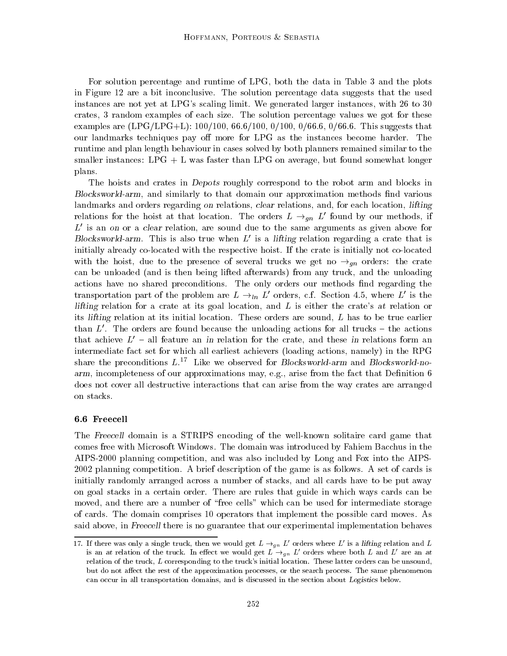For solution percentage and runtime of LPG, both the data in Table 3 and the plots in Figure 12 are a bit inconclusive. The solution percentage data suggests that the used instances are not yet at LPG's scaling limit. We generated larger instances, with 26 to 30 crates, 3 random examples of each size. The solution percentage values we got for these examples are  $(LPG/LPG+L): 100/100, 66.6/100, 0/100, 0/66.6, 0/66.6$ . This suggests that our landmarks techniques pay off more for LPG as the instances become harder. The runtime and plan length behaviour in cases solved by both planners remained similar to the smaller instances:  $LPG + L$  was faster than  $LPG$  on average, but found somewhat longer plans.

The hoists and crates in Depots roughly correspond to the robot arm and blocks in Blocksworld-arm, and similarly to that domain our approximation methods find various landmarks and orders regarding on relations, clear relations, and, for each location, lifting relations for the hoist at that location. The orders  $L \rightarrow_{qn} L'$  found by our methods, if  $L'$  is an on or a clear relation, are sound due to the same arguments as given above for Blocksworld-arm. This is also true when  $L'$  is a lifting relation regarding a crate that is initially already co-located with the respective hoist. If the crate is initially not co-located with the hoist, due to the presence of several trucks we get no  $\rightarrow_{qn}$  orders: the crate can be unloaded (and is then being lifted afterwards) from any truck, and the unloading actions have no shared preconditions. The only orders our methods find regarding the transportation part of the problem are  $L \rightarrow_{ln} L'$  orders, c.f. Section 4.5, where L' is the lifting relation for a crate at its goal location, and  $L$  is either the crate's at relation or its lifting relation at its initial location. These orders are sound,  $L$  has to be true earlier than  $L'$ . The orders are found because the unloading actions for all trucks  $-$  the actions that achieve  $L'$  - all feature an in relation for the crate, and these in relations form an intermediate fact set for which all earliest achievers (loading actions, namely) in the RPG share the preconditions  $L^{17}$  Like we observed for Blocksworld-arm and Blocksworld-noarm, incompleteness of our approximations may, e.g., arise from the fact that Definition 6 does not cover all destructive interactions that can arise from the way crates are arranged on stacks.

#### 6.6 Freecell

The Freecell domain is a STRIPS encoding of the well-known solitaire card game that comes free with Microsoft Windows. The domain was introduced by Fahiem Bacchus in the AIPS-2000 planning competition, and was also included by Long and Fox into the AIPS-2002 planning competition. A brief description of the game is as follows. A set of cards is initially randomly arranged across a number of stacks, and all cards have to be put away on goal stacks in a certain order. There are rules that guide in which ways cards can be moved, and there are a number of "free cells" which can be used for intermediate storage of cards. The domain comprises 10 operators that implement the possible card moves. As said above, in Freecell there is no guarantee that our experimental implementation behaves

<sup>17.</sup> If there was only a single truck, then we would get  $L \rightarrow_{qn} L'$  orders where L' is a lifting relation and L is an at relation of the truck. In effect we would get  $L \rightarrow_{qn} L'$  orders where both L and L' are an at relation of the truck, <sup>L</sup> corresponding to the truck's initial location. These latter orders can be unsound, but do not affect the rest of the approximation processes, or the search process. The same phenomenon can occur in all transportation domains, and is discussed in the section about Logistics below.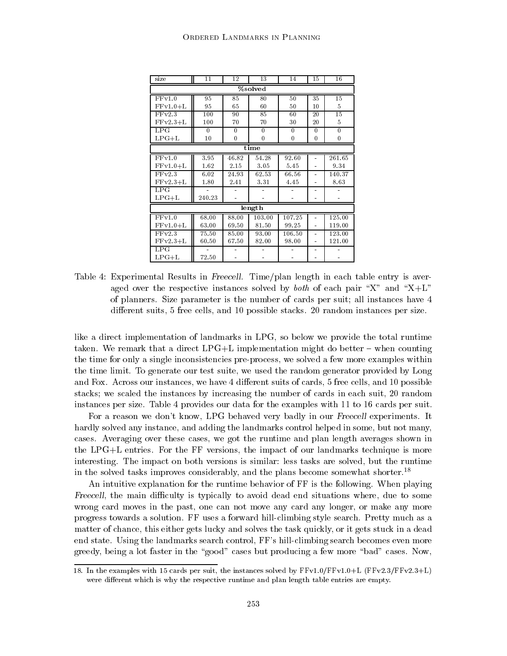| size       | 11           | 12           | 13           | 14               | 15             | 16           |  |  |  |
|------------|--------------|--------------|--------------|------------------|----------------|--------------|--|--|--|
| %solved    |              |              |              |                  |                |              |  |  |  |
| FFv1.0     | 95           | 85           | 80           | 50               | 35             | 15           |  |  |  |
| $FFv1.0+L$ | 95           | 65           | 60           | 50               | 10             | 5            |  |  |  |
| FFv2.3     | 100          | 90           | 85           | 60               | 20             | 15           |  |  |  |
| $FFv2.3+L$ | 100          | 70           | 70           | 30               | 20             | 5            |  |  |  |
| LPG        | $\mathbf{0}$ | $\mathbf{0}$ | $\mathbf{0}$ | $\mathbf{0}$     | $\mathbf{0}$   | $\mathbf{0}$ |  |  |  |
| $LPG+L$    | 10           | 0            | $\bf{0}$     | $\boldsymbol{0}$ | $\bf{0}$       | 0            |  |  |  |
|            |              |              | time         |                  |                |              |  |  |  |
| FFv1.0     | 3.95         | 46.82        | 54.28        | 92.60            | $\equiv$       | 261.65       |  |  |  |
| $FFv1.0+L$ | 1.62         | 2.15         | 3.05         | 5.45             | $\blacksquare$ | 9.34         |  |  |  |
| FFv2.3     | 6.02         | 24.93        | 62.53        | 66.56            |                | 140.37       |  |  |  |
| $FFv2.3+L$ | 1.80         | 2.41         | 3.31         | 4.45             |                | 8.63         |  |  |  |
| LPG        |              |              |              |                  |                |              |  |  |  |
| $LPG+L$    | 240.23       |              |              |                  |                |              |  |  |  |
|            |              |              | length       |                  |                |              |  |  |  |
| FFv1.0     | 68.00        | 88.00        | 103.00       | 107.25           |                | 125.00       |  |  |  |
| $FFv1.0+L$ | 63.00        | 69.50        | 81.50        | 99.25            | $\ddot{ }$     | 119.00       |  |  |  |
| FFv2.3     | 75.50        | 85.00        | 93.00        | 106.50           |                | 123.00       |  |  |  |
| $FFv2.3+L$ | 60.50        | 67.50        | 82.00        | 98.00            | $\blacksquare$ | 121.00       |  |  |  |
| LPG        |              |              |              |                  |                |              |  |  |  |
| $LPG+L$    | 72.50        |              |              |                  |                |              |  |  |  |

Table 4: Experimental Results in Freecell. Time/plan length in each table entry is averaged over the respective instances solved by *both* of each pair "X" and "X+L" of planners. Size parameter is the number of cards per suit; all instances have 4 different suits, 5 free cells, and 10 possible stacks. 20 random instances per size.

like a direct implementation of landmarks in LPG, so below we provide the total runtime taken. We remark that a direct  $LPG+L$  implementation might do better – when counting the time for only a single inconsistencies pre-process, we solved a few more examples within the time limit. To generate our test suite, we used the random generator provided by Long and Fox. Across our instances, we have 4 different suits of cards, 5 free cells, and 10 possible stacks; we scaled the instances by increasing the number of cards in each suit, 20 random instances per size. Table 4 provides our data for the examples with 11 to 16 cards per suit.

For a reason we don't know, LPG behaved very badly in our Freecell experiments. It hardly solved any instance, and adding the landmarks control helped in some, but not many, cases. Averaging over these cases, we got the runtime and plan length averages shown in the LPG+L entries. For the FF versions, the impact of our landmarks technique is more interesting. The impact on both versions is similar: less tasks are solved, but the runtime in the solved tasks improves considerably, and the plans become somewhat shorter.18

An intuitive explanation for the runtime behavior of FF is the following. When playing Freecell, the main difficulty is typically to avoid dead end situations where, due to some wrong card moves in the past, one can not move any card any longer, or make any more progress towards a solution. FF uses a forward hill-climbing style search. Pretty much as a matter of chance, this either gets lucky and solves the task quickly, or it gets stuck in a dead end state. Using the landmarks search control, FF's hill-climbing search becomes even more greedy, being a lot faster in the "good" cases but producing a few more "bad" cases. Now,

<sup>18.</sup> In the examples with 15 cards per suit, the instances solved by  $FFv1.0/FFv1.0+L$  (FFv2.3/FFv2.3+L) were different which is why the respective runtime and plan length table entries are empty.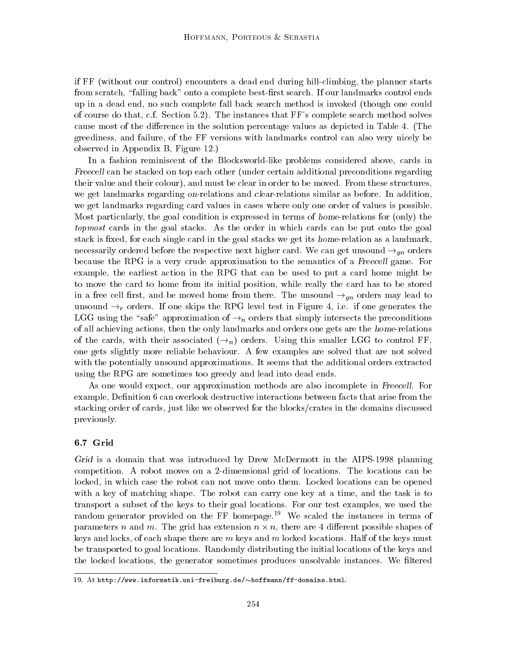if FF (without our control) encounters a dead end during hill-climbing, the planner starts from scratch, "falling back" onto a complete best-first search. If our landmarks control ends up in a dead end, no such complete fall back search method is invoked (though one could of course do that, c.f. Section 5.2). The instances that FF's complete search method solves cause most of the difference in the solution percentage values as depicted in Table 4. (The greediness, and failure, of the FF versions with landmarks control can also very nicely be observed in Appendix B, Figure 12.)

In a fashion reminiscent of the Blocksworld-like problems considered above, cards in Freecell can be stacked on top each other (under certain additional preconditions regarding their value and their colour), and must be clear in order to be moved. From these structures, we get landmarks regarding on-relations and clear-relations similar as before. In addition, we get landmarks regarding card values in cases where only one order of values is possible. Most particularly, the goal condition is expressed in terms of home-relations for (only) the topmost cards in the goal stacks. As the order in which cards can be put onto the goal stack is fixed, for each single card in the goal stacks we get its home-relation as a landmark, necessarily ordered before the respective next higher card. We can get unsound  $\rightarrow_{\text{an}}$  orders because the RPG is a very crude approximation to the semantics of a Freecell game. For example, the earliest action in the RPG that can be used to put a card home might be to move the card to home from its initial position, while really the card has to be stored in a free cell first, and be moved home from there. The unsound  $\rightarrow_{qn}$  orders may lead to unsound  $\rightarrow_r$  orders. If one skips the RPG level test in Figure 4, i.e. if one generates the LGG using the "safe" approximation of  $\rightarrow_n$  orders that simply intersects the preconditions of all achieving actions, then the only landmarks and orders one gets are the home-relations of the cards, with their associated  $(\rightarrow_n)$  orders. Using this smaller LGG to control FF. one gets slightly more reliable behaviour. A few examples are solved that are not solved with the potentially unsound approximations. It seems that the additional orders extracted using the RPG are sometimes too greedy and lead into dead ends.

As one would expect, our approximation methods are also incomplete in Freecell. For example, Definition 6 can overlook destructive interactions between facts that arise from the stacking order of cards, just like we observed for the blocks/crates in the domains discussed previously.

#### 6.7 Grid

Grid is a domain that was introduced by Drew McDermott in the AIPS-1998 planning competition. A robot moves on a 2-dimensional grid of locations. The locations can be locked, in which case the robot can not move onto them. Locked locations can be opened with a key of matching shape. The robot can carry one key at a time, and the task is to transport a subset of the keys to their goal locations. For our test examples, we used the random generator provided on the FF homepage.<sup>19</sup> We scaled the instances in terms of parameters n and m. The grid has extension  $n \times n$ , there are 4 different possible shapes of keys and locks, of each shape there are  $m$  keys and  $m$  locked locations. Half of the keys must be transported to goal locations. Randomly distributing the initial locations of the keys and the locked locations, the generator sometimes produces unsolvable instances. We filtered

<sup>19.</sup> At http://www.informatik.uni-freiburg.de/~hoffmann/ff-domains.html.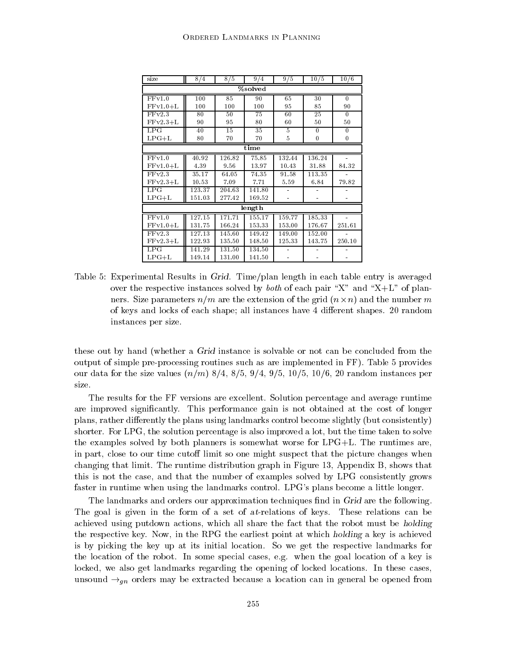| size                   | 8/4                 | 8/5    | 9/4    | 9/5     | 10/5     | 10/6             |  |  |  |  |
|------------------------|---------------------|--------|--------|---------|----------|------------------|--|--|--|--|
| $\overline{\%}$ solved |                     |        |        |         |          |                  |  |  |  |  |
| FFv1.0                 | 100                 | 85     | 90     | 65      | 30       | $\theta$         |  |  |  |  |
| $FFv1.0+L$             | 100                 | 100    | 100    | 95      | 85       | 90               |  |  |  |  |
| FFv2.3                 | 80                  | 50     | 75     | 60      | 25       | $\mathbf{0}$     |  |  |  |  |
| $FFv2.3+L$             | 90                  | 95     | 80     | 60      | 50       | 50               |  |  |  |  |
| LPG                    | 40                  | 15     | 35     | 5       | $\theta$ | $\mathbf{0}$     |  |  |  |  |
| $LPG+L$                | 80                  | 70     | 70     | $\bf 5$ | $\bf{0}$ | $\boldsymbol{0}$ |  |  |  |  |
|                        |                     |        | time   |         |          |                  |  |  |  |  |
| FFv1.0                 | 40.92               | 126.82 | 75.85  | 132.44  | 136.24   |                  |  |  |  |  |
| $FFv1.0+L$             | 4.39                | 9.56   | 13.97  | 10.43   | 31.88    | 84.32            |  |  |  |  |
| FFv2.3                 | 35.17               | 64.05  | 74.35  | 91.58   | 113.35   |                  |  |  |  |  |
| $FFv2.3+L$             | 10.53               | 7.09   | 7.71   | 5.59    | 6.84     | 79.82            |  |  |  |  |
| LPG                    | 123.37              | 204.63 | 141.80 |         |          |                  |  |  |  |  |
| $LPG+L$                | 151.03              | 277.42 | 169.52 |         |          |                  |  |  |  |  |
|                        |                     |        | length |         |          |                  |  |  |  |  |
| FFv1.0                 | $\overline{127}.15$ | 171.71 | 155.17 | 159.77  | 185.33   |                  |  |  |  |  |
| $FFv1.0+L$             | 131.75              | 166.24 | 153.33 | 153.00  | 176.67   | 251.61           |  |  |  |  |
| FFv2.3                 | 127.13              | 145.60 | 149.42 | 149.00  | 152.00   |                  |  |  |  |  |
| $FFv2.3+L$             | 122.93              | 135.50 | 148.50 | 125.33  | 143.75   | 250.10           |  |  |  |  |
| LPG                    | 141.29              | 131.50 | 134.50 |         |          |                  |  |  |  |  |
| $LPG+L$                | 149.14              | 131.00 | 141.50 |         |          |                  |  |  |  |  |

Table 5: Experimental Results in Grid. Time/plan length in each table entry is averaged over the respective instances solved by *both* of each pair "X" and "X+L" of planners. Size parameters  $n/m$  are the extension of the grid  $(n \times n)$  and the number m of keys and locks of each shape; all instances have 4 dierent shapes. 20 random instances per size.

these out by hand (whether a Grid instance is solvable or not can be concluded from the output of simple pre-processing routines such as are implemented in FF). Table 5 provides our data for the size values  $(n/m)$  8/4, 8/5, 9/4, 9/5, 10/5, 10/6, 20 random instances per size.

The results for the FF versions are excellent. Solution percentage and average runtime are improved significantly. This performance gain is not obtained at the cost of longer plans, rather differently the plans using landmarks control become slightly (but consistently) shorter. For LPG, the solution percentage is also improved a lot, but the time taken to solve the examples solved by both planners is somewhat worse for LPG+L. The runtimes are, in part, close to our time cutoff limit so one might suspect that the picture changes when changing that limit. The runtime distribution graph in Figure 13, Appendix B, shows that this is not the case, and that the number of examples solved by LPG consistently grows faster in runtime when using the landmarks control. LPG's plans become a little longer.

The landmarks and orders our approximation techniques find in Grid are the following. The goal is given in the form of a set of at-relations of keys. These relations can be achieved using putdown actions, which all share the fact that the robot must be holding the respective key. Now, in the RPG the earliest point at which holding a key is achieved is by picking the key up atits initial location. So we get the respective landmarks for the location of the robot. In some special cases, e.g. when the goal location of a key is locked, we also get landmarks regarding the opening of locked locations. In these cases, unsound  $\rightarrow_{qn}$  orders may be extracted because a location can in general be opened from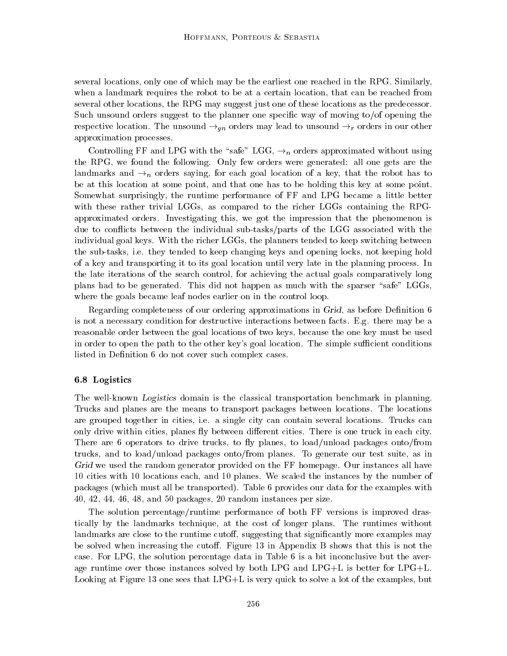several locations, only one of which may be the earliest one reached in the RPG. Similarly, when a landmark requires the robot to be at a certain location, that can be reached from several other locations, the RPG may suggest just one of these locations as the predecessor. Such unsound orders suggest to the planner one specic way of moving to/of opening the respective location. The unsound  $\rightarrow_{gn}$  orders may lead to unsound  $\rightarrow_r$  orders in our other approximation processes.

Controlling FF and LPG with the "safe" LGG,  $\rightarrow_n$  orders approximated without using the RPG, we found the following. Only few orders were generated: all one gets are the landmarks and  $\rightarrow_n$  orders saying, for each goal location of a key, that the robot has to be at this location at some point, and that one has to be holding this key at some point. Somewhat surprisingly, the runtime performance of FF and LPG became a little better with these rather trivial LGGs, as compared to the richer LGGs containing the RPGapproximated orders. Investigating this, we got the impression that the phenomenon is due to con
icts between the individual sub-tasks/parts of the LGG associated with the individual goal keys. With the richer LGGs, the planners tended to keep switching between the sub-tasks, i.e. they tended to keep changing keys and opening locks, not keeping hold of a key and transporting it to its goal location until very late in the planning process. In the late iterations of the search control, for achieving the actual goals comparatively long plans had to be generated. This did not happen as much with the sparser "safe" LGGs, where the goals became leaf nodes earlier on in the control loop.

Regarding completeness of our ordering approximations in Grid, as before Denition 6 is not a necessary condition for destructive interactions between facts. E.g. there may be a reasonable order between the goal locations of two keys, because the one key must be used in order to open the path to the other key's goal location. The simple sufficient conditions listed in Definition 6 do not cover such complex cases.

#### 6.8 Logistics

The well-known Logistics domain is the classical transportation benchmark in planning. Trucks and planes are the means to transport packages between locations. The locations are grouped together in cities, i.e. a single city can contain several locations. Trucks can only drive within cities, planes fly between different cities. There is one truck in each city. There are 6 operators to drive trucks, to fly planes, to  $\text{load/unload packages onto/from}$ trucks, and to load/unload packages onto/from planes. To generate our test suite, as in Grid we used the random generator provided on the FF homepage. Our instances all have 10 cities with 10 locations each, and 10 planes. We scaled the instances by the number of packages (which must all be transported). Table 6 provides our data for the examples with 40, 42, 44, 46, 48, and 50 packages, 20 random instances per size.

The solution percentage/runtime performance of both FF versions is improved drastically by the landmarks technique, at the cost of longer plans. The runtimes without landmarks are close to the runtime cutoff, suggesting that significantly more examples may be solved when increasing the cutoff. Figure 13 in Appendix B shows that this is not the case. For LPG, the solution percentage data in Table 6 is a bit inconclusive but the average runtime over those instances solved by both LPG and LPG+L is better for  $LPG+L$ . Looking at Figure 13 one sees that LPG+L is very quick to solve a lot of the examples, but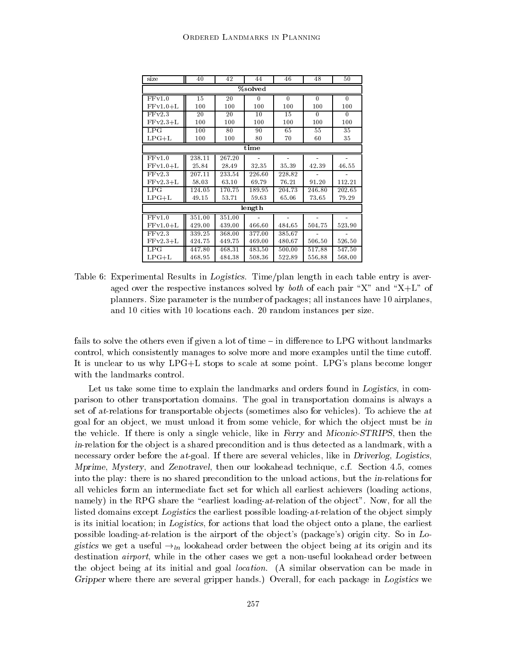| size       | 40     | 42     | 44           | 46       | 48             | 50           |  |  |  |
|------------|--------|--------|--------------|----------|----------------|--------------|--|--|--|
| %solved    |        |        |              |          |                |              |  |  |  |
| FFv1.0     | 15     | 20     | $\mathbf{0}$ | $\theta$ | $\theta$       | $\mathbf{0}$ |  |  |  |
| $FFv1.0+L$ | 100    | 100    | 100          | 100      | 100            | 100          |  |  |  |
| FFv2.3     | 20     | 20     | 10           | 15       | $\overline{0}$ | $\mathbf{0}$ |  |  |  |
| $FFv2.3+L$ | 100    | 100    | 100          | 100      | 100            | 100          |  |  |  |
| LPG        | 100    | 80     | 90           | 65       | 55             | 35           |  |  |  |
| $LPG+L$    | 100    | 100    | 80           | 70       | 60             | 35           |  |  |  |
|            |        |        | time         |          |                |              |  |  |  |
| FFv1.0     | 238.11 | 267.20 |              |          |                |              |  |  |  |
| $FFv1.0+L$ | 25.84  | 28.49  | 32.35        | 35.39    | 42.39          | 46.55        |  |  |  |
| FFv2.3     | 207.11 | 233.54 | 226.60       | 228.82   |                |              |  |  |  |
| $FFv2.3+L$ | 58.03  | 63.10  | 69.79        | 76.21    | 91.20          | 112.21       |  |  |  |
| LPG        | 124.05 | 170.75 | 189.95       | 204.73   | 246.80         | 202.65       |  |  |  |
| $LPG+L$    | 49.15  | 53.71  | 59.63        | 65.06    | 73.65          | 79.29        |  |  |  |
|            |        |        | length       |          |                |              |  |  |  |
| FFv1.0     | 351.00 | 351.00 |              |          |                |              |  |  |  |
| $FFv1.0+L$ | 429.00 | 439.00 | 466.60       | 484.65   | 504.75         | 523.90       |  |  |  |
| FFv2.3     | 339.25 | 368.00 | 377.00       | 385.67   |                |              |  |  |  |
| $FFv2.3+L$ | 424.75 | 449.75 | 469.00       | 480.67   | 506.50         | 526.50       |  |  |  |
| LPG        | 447.80 | 468.31 | 483.50       | 500.00   | 517.88         | 547.50       |  |  |  |
| $LPG+L$    | 468.95 | 484.38 | 508.36       | 522.89   | 556.88         | 568.00       |  |  |  |

Table 6: Experimental Results in Logistics. Time/plan length in each table entry is averaged over the respective instances solved by *both* of each pair "X" and "X+L" of planners. Size parameter is the number of packages; all instances have 10 airplanes, and 10 cities with 10 locations each. 20 random instances per size.

fails to solve the others even if given a lot of time  $-$  in difference to LPG without landmarks control, which consistently manages to solve more and more examples until the time cutoff. It is unclear to us why LPG+L stops to scale at some point. LPG's plans become longer with the landmarks control.

Let us take some time to explain the landmarks and orders found in Logistics, in comparison to other transportation domains. The goal in transportation domains is always a set of at-relations for transportable objects (sometimes also for vehicles). To achieve the at goal for an object, we must unload it from some vehicle, for which the object must be in the vehicle. If there is only a single vehicle, like in Ferry and Miconic-STRIPS, then the in-relation for the object is a shared precondition and is thus detected as a landmark, with a necessary order before the at-goal. If there are several vehicles, like in Driverlog, Logistics, Mprime, Mystery, and Zenotravel, then our lookahead technique, c.f. Section 4.5, comes into the play: there is no shared precondition to the unload actions, but the in-relations for all vehicles form an intermediate fact set for which all earliest achievers (loading actions, namely) in the RPG share the "earliest loading-at-relation of the object". Now, for all the listed domains except Logistics the earliest possible loading-at-relation of the object simply is its initial location; in Logistics, for actions that load the object onto a plane, the earliest possible loading-at-relation is the airport of the object's (package's) origin city. So in  $Lo$ gistics we get a useful  $\rightarrow_{ln}$  lookahead order between the object being at its origin and its destination *airport*, while in the other cases we get a non-useful lookahead order between the object being at its initial and goal *location*. (A similar observation can be made in Gripper where there are several gripper hands.) Overall, for each package in Logistics we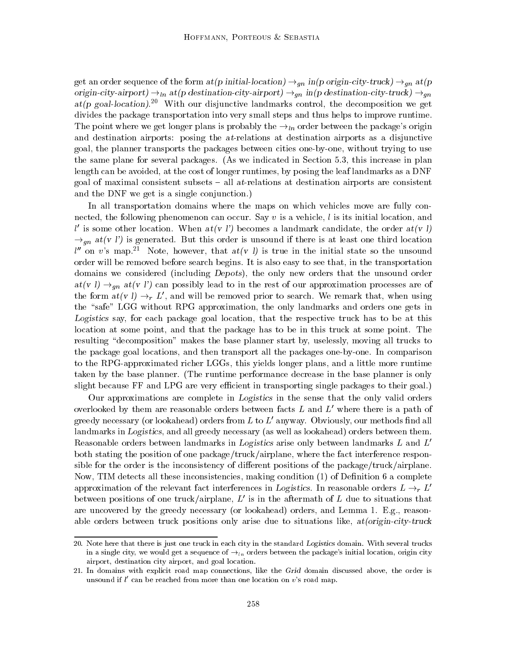get an order sequence of the form  $at(p \text{ initial-location}) \rightarrow_{gn} \text{in}(p \text{ origin-city-truck}) \rightarrow_{gn} \text{at}(p \text{ }}$ origin-city-airport)  $\rightarrow_{ln}$  at(p destination-city-airport)  $\rightarrow_{qn}$  in(p destination-city-truck)  $\rightarrow_{qn}$ at(p goal-location).<sup>20</sup> With our disjunctive landmarks control, the decomposition we get divides the package transportation into very small steps and thus helps to improve runtime. The point where we get longer plans is probably the  $\rightarrow_{ln}$  order between the package's origin and destination airports: posing the at-relations at destination airports as a disjunctive goal, the planner transports the packages between cities one-by-one, without trying to use the same plane for several packages. (As we indicated in Section 5.3, this increase in plan length can be avoided, at the cost of longer runtimes, by posing the leaf landmarks as a DNF goal of maximal consistent subsets  $-$  all at-relations at destination airports are consistent and the DNF we get is a single conjunction.)

In all transportation domains where the maps on which vehicles move are fully connected, the following phenomenon can occur. Say  $v$  is a vehicle, l is its initial location, and l' is some other location. When  $at(v)$  becomes a landmark candidate, the order  $at(v)$  $\rightarrow_{\text{an}}$  at(v l') is generated. But this order is unsound if there is at least one third location  $l''$  on v's map.<sup>21</sup> Note, however, that  $at(v \, l)$  is true in the initial state so the unsound order will be removed before search begins. It is also easy to see that, in the transportation domains we considered (including Depots), the only new orders that the unsound order  $at(v l) \rightarrow_{qn} at(v l')$  can possibly lead to in the rest of our approximation processes are of the form  $at(v \, l) \rightarrow_r L'$ , and will be removed prior to search. We remark that, when using the "safe" LGG without RPG approximation, the only landmarks and orders one gets in Logistics say, for each package goal location, that the respective truck has to be at this location at some point, and that the package has to be in this truck at some point. The resulting "decomposition" makes the base planner start by, uselessly, moving all trucks to the package goal locations, and then transport all the packages one-by-one. In comparison to the RPG-approximated richer LGGs, this yields longer plans, and a little more runtime taken by the base planner. (The runtime performance decrease in the base planner is only slight because FF and LPG are very efficient in transporting single packages to their goal.)

Our approximations are complete in Logistics in the sense that the only valid orders overlooked by them are reasonable orders between facts  $L$  and  $L'$  where there is a path of greedy necessary (or lookahead) orders from  $L$  to  $L'$  anyway. Obviously, our methods find all landmarks in Logistics, and all greedy necessary (as well as lookahead) orders between them. Reasonable orders between landmarks in Logistics arise only between landmarks  $L$  and  $L'$ both stating the position of one package/truck/airplane, where the fact interference responsible for the order is the inconsistency of different positions of the package/truck/airplane. Now, TIM detects all these inconsistencies, making condition  $(1)$  of Definition 6 a complete approximation of the relevant fact interferences in Logistics. In reasonable orders  $L \rightarrow r L'$ between positions of one truck/airplane,  $L'$  is in the aftermath of L due to situations that are uncovered by the greedy necessary (or lookahead) orders, and Lemma 1. E.g., reasonable orders between truck positions only arise due to situations like,  $at(origin-city-truck)$ 

<sup>20.</sup> Note here that there is just one truck in each city in the standard Logistics domain. With several trucks in a single city, we would get a sequence of  $\rightarrow_{ln}$  orders between the package's initial location, origin city airport, destination city airport, and goal location.

<sup>21.</sup> In domains with explicit road map connections, like the Grid domain discussed above, the order is unsound if  $l'$  can be reached from more than one location on  $v$ 's road map.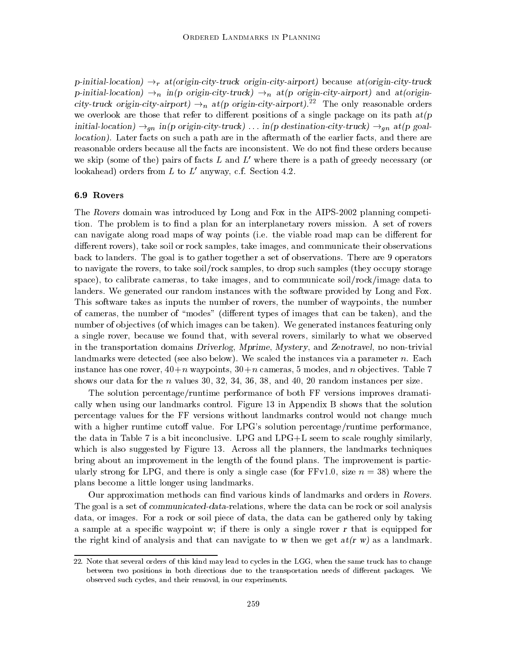p-initial-location)  $\rightarrow_r$  at(origin-city-truck origin-city-airport) because at(origin-city-truck p-initial-location)  $\rightarrow_n$  in(p origin-city-truck)  $\rightarrow_n$  at(p origin-city-airport) and at(origincity-truck origin-city-airport)  $\rightarrow_n$  at(p origin-city-airport).<sup>22</sup> The only reasonable orders we overlook are those that refer to different positions of a single package on its path  $at(p)$ initial-location)  $\rightarrow_{gn}$  in(p origin-city-truck) ... in(p destination-city-truck)  $\rightarrow_{gn}$  at(p goallocation). Later facts on such a path are in the aftermath of the earlier facts, and there are reasonable orders because all the facts are inconsistent. We do not find these orders because we skip (some of the) pairs of facts L and L' where there is a path of greedy necessary (or lookahead) orders from  $L$  to  $L'$  anyway, c.f. Section 4.2.

#### 6.9 Rovers

The Rovers domain was introduced by Long and Fox in the AIPS-2002 planning competition. The problem is to find a plan for an interplanetary rovers mission. A set of rovers can navigate along road maps of way points (i.e. the viable road map can be different for different rovers), take soil or rock samples, take images, and communicate their observations back to landers. The goal is to gather together a set of observations. There are 9 operators to navigate the rovers, to take soil/rock samples, to drop such samples (they occupy storage space), to calibrate cameras, to take images, and to communicate soil/rock/image data to landers. We generated our random instances with the software provided by Long and Fox. This software takes as inputs the number of rovers, the number of waypoints, the number of cameras, the number of "modes" (different types of images that can be taken), and the number of objectives (of which images can be taken). We generated instances featuring only a single rover, because we found that, with several rovers, similarly to what we observed in the transportation domains Driverlog, Mprime, Mystery, and Zenotravel, no non-trivial landmarks were detected (see also below). We scaled the instances via a parameter  $n$ . Each instance has one rover,  $40+n$  waypoints,  $30+n$  cameras, 5 modes, and n objectives. Table 7 shows our data for the n values 30, 32, 34, 36, 38, and 40, 20 random instances per size.

The solution percentage/runtime performance of both FF versions improves dramatically when using our landmarks control. Figure 13 in Appendix B shows that the solution percentage values for the FF versions without landmarks control would not change much with a higher runtime cutoff value. For LPG's solution percentage/runtime performance, the data in Table 7 is a bit inconclusive. LPG and LPG+L seem to scale roughly similarly, which is also suggested by Figure 13. Across all the planners, the landmarks techniques bring about an improvement in the length of the found plans. The improvement is particularly strong for LPG, and there is only a single case (for  $FFv1.0$ , size  $n = 38$ ) where the plans become a little longer using landmarks.

Our approximation methods can find various kinds of landmarks and orders in Rovers. The goal is a set of communicated-data-relations, where the data can be rock or soil analysis data, or images. For a rock or soil piece of data, the data can be gathered only by taking a sample at a specic waypoint w; if there is only a single rover r that is equipped for the right kind of analysis and that can navigate to w then we get  $at(r, w)$  as a landmark.

<sup>22.</sup> Note that several orders of this kind may lead to cycles in the LGG, when the same truck has to change between two positions in both directions due to the transportation needs of different packages. We observed such cycles, and their removal, in our experiments.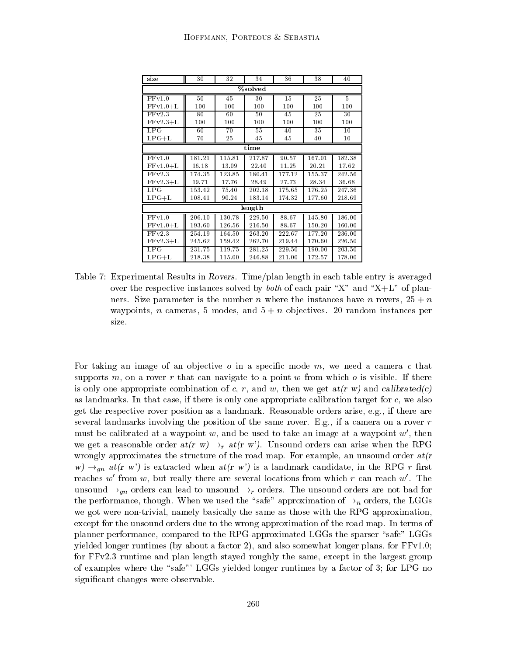| size       | 30     | 32     | 34     | 36     | 38     | 40     |  |  |  |  |
|------------|--------|--------|--------|--------|--------|--------|--|--|--|--|
| %solved    |        |        |        |        |        |        |  |  |  |  |
| FFv1.0     | 50     | 45     | 30     | 15     | 25     | 5      |  |  |  |  |
| $FFv1.0+L$ | 100    | 100    | 100    | 100    | 100    | 100    |  |  |  |  |
| FFv2.3     | 80     | 60     | 50     | 45     | 25     | 30     |  |  |  |  |
| $FFv2.3+L$ | 100    | 100    | 100    | 100    | 100    | 100    |  |  |  |  |
| LPG        | 60     | 70     | 55     | 40     | 35     | 10     |  |  |  |  |
| $LPG+L$    | 70     | 25     | 45     | 45     | 40     | 10     |  |  |  |  |
|            |        |        | time   |        |        |        |  |  |  |  |
| FFv1.0     | 181.21 | 115.81 | 217.87 | 90.57  | 167.01 | 182.38 |  |  |  |  |
| $FFv1.0+L$ | 16.18  | 13.09  | 22.40  | 11.25  | 20.21  | 17.62  |  |  |  |  |
| FFv2.3     | 174.35 | 123.85 | 180.41 | 177.12 | 155.37 | 242.56 |  |  |  |  |
| $FFv2.3+L$ | 19.71  | 17.76  | 28.49  | 2773   | 28.34  | 36.68  |  |  |  |  |
| LPG        | 153.42 | 75.40  | 202.18 | 175.65 | 176.25 | 247.36 |  |  |  |  |
| $LPG+L$    | 108.41 | 90.24  | 183.14 | 174.32 | 177.60 | 218.69 |  |  |  |  |
|            |        |        | length |        |        |        |  |  |  |  |
| FFv1.0     | 206.10 | 130.78 | 229.50 | 88.67  | 145.80 | 186.00 |  |  |  |  |
| $FFv1.0+L$ | 193.60 | 126.56 | 216.50 | 88.67  | 150.20 | 160.00 |  |  |  |  |
| FFv2.3     | 254.19 | 164.50 | 263.20 | 222.67 | 177.20 | 236.00 |  |  |  |  |
| $FFv2.3+L$ | 245.62 | 159.42 | 262.70 | 219.44 | 170.60 | 226.50 |  |  |  |  |
| LPG        | 231.75 | 119.75 | 281.25 | 229.50 | 190.00 | 203.50 |  |  |  |  |
| $LPG+L$    | 218.38 | 115.00 | 246.88 | 211.00 | 172.57 | 178.00 |  |  |  |  |

Table 7: Experimental Results in Rovers. Time/plan length in each table entry is averaged over the respective instances solved by *both* of each pair "X" and "X+L" of planners. Size parameter is the number n where the instances have n rovers,  $25 + n$ waypoints, *n* cameras, 5 modes, and  $5 + n$  objectives. 20 random instances per size.

For taking an image of an objective  $o$  in a specific mode  $m$ , we need a camera  $c$  that supports  $m$ , on a rover r that can navigate to a point w from which  $o$  is visible. If there is only one appropriate combination of c, r, and w, then we get  $at(r, w)$  and calibrated(c) as landmarks. In that case, if there is only one appropriate calibration target for c, we also get the respective rover position as a landmark. Reasonable orders arise, e.g., if there are several landmarks involving the position of the same rover. E.g., if a camera on a rover  $r$ must be calibrated at a waypoint w, and be used to take an image at a waypoint  $w'$ , then we get a reasonable order  $at(r w) \rightarrow_r at(r w')$ . Unsound orders can arise when the RPG wrongly approximates the structure of the road map. For example, an unsound order  $at(r)$  $w \rightarrow_{\text{an}} a t(r \, w')$  is extracted when  $at(r \, w')$  is a landmark candidate, in the RPG r first reaches w' from w, but really there are several locations from which r can reach  $w'$ . The unsound  $\rightarrow_{gn}$  orders can lead to unsound  $\rightarrow_r$  orders. The unsound orders are not bad for the performance, though. When we used the "safe" approximation of  $\rightarrow_n$  orders, the LGGs we got were non-trivial, namely basically the same as those with the RPG approximation, except for the unsound orders due to the wrong approximation of the road map. In terms of planner performance, compared to the RPG-approximated LGGs the sparser "safe" LGGs yielded longer runtimes (by about a factor 2), and also somewhat longer plans, for FFv1.0; for FFv2.3 runtime and plan length stayed roughly the same, except in the largest group of examples where the "safe"' LGGs yielded longer runtimes by a factor of  $3$ ; for LPG no signicant changes were observable.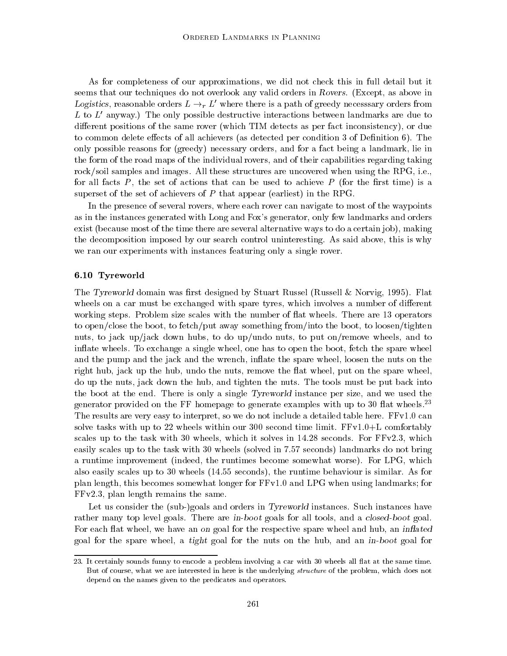As for completeness of our approximations, we did not check this in full detail but it seems that our techniques do not overlook any valid orders in Rovers. (Except, as above in Logistics, reasonable orders  $L \rightarrow r L'$  where there is a path of greedy necessary orders from L to  $L'$  anyway.) The only possible destructive interactions between landmarks are due to different positions of the same rover (which TIM detects as per fact inconsistency), or due to common delete effects of all achievers (as detected per condition 3 of Definition 6). The only possible reasons for (greedy) necessary orders, and for a fact being a landmark, lie in the form of the road maps of the individual rovers, and of their capabilities regarding taking rock/soil samples and images. All these structures are uncovered when using the RPG, i.e., for all facts  $P$ , the set of actions that can be used to achieve  $P$  (for the first time) is a superset of the set of achievers of  $P$  that appear (earliest) in the RPG.

In the presence of several rovers, where each rover can navigate to most of the waypoints as in the instances generated with Long and Fox's generator, only few landmarks and orders exist (because most of the time there are several alternative ways to do a certain job), making the decomposition imposed by our search control uninteresting. As said above, this is why we ran our experiments with instances featuring only a single rover.

#### 6.10 Tyreworld

The Tyreworld domain was first designed by Stuart Russel (Russell & Norvig, 1995). Flat wheels on a car must be exchanged with spare tyres, which involves a number of different working steps. Problem size scales with the number of flat wheels. There are 13 operators to open/close the boot, to fetch/put away something from/into the boot, to loosen/tighten nuts, to jack up/jack down hubs, to do up/undo nuts, to put on/remove wheels, and to inflate wheels. To exchange a single wheel, one has to open the boot, fetch the spare wheel and the pump and the jack and the wrench, in
ate the spare wheel, loosen the nuts on the right hub, jack up the hub, undo the nuts, remove the flat wheel, put on the spare wheel, do up the nuts, jack down the hub, and tighten the nuts. The tools must be put back into the boot at the end. There is only a single Tyreworld instance per size, and we used the generator provided on the FF homepage to generate examples with up to 30 flat wheels.<sup>23</sup> The results are very easy to interpret, so we do not include a detailed table here. FFv1.0 can solve tasks with up to 22 wheels within our 300 second time limit.  $FFv1.0+L$  comfortably scales up to the task with 30 wheels, which it solves in 14.28 seconds. For FFv2.3, which easily scales up to the task with 30 wheels (solved in 7.57 seconds) landmarks do not bring a runtime improvement (indeed, the runtimes become somewhat worse). For LPG, which also easily scales up to 30 wheels (14.55 seconds), the runtime behaviour is similar. As for plan length, this becomes somewhat longer for FFv1.0 and LPG when using landmarks; for FFv2.3, plan length remains the same.

Let us consider the (sub-)goals and orders in *Tyreworld* instances. Such instances have rather many top level goals. There are in-boot goals for all tools, and a closed-boot goal. For each flat wheel, we have an on goal for the respective spare wheel and hub, an *inflated* goal for the spare wheel, a tight goal for the nuts on the hub, and an in-boot goal for

<sup>23.</sup> It certainly sounds funny to encode a problem involving a car with 30 wheels all flat at the same time. But of course, what we are interested in here is the underlying structure of the problem, which does not depend on the names given to the predicates and operators.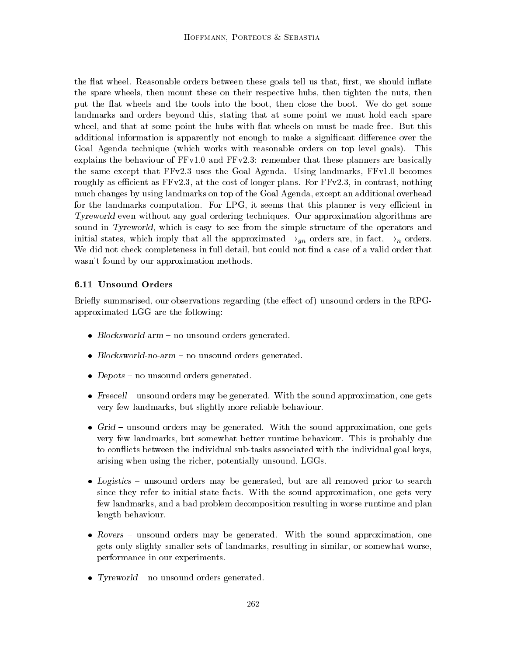the flat wheel. Reasonable orders between these goals tell us that, first, we should inflate the spare wheels, then mount these on their respective hubs, then tighten the nuts, then put the flat wheels and the tools into the boot, then close the boot. We do get some landmarks and orders beyond this, stating that at some point we must hold each spare wheel, and that at some point the hubs with at wheels on must be made free. But this additional information is apparently not enough to make a significant difference over the Goal Agenda technique (which works with reasonable orders on top level goals). This explains the behaviour of FFv1.0 and FFv2.3: remember that these planners are basically the same except that FFv2.3 uses the Goal Agenda. Using landmarks, FFv1.0 becomes roughly as efficient as  $FFv2.3$ , at the cost of longer plans. For  $FFv2.3$ , in contrast, nothing much changes by using landmarks on top of the Goal Agenda, except an additional overhead for the landmarks computation. For LPG, it seems that this planner is very efficient in Tyreworld even without any goal ordering techniques. Our approximation algorithms are sound in Tyreworld, which is easy to see from the simple structure of the operators and initial states, which imply that all the approximated  $\rightarrow_{qn}$  orders are, in fact,  $\rightarrow_{n}$  orders. We did not check completeness in full detail, but could not find a case of a valid order that wasn't found by our approximation methods.

## 6.11 Unsound Orders

Briefly summarised, our observations regarding (the effect of) unsound orders in the RPGapproximated LGG are the following:

- $\bullet$  *Diocksworld-arm*  $-$  *no unsound orders generated.*
- $\bullet$  *Blocksworld-no-arm –* no unsound orders generated.
- $\bullet$  *Depots*  $-$  no unsound orders generated.
- $\bullet$  -reecell  $\hspace{0.1mm}-$  unsound orders may be generated. With the sound approximation, one gets very few landmarks, but slightly more reliable behaviour.
- $\bullet$  Grid  $-$  unsound orders may be generated. With the sound approximation, one gets very few landmarks, but somewhat better runtime behaviour. This is probably due to con
icts between the individual sub-tasks associated with the individual goal keys, arising when using the richer, potentially unsound, LGGs.
- $\bullet$  *Logistics –* unsound orders may be generated, but are all removed prior to search since they refer to initial state facts. With the sound approximation, one gets very few landmarks, and a bad problem decomposition resulting in worse runtime and plan length behaviour.
- $\bullet$  Kovers  $-$  unsound orders may be generated. With the sound approximation, one gets only slighty smaller sets of landmarks, resulting in similar, or somewhat worse, performance in our experiments.
- $\bullet$  1 yreworld no unsound orders generated.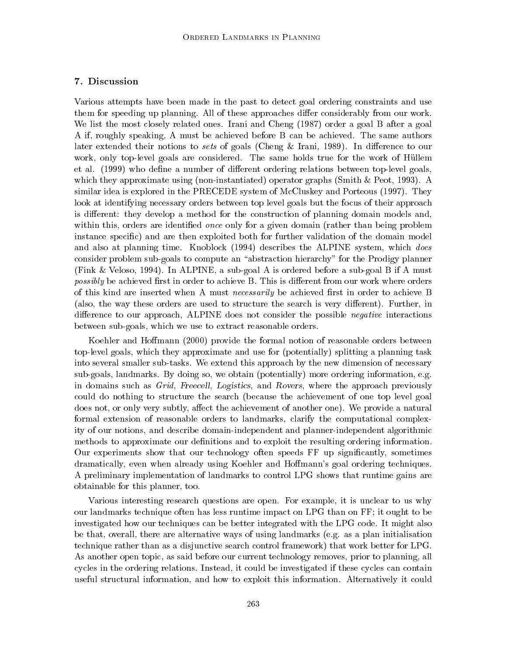## 7. Discussion

Various attempts have been made in the past to detect goal ordering constraints and use them for speeding up planning. All of these approaches differ considerably from our work. We list the most closely related ones. Irani and Cheng (1987) order a goal B after a goal A if, roughly speaking, A must be achieved before B can be achieved. The same authors later extended their notions to sets of goals (Cheng & Irani, 1989). In difference to our work, only top-level goals are considered. The same holds true for the work of Hullem et al. (1999) who define a number of different ordering relations between top-level goals, which they approximate using (non-instantiated) operator graphs (Smith & Peot, 1993). A similar idea is explored in the PRECEDE system of McCluskey and Porteous (1997). They look at identifying necessary orders between top level goals but the focus of their approach is different: they develop a method for the construction of planning domain models and, within this, orders are identified *once* only for a given domain (rather than being problem instance specic) and are then exploited both for further validation of the domain model and also at planning time. Knoblock (1994) describes the ALPINE system, which does consider problem sub-goals to compute an "abstraction hierarchy" for the Prodigy planner (Fink & Veloso, 1994). In ALPINE, a sub-goal A is ordered before a sub-goal B if A must possibly be achieved first in order to achieve B. This is different from our work where orders of this kind are inserted when A must *necessarily* be achieved first in order to achieve B (also, the way these orders are used to structure the search is very different). Further, in difference to our approach,  $\text{ALPINE}$  does not consider the possible *negative* interactions between sub-goals, which we use to extract reasonable orders.

Koehler and Hoffmann (2000) provide the formal notion of reasonable orders between top-level goals, which they approximate and use for (potentially) splitting a planning task into several smaller sub-tasks. We extend this approach by the new dimension of necessary sub-goals, landmarks. By doing so, we obtain (potentially) more ordering information, e.g. in domains such as Grid, Freecell, Logistics, and Rovers, where the approach previously could do nothing to structure the search (because the achievement of one top level goal does not, or only very subtly, affect the achievement of another one). We provide a natural formal extension of reasonable orders to landmarks, clarify the computational complexity of our notions, and describe domain-independent and planner-independent algorithmic methods to approximate our definitions and to exploit the resulting ordering information. Our experiments show that our technology often speeds FF up signicantly, sometimes dramatically, even when already using Koehler and Homann's goal ordering techniques. A preliminary implementation of landmarks to control LPG shows that runtime gains are obtainable for this planner, too.

Various interesting research questions are open. For example, it is unclear to us why our landmarks technique often has less runtime impact on LPG than on FF; it ought to be investigated how our techniques can be better integrated with the LPG code. It might also be that, overall, there are alternative ways of using landmarks (e.g. as a plan initialisation technique rather than as a disjunctive search control framework) that work better for LPG. As another open topic, as said before our current technology removes, prior to planning, all cycles in the ordering relations. Instead, it could be investigated if these cycles can contain useful structural information, and how to exploit this information. Alternatively it could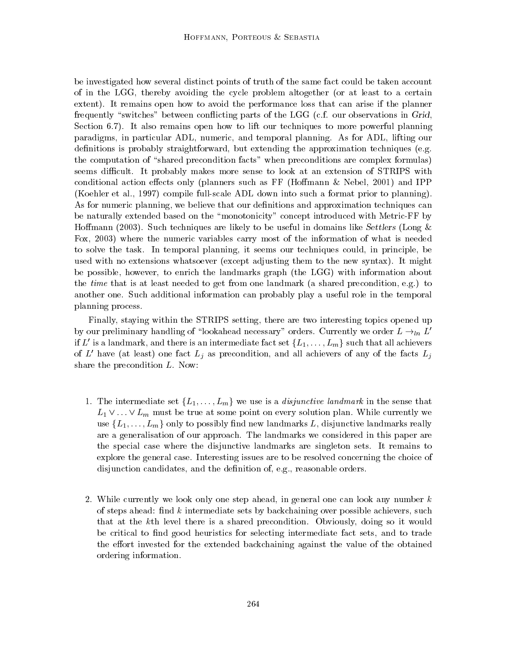be investigated how several distinct points of truth of the same fact could be taken account of in the LGG, thereby avoiding the cycle problem altogether (or at least to a certain extent). It remains open how to avoid the performance loss that can arise if the planner frequently "switches" between conflicting parts of the LGG (c.f. our observations in Grid, Section 6.7). It also remains open how to lift our techniques to more powerful planning paradigms, in particular ADL, numeric, and temporal planning. As for ADL, lifting our definitions is probably straightforward, but extending the approximation techniques (e.g. the computation of "shared precondition facts" when preconditions are complex formulas) seems difficult. It probably makes more sense to look at an extension of STRIPS with conditional action effects only (planners such as FF (Hoffmann  $\&$  Nebel, 2001) and IPP (Koehler et al., 1997) compile full-scale ADL down into such a format prior to planning). As for numeric planning, we believe that our definitions and approximation techniques can be naturally extended based on the \monotonicity" concept introduced with Metric-FF by Hoffmann (2003). Such techniques are likely to be useful in domains like Settlers (Long  $\&$ Fox, 2003) where the numeric variables carry most of the information of what is needed to solve the task. In temporal planning, it seems our techniques could, in principle, be used with no extensions whatsoever (except adjusting them to the new syntax). It might be possible, however, to enrich the landmarks graph (the LGG) with information about the time that is at least needed to get from one landmark (a shared precondition, e.g.) to another one. Such additional information can probably play a useful role in the temporal planning process.

Finally, staying within the STRIPS setting, there are two interesting topics opened up by our preliminary handling of "lookahead necessary" orders. Currently we order  $L \rightarrow_{ln} L'$ if L' is a landmark, and there is an intermediate fact set  $\{L_1,\ldots,L_m\}$  such that all achievers of  $L'$  have (at least) one fact  $L_j$  as precondition, and all achievers of any of the facts  $L_j$ share the precondition L. Now:

- 1. The intermediate set  $\{L_1,\ldots,L_m\}$  we use is a *disjunctive landmark* in the sense that  $L_1 \vee \ldots \vee L_m$  must be true at some point on every solution plan. While currently we use  $\{L_1,\ldots,L_m\}$  only to possibly find new landmarks L, disjunctive landmarks really are a generalisation of our approach. The landmarks we considered in this paper are the special case where the disjunctive landmarks are singleton sets. It remains to explore the general case. Interesting issues are to be resolved concerning the choice of disjunction candidates, and the definition of, e.g., reasonable orders.
- 2. While currently we look only one step ahead, in general one can look any number  $k$ of steps ahead: find  $k$  intermediate sets by backchaining over possible achievers, such that at the kth level there is a shared precondition. Obviously, doing so it would be critical to find good heuristics for selecting intermediate fact sets, and to trade the effort invested for the extended backchaining against the value of the obtained ordering information.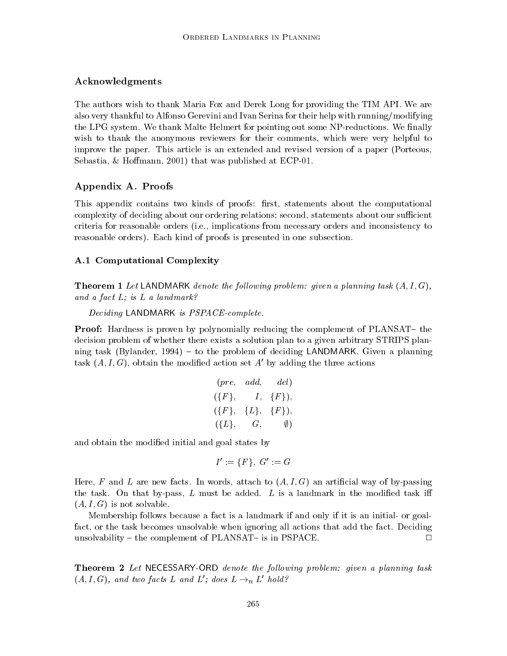#### Acknowledgments

The authors wish to thank Maria Fox and Derek Long for providing the TIM API. We are also very thankful to Alfonso Gerevini and Ivan Serina for their help with running/modifying the LPG system. We thank Malte Helmert for pointing out some NP-reductions. We finally wish to thank the anonymous reviewers for their comments, which were very helpful to improve the paper. This article is an extended and revised version of a paper (Porteous, Sebastia, & Hoffmann, 2001) that was published at ECP-01.

## Appendix A. Proofs

This appendix contains two kinds of proofs: first, statements about the computational complexity of deciding about our ordering relations; second, statements about our sufficient criteria for reasonable orders (i.e., implications from necessary orders and inconsistency to reasonable orders). Each kind of proofs is presented in one subsection.

#### A.1 Computational Complexity

**Theorem 1** Let LANDMARK denote the following problem: given a planning task  $(A, I, G)$ , and a fact L; is L a landmark?

#### Deciding LANDMARK is PSPACE-complete.

**Proof:** Hardness is proven by polynomially reducing the complement of PLANSAT – the decision problem of whether there exists a solution plan to a given arbitrary STRIPS planning task (Bylander, 1994) – to the problem of deciding LANDMARK. Given a planning task  $(A, I, G)$ , obtain the modified action set A' by adding the three actions

$$
(pre, add, del)
$$
  
\n
$$
(\{F\}, I, \{F\}),
$$
  
\n
$$
(\{F\}, \{L\}, \{F\}),
$$
  
\n
$$
(\{L\}, G, \emptyset)
$$

and obtain the modied initial and goal states by

$$
I':=\{F\},\; G':=G
$$

Here, F and L are new facts. In words, attach to  $(A, I, G)$  an artificial way of by-passing the task. On that by-pass,  $L$  must be added.  $L$  is a landmark in the modified task iff  $(A, I, G)$  is not solvable.

Membership follows because a fact is a landmark if and only if it is an initial- or goalfact, or the task becomes unsolvable when ignoring all actions that add the fact. Deciding unsolvability  $-$  the complement of PLANSAT $-$  is in PSPACE.  $\Box$ 

**Theorem 2** Let NECESSARY-ORD denote the following problem: given a planning task  $(A, I, G)$ , and two facts L and L'; does  $L \rightarrow_n L'$  hold?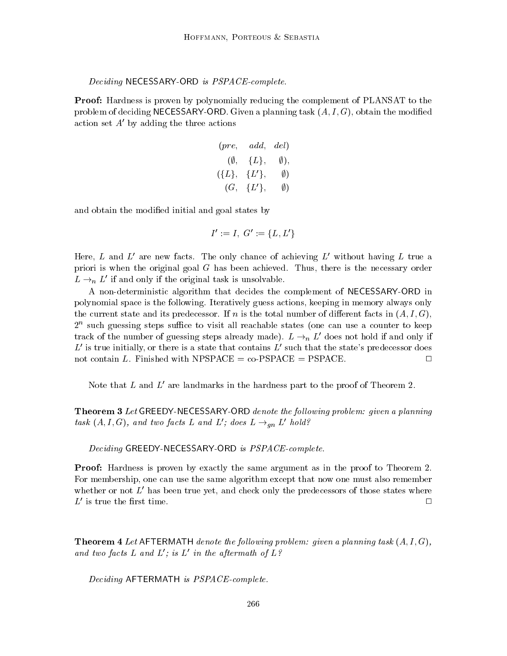#### Deciding NECESSARY-ORD is PSPACE-complete.

Proof: Hardness is proven by polynomially reducing the complement of PLANSAT to the problem of deciding NECESSARY-ORD. Given a planning task  $(A, I, G)$ , obtain the modified action set  $A'$  by adding the three actions

$$
\begin{array}{ccc} (pre, & add, & del) \\ ( \emptyset, & \{L\}, & \emptyset), \\ ( \{L\}, & \{L'\}, & \emptyset) \\ ( G, & \{L'\}, & \emptyset) \end{array}
$$

and obtain the modied initial and goal states by

$$
I':=I,\,\,G':=\{L,L'\}
$$

Here, L and L' are new facts. The only chance of achieving L' without having L true a priori is when the original goal  $G$  has been achieved. Thus, there is the necessary order  $L \rightarrow_n L'$  if and only if the original task is unsolvable.

A non-deterministic algorithm that decides the complement of NECESSARY-ORD in polynomial space is the following. Iteratively guess actions, keeping in memory always only the current state and its predecessor. If n is the total number of different facts in  $(A, I, G)$ , 2<sup>1</sup> such guessing steps sumce to visit all reachable states (one can use a counter to keep track of the number of guessing steps already made).  $L \rightarrow_n L'$  does not hold if and only if L' is true initially, or there is a state that contains L' such that the state's predecessor does not contain L. Finished with NPSPACE  $=$  co-PSPACE  $=$  PSPACE.  $\Box$ 

Note that L and  $L'$  are landmarks in the hardness part to the proof of Theorem 2.

**Theorem 3** Let GREEDY-NECESSARY-ORD denote the following problem: given a planning task  $(A, I, G)$ , and two facts L and L'; does  $L \rightarrow_{qn} L'$  hold?

Deciding GREEDY-NECESSARY-ORD is PSPACE-complete.

Proof: Hardness is proven by exactly the same argument as in the proof to Theorem 2. For membership, one can use the same algorithm except that now one must also remember whether or not  $L'$  has been true yet, and check only the predecessors of those states where  $L'$  is true the first time.

**Theorem 4** Let AFTERMATH denote the following problem: given a planning task  $(A, I, G)$ , and two facts L and  $L'$ ; is L' in the aftermath of  $L^2$ 

Deciding AFTERMATH is PSPACE-complete.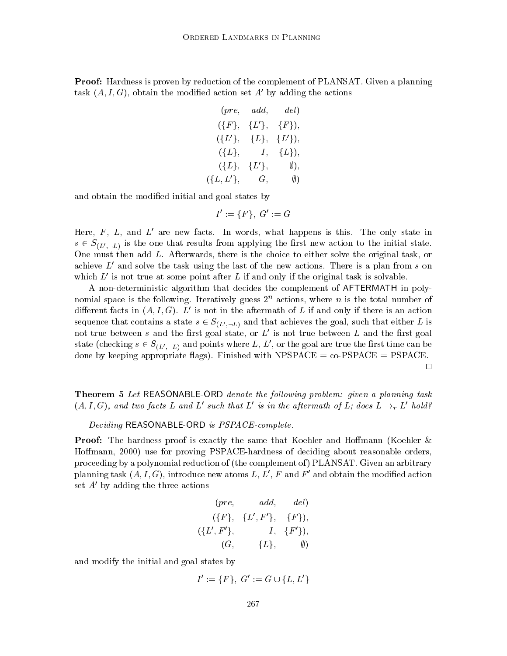Proof: Hardness is proven by reduction of the complement of PLANSAT. Given a planning task  $(A, I, G)$ , obtain the modified action set A' by adding the actions

$$
(pre, add, del)
$$
  
\n
$$
(\{F\}, \{L'\}, \{F\}),
$$
  
\n
$$
(\{L'\}, \{L\}, \{L'\}),
$$
  
\n
$$
(\{L\}, \{L\}, \{L\}),
$$
  
\n
$$
(\{L\}, \{L'\}, \emptyset),
$$
  
\n
$$
(\{L,L'\}, \{G, \emptyset\})
$$

and obtain the modied initial and goal states by

$$
I':=\{F\},\,\,G':=G
$$

Here,  $F$ ,  $L$ , and  $L'$  are new facts. In words, what happens is this. The only state in  $s \in S_{(L',-L)}$  is the one that results from applying the first new action to the initial state. One must then add L. Afterwards, there is the choice to either solve the original task, or achieve  $L'$  and solve the task using the last of the new actions. There is a plan from s on which  $L'$  is not true at some point after L if and only if the original task is solvable.

A non-deterministic algorithm that decides the complement of AFTERMATH in polynomial space is the following. Iteratively guess  $2<sup>n</sup>$  actions, where n is the total number of different facts in  $(A, I, G)$ . L' is not in the aftermath of L if and only if there is an action sequence that contains a state  $s \in S_{(L',-L)}$  and that achieves the goal, such that either L is not true between s and the first goal state, or  $L'$  is not true between L and the first goal state (checking  $s \in S_{(L', -L)}$  and points where L, L', or the goal are true the first time can be done by keeping appropriate flags). Finished with NPSPACE =  $co-PSPACE = PSPACE$ .  $\Box$ 

**Theorem 5** Let REASONABLE-ORD denote the following problem: given a planning task  $(A, I, G)$ , and two facts L and L' such that L' is in the aftermath of L; does  $L \rightarrow_r L'$  hold?

Deciding REASONABLE-ORD is PSPACE-complete.

**Proof:** The hardness proof is exactly the same that Koehler and Hoffmann (Koehler & Hoffmann, 2000) use for proving PSPACE-hardness of deciding about reasonable orders, proceeding by a polynomial reduction of (the complement of ) PLANSAT. Given an arbitrary planning task  $(A, I, G)$ , introduce new atoms L, L', F and F' and obtain the modified action set  $A'$  by adding the three actions

$$
(pre, \qquad add, \qquad del)\\ (\{F\}, \quad \{L',F'\}, \quad \{F\}),\\ (\{L',F'\}, \qquad \quad I, \quad \{F'\}),\\ (G, \qquad \{L\}, \qquad \emptyset)
$$

and modify the initial and goal states by

$$
l \; \text{states by} \; \; \\ I' := \{F\}, \; G' := G \cup \{L, L'\}
$$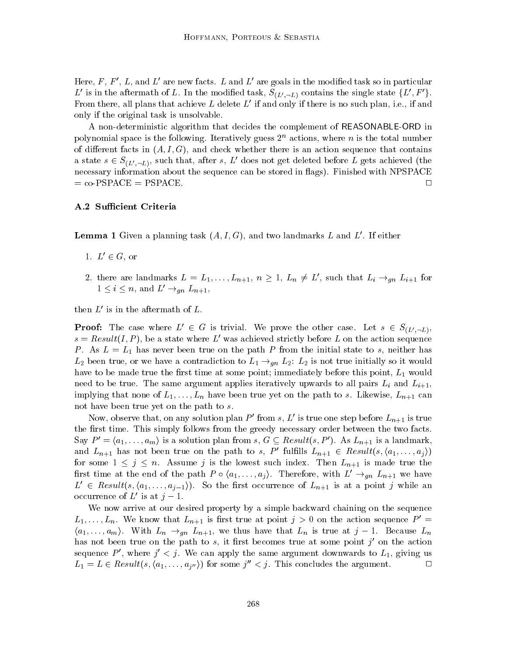Here, F, F', L, and L' are new facts. L and L' are goals in the modified task so in particular L' is in the aftermath of L. In the modified task,  $S_{(L',-L)}$  contains the single state  $\{L', F'\}$ . From there, all plans that achieve L delete  $L'$  if and only if there is no such plan, i.e., if and only if the original task is unsolvable.

A non-deterministic algorithm that decides the complement of REASONABLE-ORD in polynomial space is the following. Iteratively guess  $2^n$  actions, where n is the total number of different facts in  $(A, I, G)$ , and check whether there is an action sequence that contains a state  $s \in S_{(L',-L)}$ , such that, after s, L' does not get deleted before L gets achieved (the necessary information about the sequence can be stored in flags). Finished with NPSPACE  $=$  co-PSPACE  $=$  PSPACE.

#### A.2 Sufficient Criteria

**Lemma 1** Given a planning task  $(A, I, G)$ , and two landmarks L and L'. If either

- 1.  $L' \in G$ , or
- 2. there are landmarks  $L = L_1, \ldots, L_{n+1}, n \geq 1, L_n \neq L'$ , such that  $L_i \rightarrow_{qn} L_{i+1}$  for  $1 \leq i \leq n$ , and  $L' \rightarrow_{gn} L_{n+1}$ ,

then  $L'$  is in the aftermath of  $L$ .

**Proof:** The case where  $L' \in G$  is trivial. We prove the other case. Let  $s \in S_{(L', \neg L)}$ ,  $s = Result(I, P)$ , be a state where L' was achieved strictly before L on the action sequence P. As  $L = L_1$  has never been true on the path P from the initial state to s, neither has  $L_2$  been true, or we have a contradiction to  $L_1 \rightarrow_{qn} L_2$ :  $L_2$  is not true initially so it would have to be made true the first time at some point; immediately before this point,  $L_1$  would need to be true. The same argument applies iteratively upwards to all pairs  $L_i$  and  $L_{i+1}$ , implying that none of  $L_1,\ldots,L_n$  have been true yet on the path to s. Likewise,  $L_{n+1}$  can not have been true yet on the path to s.

Now, observe that, on any solution plan P' from s, L' is true one step before  $L_{n+1}$  is true the first time. This simply follows from the greedy necessary order between the two facts. Say  $P' = \langle a_1, \ldots, a_m \rangle$  is a solution plan from s,  $G \subseteq Result(s, P')$ . As  $L_{n+1}$  is a landmark, and  $L_{n+1}$  has not been true on the path to s, P' fulfills  $L_{n+1} \in Result(s, \langle a_1, \ldots, a_j \rangle)$ for some  $1 \leq j \leq n$ . Assume j is the lowest such index. Then  $L_{n+1}$  is made true the and  $L_{n+1}$  has not been true on the path to s, P' fulfills  $L_{n+1} \in Result(s, \langle a_1, \ldots, a_j \rangle)$ <br>for some  $1 \leq j \leq n$ . Assume j is the lowest such index. Then  $L_{n+1}$  is made true the<br>first time at the end of the path  $P \circ \langle a_1$  $L' \in Result(s, \langle a_1, \ldots, a_{j-1} \rangle)$ . So the first occurrence of  $L_{n+1}$  is at a point j while an occurrence of  $L'$  is at  $j - 1$ .

We now arrive at our desired property by a simple backward chaining on the sequence  $L_1, \ldots, L_n$ . We know that  $L_{n+1}$  is first true at point  $j > 0$  on the action sequence  $P' =$  $\langle a_1,\ldots,a_m\rangle$ . With  $L_n \to_{gn} L_{n+1}$ , we thus have that  $L_n$  is true at  $j-1$ . Because  $L_n$ has not been true on the path to s, it first becomes true at some point  $j'$  on the action sequence P', where  $j' < j$ . We can apply the same argument downwards to  $L_1$ , giving us  $L_1 = L \in Result(s, \langle a_1, \ldots, a_{j''} \rangle)$  for some  $j'' < j$ . This concludes the argument.  $\Box$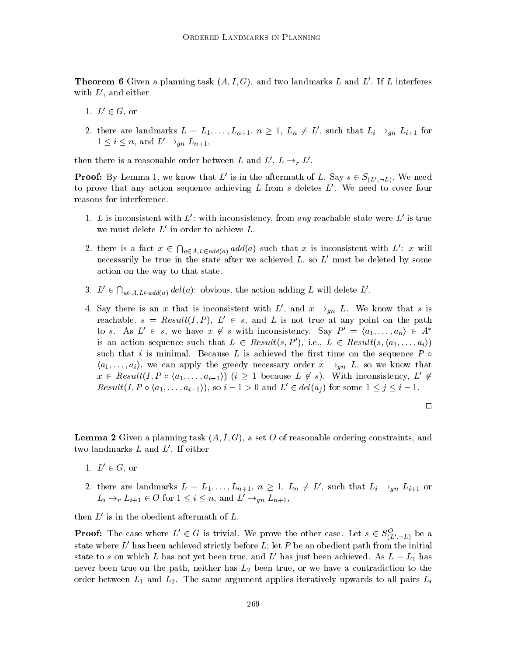**Theorem 6** Given a planning task  $(A, I, G)$ , and two landmarks L and L'. If L interferes with  $L'$ , and either

- 1.  $L' \in G$ , or
- 2. there are landmarks  $L = L_1, \ldots, L_{n+1}, n \geq 1, L_n \neq L'$ , such that  $L_i \rightarrow_{gn} L_{i+1}$  for  $1 \leq i \leq n$ , and  $L' \rightarrow_{\text{an}} L_{n+1}$ ,

then there is a reasonable order between L and  $L', L \rightarrow_r L'$ .

**Proof:** By Lemma 1, we know that L' is in the aftermath of L. Say  $s \in S_{(L', \neg L)}$ . We need to prove that any action sequence achieving  $L$  from  $s$  deletes  $L'$ . We need to cover four reasons for interference.

- 1. L is inconsistent with L': with inconsistency, from any reachable state were  $L'$  is true we must delete  $L'$  in order to achieve  $L$ .
- 2. there is a fact  $x \in \bigcap_{a \in A, L \in add(a)} add(a)$  such that x is inconsistent with  $L'$ : x will necessarily be true in the state after we achieved  $L$ , so  $L'$  must be deleted by some action on the way to that state.
- 3.  $L' \in \bigcap_{a \in A, L \in add(a)} del(a)$ : obvious, the action adding L will delete L'.
- 4. Say there is an x that is inconsistent with L', and  $x \rightarrow_{qn} L$ . We know that s is reachable,  $s = Result(I, P), L' \in s$ , and L is not true at any point on the path to s. As  $L' \in s$ , we have  $x \notin s$  with inconsistency. Say  $P' = \langle a_1, \ldots, a_n \rangle \in A^*$ is an action sequence such that  $L \in Result(s, P')$ , i.e.,  $L \in Result(s, \langle a_1, \ldots, a_i \rangle)$ such that i is minimal. Because L is achieved the first time on the sequence  $P \circ$  $\{a_1,\ldots,a_i\}$ , we can apply the greedy necessary order  $x \rightarrow_{an} L$ , so we know that such that *i* is minimal. Because *L* is achieved the first time on the sequence *P*  $\circ$   $\langle a_1, \ldots, a_i \rangle$ , we can apply the greedy necessary order  $x \to_{gn} L$ , so we know that  $x \in Result(I, P \circ \langle a_1, \ldots, a_{i-1} \rangle)$   $(i \geq 1$  becaus  $x \in Result(I, P \circ \langle a_1, \ldots, a_{i-1} \rangle)$   $(i \geq 1$  because  $L \notin s$ ). With inconsistency,  $L' \notin Result(I, P \circ \langle a_1, \ldots, a_{i-1} \rangle)$ , so  $i - 1 > 0$  and  $L' \in del(a_i)$  for some  $1 \leq j \leq i - 1$ .

 $\Box$ 

**Lemma 2** Given a planning task  $(A, I, G)$ , a set O of reasonable ordering constraints, and two landmarks  $L$  and  $L'$ . If either

- 1.  $L' \in G$ , or
- 2. there are landmarks  $L = L_1, \ldots, L_{n+1}, n \geq 1, L_n \neq L'$ , such that  $L_i \rightarrow_{gn} L_{i+1}$  or  $L_i \rightarrow_r L_{i+1} \in O$  for  $1 \leq i \leq n$ , and  $L' \rightarrow_{qn} L_{n+1}$ ,

then  $L'$  is in the obedient aftermath of  $L$ .

**Proof:** The case where  $L' \in G$  is trivial. We prove the other case. Let  $s \in S^O_{(L', \neg L)}$  be a state where  $L'$  has been achieved strictly before  $L$ ; let P be an obedient path from the initial state to s on which L has not yet been true, and L' has just been achieved. As  $L = L_1$  has never been true on the path, neither has  $L_2$  been true, or we have a contradiction to the order between  $L_1$  and  $L_2$ . The same argument applies iteratively upwards to all pairs  $L_i$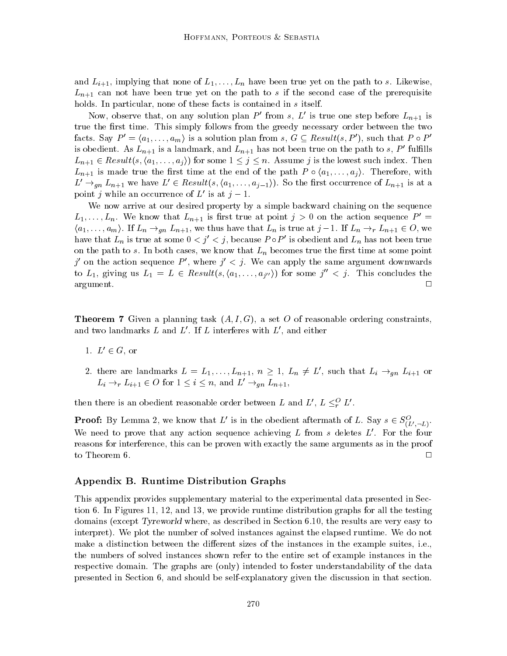and  $L_{i+1}$ , implying that none of  $L_1,\ldots,L_n$  have been true yet on the path to s. Likewise,  $L_{n+1}$  can not have been true yet on the path to s if the second case of the prerequisite holds. In particular, none of these facts is contained in s itself.

Now, observe that, on any solution plan P' from s, L' is true one step before  $L_{n+1}$  is true the first time. This simply follows from the greedy necessary order between the two facts. Say  $P' = \langle a_1, \ldots, a_m \rangle$  is a solution plan from s,  $G \subseteq Result(s, P')$ , such that  $P \circ P'$ is obedient. As  $L_{n+1}$  is a landmark, and  $L_{n+1}$  has not been true on the path to s, P' fulfills  $L_{n+1} \in Result(s, (a_1, \ldots, a_j))$  for some  $1 \leq j \leq n$ . Assume j is the lowest such index. Then is obedient. As  $L_{n+1}$  is a landmark, and  $L_{n+1}$  has not been true on the path to  $s$ ,  $P'$  fulfills  $L_{n+1} \in Result(s, \langle a_1, \ldots, a_j \rangle)$  for some  $1 \leq j \leq n$ . Assume  $j$  is the lowest such index. Then  $L_{n+1}$  is made true t  $L' \rightarrow_{qn} L_{n+1}$  we have  $L' \in Result(s, \langle a_1, \ldots, a_{i-1} \rangle)$ . So the first occurrence of  $L_{n+1}$  is at a point j while an occurrence of  $L'$  is at  $j - 1$ .

We now arrive at our desired property by a simple backward chaining on the sequence  $L_1,\ldots,L_n$ . We know that  $L_{n+1}$  is first true at point  $j>0$  on the action sequence  $P' =$  $\langle a_1,\ldots,a_m\rangle$ . If  $L_n \to_{gn} L_{n+1}$ , we thus have that  $L_n$  is true at  $j-1$ . If  $L_n \to_r L_{n+1} \in O$ , we have that  $L_n$  is true at some  $0 < j' < j$ , because  $P \circ P'$  is obedient and  $L_n$  has not been true on the path to s. In both cases, we know that  $L_n$  becomes true the first time at some point  $j'$  on the action sequence P', where  $j' < j$ . We can apply the same argument downwards to  $L_1$ , giving us  $L_1 = L \in Result(s, \langle a_1, \ldots, a_{i''}\rangle)$  for some  $j'' < j$ . This concludes the  $\Box$ are  $\overline{A}$  are  $\overline{A}$  and  $\overline{A}$  are  $\overline{A}$  and  $\overline{A}$  are  $\overline{A}$  are  $\overline{A}$  and  $\overline{A}$  are  $\overline{A}$  and  $\overline{A}$  are  $\overline{A}$  and  $\overline{A}$  are  $\overline{A}$  and  $\overline{A}$  are  $\overline{A}$  and  $\overline{A}$  and  $\overline{A}$ 

**Theorem 7** Given a planning task  $(A, I, G)$ , a set O of reasonable ordering constraints, and two landmarks  $L$  and  $L'$ . If  $L$  interferes with  $L'$ , and either

- 1.  $L' \in G$ , or
- 2. there are landmarks  $L = L_1, \ldots, L_{n+1}, n \geq 1, L_n \neq L'$ , such that  $L_i \rightarrow_{gn} L_{i+1}$  or  $L_i \rightarrow_r L_{i+1} \in O$  for  $1 \leq i \leq n$ , and  $L' \rightarrow_{gn} L_{n+1}$ ,

then there is an obedient reasonable order between L and  $L', L \leq^O_l L'$ .

**Proof:** By Lemma 2, we know that L' is in the obedient aftermath of L. Say  $s \in S^O_{(L', \neg L)}$ . We need to prove that any action sequence achieving  $L$  from s deletes  $L'$ . For the four reasons for interference, this can be proven with exactly the same arguments as in the proof to Theorem 6.  $\Box$ 

### Appendix B. Runtime Distribution Graphs

This appendix provides supplementary material to the experimental data presented in Section 6. In Figures 11, 12, and 13, we provide runtime distribution graphs for all the testing domains (except Tyreworld where, as described in Section 6.10, the results are very easy to interpret). We plot the number of solved instances against the elapsed runtime. We do not make a distinction between the different sizes of the instances in the example suites, i.e., the numbers of solved instances shown refer to the entire set of example instances in the respective domain. The graphs are (only) intended to foster understandability of the data presented in Section 6, and should be self-explanatory given the discussion in that section.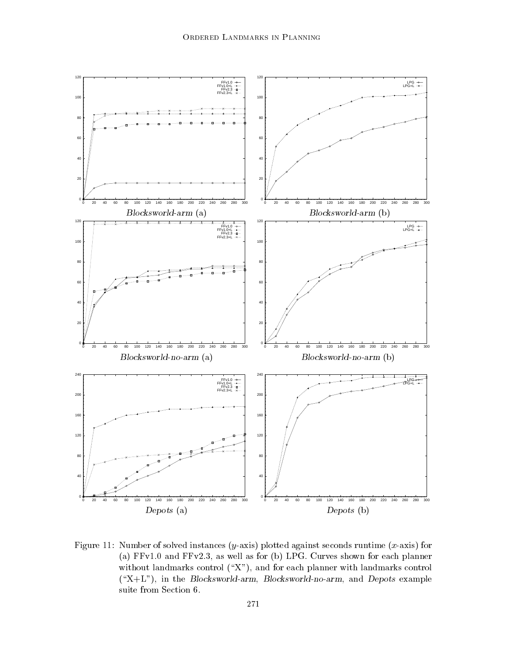

Figure 11: Number of solved instances  $(y\text{-axis})$  plotted against seconds runtime  $(x\text{-axis})$  for (a) FFv1.0 and FFv2.3, as well as for (b) LPG. Curves shown for each planner without landmarks control  $(\mathscr{X})$ , and for each planner with landmarks control  $(\kappa X+L^{\nu})$ , in the Blocksworld-arm, Blocksworld-no-arm, and Depots example suite from Section 6.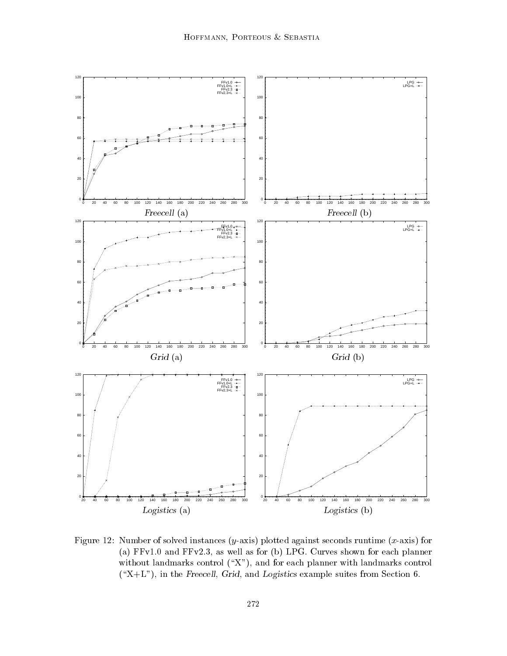

Figure 12: Number of solved instances  $(y\text{-axis})$  plotted against seconds runtime  $(x\text{-axis})$  for (a) FFv1.0 and FFv2.3, as well as for (b) LPG. Curves shown for each planner without landmarks control  $(\mathcal{X}^n)$ , and for each planner with landmarks control  $(\Upsilon X + L^*)$ , in the Freecell, Grid, and Logistics example suites from Section 6.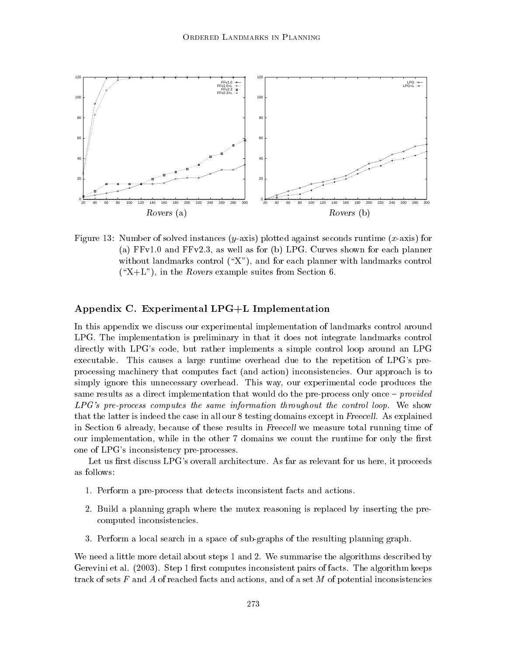

Figure 13: Number of solved instances  $(y\text{-axis})$  plotted against seconds runtime  $(x\text{-axis})$  for (a) FFv1.0 and FFv2.3, as well as for (b) LPG. Curves shown for each planner without landmarks control  $(\mathscr{X})$ , and for each planner with landmarks control  $(\Upsilon X+L^{\nu})$ , in the Rovers example suites from Section 6.

## Appendix C. Experimental LPG+L Implementation

In this appendix we discuss our experimental implementation of landmarks control around LPG. The implementation is preliminary in that it does not integrate landmarks control directly with LPG's code, but rather implements a simple control loop around an LPG executable. This causes a large runtime overhead due to the repetition of LPG's preprocessing machinery that computes fact (and action) inconsistencies. Our approach is to simply ignore this unnecessary overhead. This way, our experimental code produces the same results as a direct implementation that would do the pre-process only once  $-$  provided LPG's pre-process computes the same information throughout the control loop. We show that the latter is indeed the case in all our 8 testing domains except in Freecell. As explained in Section 6 already, because of these results in Freecell we measure total running time of our implementation, while in the other 7 domains we count the runtime for only the first one of LPG's inconsistency pre-processes.

Let us first discuss  $LPG$ 's overall architecture. As far as relevant for us here, it proceeds as follows:

- 1. Perform a pre-process that detects inconsistent facts and actions.
- 2. Build a planning graph where the mutex reasoning is replaced by inserting the precomputed inconsistencies.
- 3. Perform a local search in a space of sub-graphs of the resulting planning graph.

We need a little more detail about steps 1 and 2. We summarise the algorithms described by Gerevini et al.  $(2003)$ . Step 1 first computes inconsistent pairs of facts. The algorithm keeps track of sets  $F$  and  $A$  of reached facts and actions, and of a set  $M$  of potential inconsistencies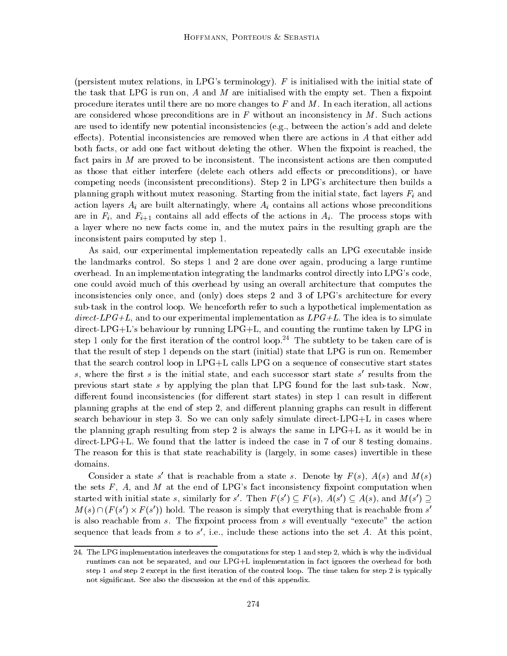(persistent mutex relations, in LPG's terminology).  $F$  is initialised with the initial state of the task that LPG is run on, A and M are initialised with the empty set. Then a fixpoint procedure iterates until there are no more changes to  $F$  and  $M$ . In each iteration, all actions are considered whose preconditions are in  $F$  without an inconsistency in  $M$ . Such actions are used to identify new potential inconsistencies (e.g., between the action's add and delete effects). Potential inconsistencies are removed when there are actions in  $A$  that either add both facts, or add one fact without deleting the other. When the fixpoint is reached, the fact pairs in  $M$  are proved to be inconsistent. The inconsistent actions are then computed as those that either interfere (delete each others add effects or preconditions), or have competing needs (inconsistent preconditions). Step 2 in LPG's architecture then builds a planning graph without mutex reasoning. Starting from the initial state, fact layers  $F_i$  and action layers  $A_i$  are built alternatingly, where  $A_i$  contains all actions whose preconditions are in  $F_i$ , and  $F_{i+1}$  contains all add effects of the actions in  $A_i$ . The process stops with a layer where no new facts come in, and the mutex pairs in the resulting graph are the inconsistent pairs computed by step 1.

As said, our experimental implementation repeatedly calls an LPG executable inside the landmarks control. So steps 1 and 2 are done over again, producing a large runtime overhead. In an implementation integrating the landmarks control directly into LPG's code, one could avoid much of this overhead by using an overall architecture that computes the inconsistencies only once, and (only) does steps 2 and 3 of LPG's architecture for every sub-task in the control loop. We henceforth refer to such a hypothetical implementation as direct-LPG+L, and to our experimental implementation as  $LPG+L$ . The idea is to simulate direct-LPG+L's behaviour by running LPG+L, and counting the runtime taken by LPG in step 1 only for the first iteration of the control loop.<sup>24</sup> The subtlety to be taken care of is that the result of step 1 depends on the start (initial) state that LPG is run on. Remember that the search control loop in LPG+L calls LPG on a sequence of consecutive start states s, where the first s is the initial state, and each successor start state s' results from the previous start state s by applying the plan that LPG found for the last sub-task. Now, different found inconsistencies (for different start states) in step 1 can result in different planning graphs at the end of step 2, and different planning graphs can result in different search behaviour in step 3. So we can only safely simulate direct-LPG+L in cases where the planning graph resulting from step 2 is always the same in LPG+L as it would be in direct-LPG+L. We found that the latter is indeed the case in 7 of our 8 testing domains. The reason for this is that state reachability is (largely, in some cases) invertible in these domains.

Consider a state s' that is reachable from a state s. Denote by  $F(s)$ ,  $A(s)$  and  $M(s)$ the sets  $F$ ,  $A$ , and  $M$  at the end of LPG's fact inconsistency fixpoint computation when started with initial state s, similarly for s'. Then  $F(s') \subseteq F(s)$ ,  $A(s') \subseteq A(s)$ , and  $M(s') \supset$  $M(s) \cap (F(s') \times F(s'))$  hold. The reason is simply that everything that is reachable from s' is also reachable from s. The fixpoint process from s will eventually "execute" the action sequence that leads from s to s', i.e., include these actions into the set A. At this point,

<sup>24.</sup> The LPG implementation interleaves the computations for step 1 and step 2, which is why the individual runtimes can not be separated, and our LPG+L implementation in fact ignores the overhead for both step 1 and step 2 except in the first iteration of the control loop. The time taken for step 2 is typically not signicant. See also the discussion at the end of this appendix.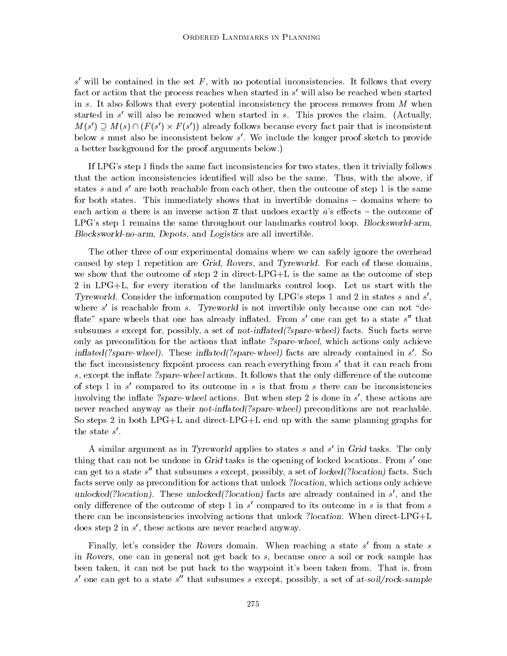s' will be contained in the set F, with no potential inconsistencies. It follows that every fact or action that the process reaches when started in  $s'$  will also be reached when started in s. It also follows that every potential inconsistency the process removes from  $M$  when started in s' will also be removed when started in s. This proves the claim. (Actually,  $M(s') \supset M(s) \cap (F(s') \times F(s'))$  already follows because every fact pair that is inconsistent below s must also be inconsistent below s'. We include the longer proof sketch to provide a better background for the proof arguments below.)

If LPG's step 1 finds the same fact inconsistencies for two states, then it trivially follows that the action inconsistencies identied willalso be the same. Thus, with the above, if states s and s' are both reachable from each other, then the outcome of step 1 is the same for both states. This immediately shows that in invertible domains  $-$  domains where to each action a there is an inverse action  $\bar{a}$  that undoes exactly a's effects – the outcome of LPG's step 1 remains the same throughout our landmarks control loop. Blocksworld-arm, Blocksworld-no-arm, Depots, and Logistics are all invertible.

The other three of our experimental domains where we can safely ignore the overhead caused by step 1 repetition are Grid, Rovers, and Tyreworld. For each of these domains, we show that the outcome of step 2 in direct-LPG+L is the same as the outcome of step 2 in LPG+L, for every iteration of the landmarks control loop. Let us start with the Tyreworld. Consider the information computed by LPG's steps 1 and 2 in states s and s'. where s' is reachable from s. Tyreworld is not invertible only because one can not "deflate" spare wheels that one has already inflated. From s' one can get to a state s'' that subsumes s except for, possibly, a set of not-inflated (?spare-wheel) facts. Such facts serve only as precondition for the actions that inflate ?spare-wheel, which actions only achieve inflated(?spare-wheel). These inflated(?spare-wheel) facts are already contained in s'. So the fact inconsistency fixpoint process can reach everything from  $s'$  that it can reach from s, except the inflate ?spare-wheel actions. It follows that the only difference of the outcome of step 1 in s' compared to its outcome in s is that from s there can be inconsistencies involving the inflate ?spare-wheel actions. But when step 2 is done in  $s'$ , these actions are never reached anyway as their *not-inflated*(?spare-wheel) preconditions are not reachable. So steps 2 in both LPG+L and direct-LPG+L end up with the same planning graphs for the state  $s'$ .

A similar argument as in Tyreworld applies to states s and s' in Grid tasks. The only thing that can not be undone in Grid tasks is the opening of locked locations. From  $s'$  one can get to a state s'' that subsumes s except, possibly, a set of locked(?location) facts. Such facts serve only as precondition for actions that unlock ?location, which actions only achieve unlocked(?location). These unlocked(?location) facts are already contained in  $s'$ , and the only difference of the outcome of step 1 in  $s'$  compared to its outcome in s is that from s there can be inconsistencies involving actions that unlock ?location. When direct-LPG+L does step 2 in  $s'$ , these actions are never reached anyway.

Finally, let's consider the Rovers domain. When reaching a state  $s'$  from a state s in Rovers, one can in general not get back to  $s$ , because once a soil or rock sample has been taken, it can not be put back to the waypoint it's been taken from. That is, from s' one can get to a state s'' that subsumes s except, possibly, a set of at-soil/rock-sample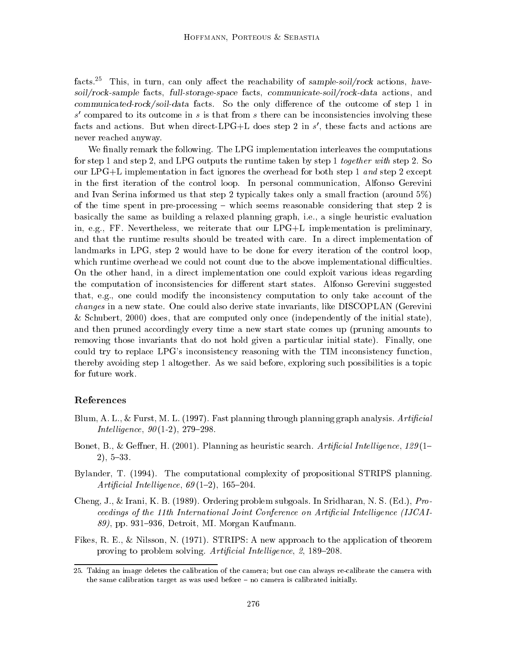facts.<sup>25</sup> This, in turn, can only affect the reachability of sample-soil/rock actions, havesoil/rock-sample facts, full-storage-space facts, communicate-soil/rock-data actions, and  $communicated-rock/soil-data$  facts. So the only difference of the outcome of step 1 in s' compared to its outcome in s is that from s there can be inconsistencies involving these facts and actions. But when direct-LPG+L does step 2 in  $s'$ , these facts and actions are never reached anyway.

We finally remark the following. The LPG implementation interleaves the computations for step 1 and step 2, and LPG outputs the runtime taken by step 1 together with step 2. So our LPG+L implementation in fact ignores the overhead for both step 1 and step 2 except in the first iteration of the control loop. In personal communication, Alfonso Gerevini and Ivan Serina informed us that step 2 typically takes only a small fraction (around 5%) of the time spent in pre-processing  $-$  which seems reasonable considering that step 2 is basically the same as building a relaxed planning graph, i.e., a single heuristic evaluation in, e.g., FF. Nevertheless, we reiterate that our LPG+L implementation is preliminary, and that the runtime results should be treated with care. In a direct implementation of landmarks in LPG, step 2 would have to be done for every iteration of the control loop, which runtime overhead we could not count due to the above implementational difficulties. On the other hand, in a direct implementation one could exploit various ideas regarding the computation of inconsistencies for different start states. Alfonso Gerevini suggested that, e.g., one could modify the inconsistency computation to only take account of the changes in a new state. One could also derive state invariants, like DISCOPLAN (Gerevini & Schubert, 2000) does, that are computed only once (independently of the initial state), and then pruned accordingly every time a new start state comes up (pruning amounts to removing those invariants that do not hold given a particular initial state). Finally, one could try to replace LPG's inconsistency reasoning with the TIM inconsistency function, thereby avoiding step 1 altogether. As we said before, exploring such possibilities is a topic for future work.

#### References

- Blum, A. L., & Furst, M. L. (1997). Fast planning through planning graph analysis. Artificial *Intelligence*,  $90(1-2)$ , 279-298.
- Bonet, B., & Geffner, H. (2001). Planning as heuristic search. Artificial Intelligence,  $129(1 2)$ , 5-33.
- Bylander, T. (1994). The computational complexity of propositional STRIPS planning. Artificial Intelligence,  $69(1-2)$ , 165-204.
- Cheng, J., & Irani, K. B. (1989). Ordering problem subgoals. In Sridharan, N. S. (Ed.), Proceedings of the 11th International Joint Conference on Artificial Intelligence (IJCAI- $89$ , pp. 931-936, Detroit, MI. Morgan Kaufmann.
- Fikes, R. E., & Nilsson, N. (1971). STRIPS: A new approach to the application of theorem proving to problem solving. Artificial Intelligence, 2, 189-208.

<sup>25.</sup> Taking an image deletes the calibration of the camera; but one can always re-calibrate the camera with the same calibration target as was used before  $-$  no camera is calibrated initially.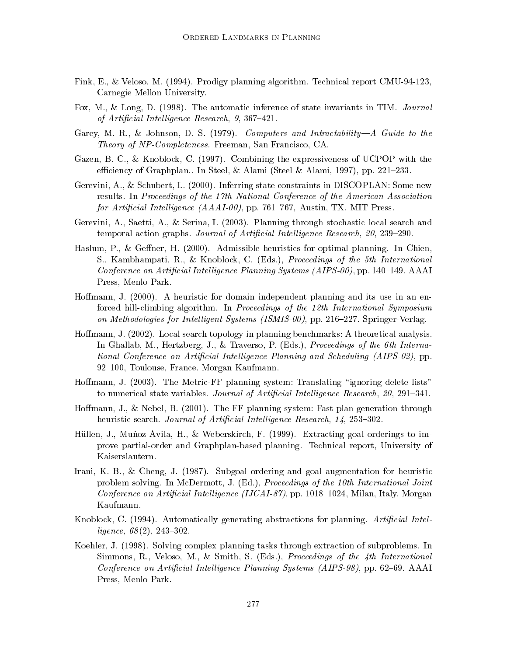- Fink, E., & Veloso, M. (1994). Prodigy planning algorithm. Technical report CMU-94-123, Carnegie Mellon University.
- Fox, M., & Long, D. (1998). The automatic inference of state invariants in TIM. Journal of Artificial Intelligence Research,  $9, 367-421$ .
- Garey, M. R., & Johnson, D. S. (1979). Computers and Intractability—A Guide to the Theory of NP-Completeness. Freeman, San Francisco, CA.
- Gazen, B. C., & Knoblock, C. (1997). Combining the expressiveness of UCPOP with the efficiency of Graphplan.. In Steel, & Alami (Steel & Alami, 1997), pp. 221–233.
- Gerevini, A., & Schubert, L. (2000). Inferring state constraints in DISCOPLAN: Some new results. In Proceedings of the 17th National Conference of the American Association for Artificial Intelligence  $(AAAI-00)$ , pp. 761–767, Austin, TX. MIT Press.
- Gerevini, A., Saetti, A., & Serina, I. (2003). Planning through stochastic local search and temporal action graphs. Journal of Artificial Intelligence Research, 20, 239–290.
- Haslum, P., & Geffner, H.  $(2000)$ . Admissible heuristics for optimal planning. In Chien, S., Kambhampati, R., & Knoblock, C. (Eds.), Proceedings of the 5th International Conference on Artificial Intelligence Planning Systems  $(AIPS-00)$ , pp. 140–149. AAAI Press, Menlo Park.
- Hoffmann, J. (2000). A heuristic for domain independent planning and its use in an enforced hill-climbing algorithm. In Proceedings of the 12th International Symposium on Methodologies for Intelligent Systems (ISMIS-00), pp. 216-227. Springer-Verlag.
- Hoffmann, J. (2002). Local search topology in planning benchmarks: A theoretical analysis. In Ghallab, M., Hertzberg, J., & Traverso, P. (Eds.), Proceedings of the 6th International Conference on Artificial Intelligence Planning and Scheduling (AIPS-02), pp. 92-100, Toulouse, France. Morgan Kaufmann.
- Hoffmann, J. (2003). The Metric-FF planning system: Translating "ignoring delete lists" to numerical state variables. Journal of Artificial Intelligence Research,  $20, 291-341$ .
- Hoffmann, J., & Nebel, B. (2001). The FF planning system: Fast plan generation through heuristic search. Journal of Artificial Intelligence Research, 14, 253-302.
- Hüllen, J., Muñoz-Avila, H., & Weberskirch, F. (1999). Extracting goal orderings to improve partial-order and Graphplan-based planning. Technical report, University of Kaiserslautern.
- Irani, K. B., & Cheng, J. (1987). Subgoal ordering and goal augmentation for heuristic problem solving. In McDermott, J. (Ed.), Proceedings of the 10th International Joint Conference on Artificial Intelligence (IJCAI-87), pp. 1018–1024, Milan, Italy. Morgan Kaufmann.
- Knoblock, C. (1994). Automatically generating abstractions for planning. Artificial Intelligence,  $68(2)$ , 243-302.
- Koehler, J. (1998). Solving complex planning tasks through extraction of subproblems. In Simmons, R., Veloso, M., & Smith, S. (Eds.), *Proceedings of the 4th International* Conference on Artificial Intelligence Planning Systems (AIPS-98), pp. 62–69. AAAI Press, Menlo Park.